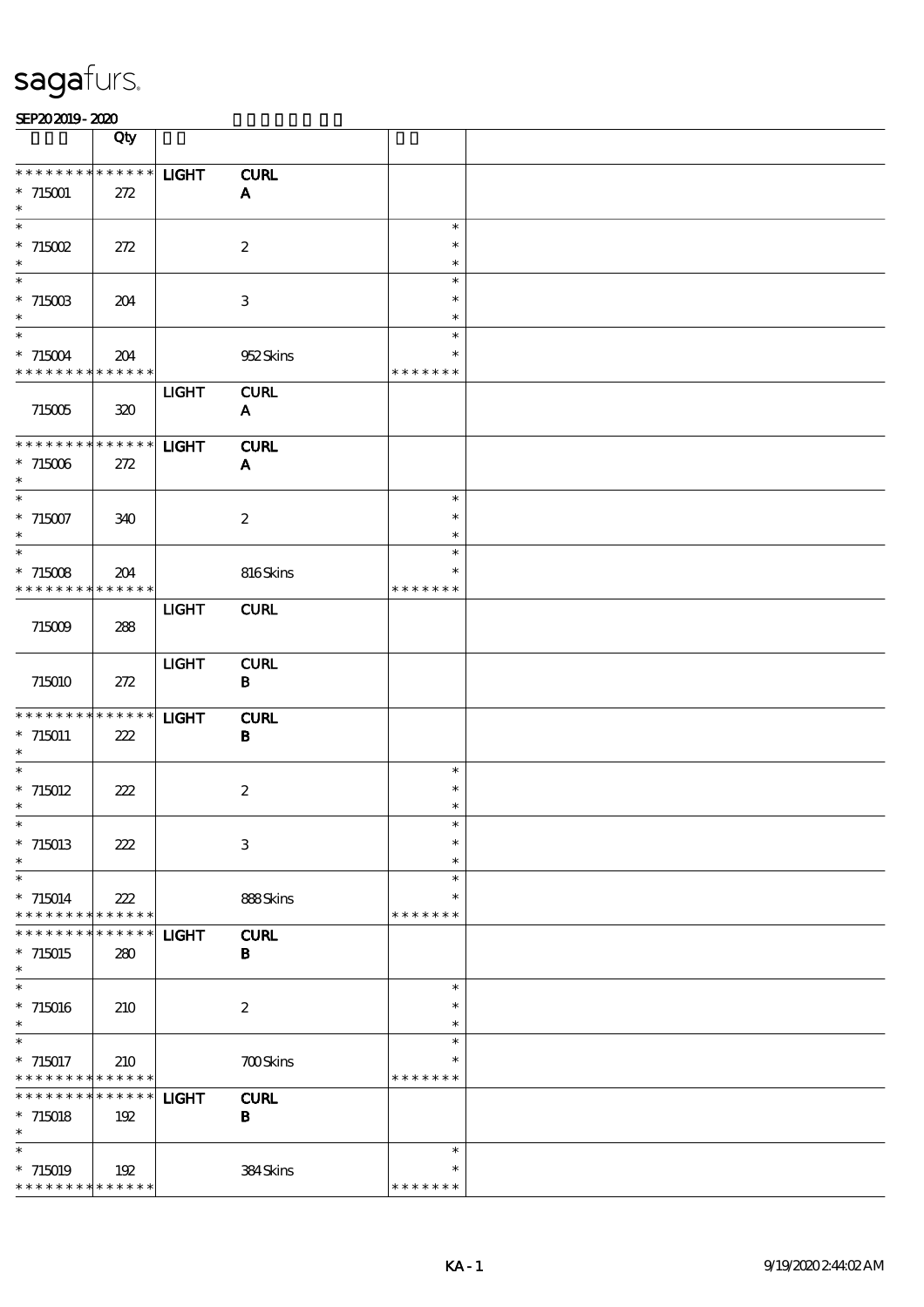|                                           | Qty                        |              |                             |                  |  |
|-------------------------------------------|----------------------------|--------------|-----------------------------|------------------|--|
| * * * * * * * *                           | $******$                   | <b>LIGHT</b> | <b>CURL</b>                 |                  |  |
| $*715001$                                 | 272                        |              | $\mathbf{A}$                |                  |  |
| $\ast$                                    |                            |              |                             |                  |  |
| $\ast$                                    |                            |              |                             | $\ast$           |  |
| $*715002$                                 | 272                        |              | $\boldsymbol{2}$            | $\ast$           |  |
| $\ast$<br>$\ast$                          |                            |              |                             | $\ast$<br>$\ast$ |  |
| $* 71500B$                                | 204                        |              | 3                           | $\ast$           |  |
| $\ast$                                    |                            |              |                             | $\ast$           |  |
| $\ast$                                    |                            |              |                             | $\ast$           |  |
| $* 715004$                                | 204                        |              | 952Skins                    | *                |  |
| * * * * * * * * * * * * * *               |                            |              |                             | * * * * * * *    |  |
|                                           |                            | <b>LIGHT</b> | <b>CURL</b>                 |                  |  |
| 715005                                    | 320                        |              | ${\bf A}$                   |                  |  |
| ********                                  | $******$                   | <b>LIGHT</b> |                             |                  |  |
| $*715006$                                 | 272                        |              | <b>CURL</b><br>$\mathbf{A}$ |                  |  |
| $\ast$                                    |                            |              |                             |                  |  |
| $\ast$                                    |                            |              |                             | $\ast$           |  |
| $*715007$                                 | 340                        |              | $\boldsymbol{2}$            | $\ast$           |  |
| $\ast$                                    |                            |              |                             | $\ast$           |  |
| $\ast$                                    |                            |              |                             | $\ast$           |  |
| $*715008$                                 | 204                        |              | 816Skins                    | $\ast$           |  |
| * * * * * * * *                           | $\ast\ast\ast\ast\ast\ast$ |              |                             | * * * * * * *    |  |
| 715009                                    | 288                        | <b>LIGHT</b> | <b>CURL</b>                 |                  |  |
|                                           |                            |              |                             |                  |  |
|                                           |                            | <b>LIGHT</b> | <b>CURL</b>                 |                  |  |
| 715010                                    | 272                        |              | $\bf{B}$                    |                  |  |
|                                           |                            |              |                             |                  |  |
| * * * * * * * *                           | $******$                   | <b>LIGHT</b> | <b>CURL</b>                 |                  |  |
| $* 715011$<br>$\ast$                      | 222                        |              | $\bf{B}$                    |                  |  |
| $\ast$                                    |                            |              |                             | $\ast$           |  |
| $* 715012$                                | 222                        |              | $\boldsymbol{2}$            | $\ast$           |  |
| $\ast$                                    |                            |              |                             | $\ast$           |  |
| $*$                                       |                            |              |                             | $\ast$           |  |
| $*715013$                                 | 222                        |              | 3                           | $\ast$           |  |
| $\ast$                                    |                            |              |                             | $\ast$           |  |
| $\ast$                                    |                            |              |                             | $\ast$<br>$\ast$ |  |
| $* 715014$<br>* * * * * * * *             | 222<br>$* * * * * * *$     |              | 888Skins                    | * * * * * * *    |  |
| * * * * * * *                             | * * * * * *                | <b>LIGHT</b> | <b>CURL</b>                 |                  |  |
| $* 715015$                                | 280                        |              | $\bf{B}$                    |                  |  |
| $\ast$                                    |                            |              |                             |                  |  |
| $\ast$                                    |                            |              |                             | $\ast$           |  |
| $*715016$                                 | 210                        |              | $\boldsymbol{2}$            | $\ast$           |  |
| $\ast$                                    |                            |              |                             | $\ast$           |  |
| $\ast$                                    |                            |              |                             | $\ast$<br>*      |  |
| $* 715017$<br>* * * * * * * * * * * * * * | 210                        |              | <b>700Skins</b>             | * * * * * * *    |  |
| * * * * * * *                             | * * * * * *                | <b>LIGHT</b> | <b>CURL</b>                 |                  |  |
| $*715018$                                 | 192                        |              | $\, {\bf B} \,$             |                  |  |
| $\ast$                                    |                            |              |                             |                  |  |
| $\ast$                                    |                            |              |                             | $\ast$           |  |
| $*715019$                                 | 192                        |              | 384Skins                    | $\ast$           |  |
| * * * * * * * * * * * * * *               |                            |              |                             | * * * * * * *    |  |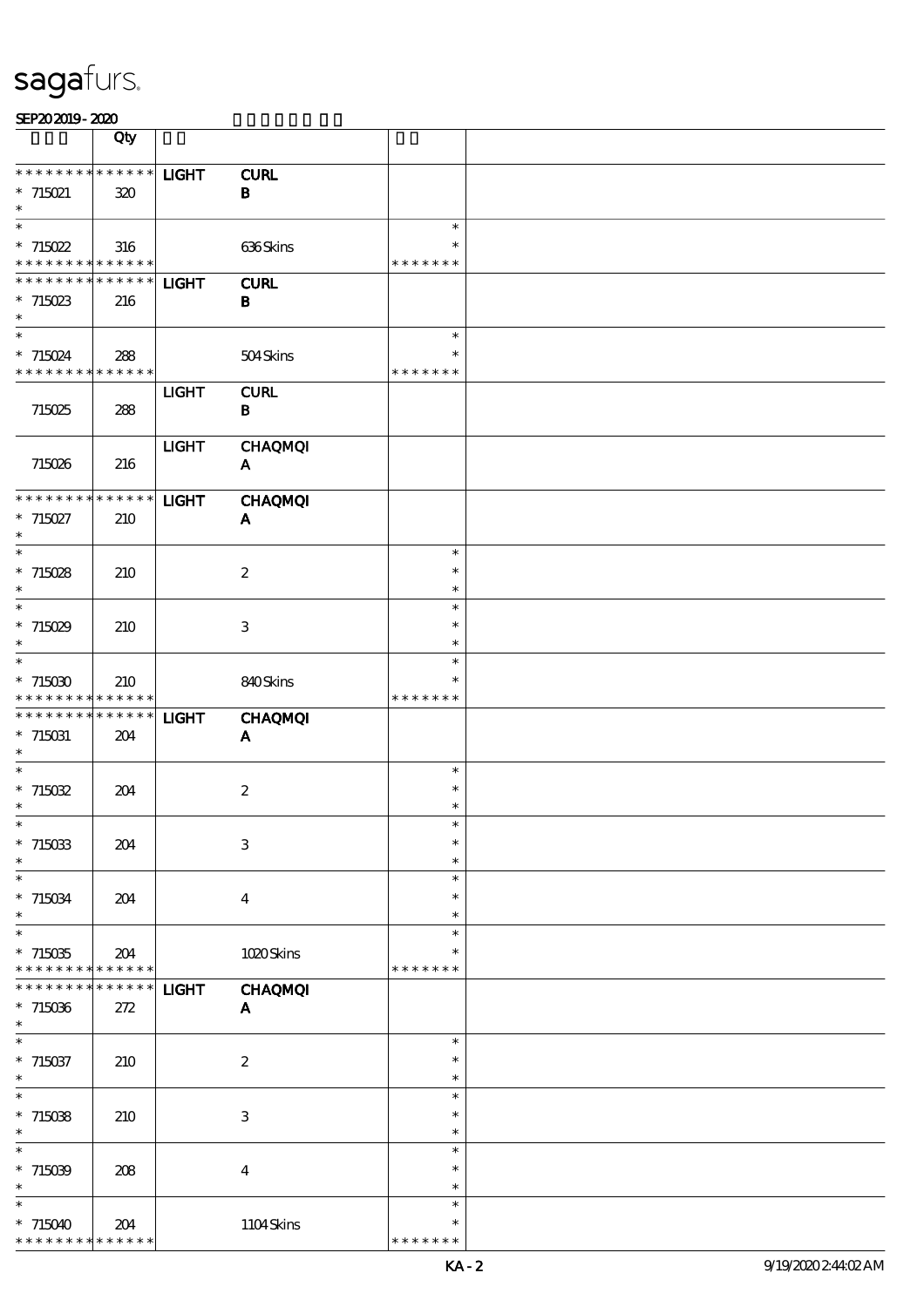|                                                       | Qty         |              |                                |                         |  |
|-------------------------------------------------------|-------------|--------------|--------------------------------|-------------------------|--|
| * * * * * * * * * * * * * *                           |             | <b>LIGHT</b> | <b>CURL</b>                    |                         |  |
| $*715021$                                             | 320         |              | $\, {\bf B}$                   |                         |  |
| $\ast$                                                |             |              |                                |                         |  |
| $\ast$                                                |             |              |                                | $\ast$                  |  |
| $*715022$<br>* * * * * * * * * * * * * *              | 316         |              | 636Skins                       | $\ast$<br>* * * * * * * |  |
| * * * * * * * * * * * * * *                           |             | <b>LIGHT</b> | <b>CURL</b>                    |                         |  |
| $*715023$                                             | 216         |              | $\mathbf B$                    |                         |  |
| $\ast$                                                |             |              |                                |                         |  |
| $\overline{\phantom{a}}$                              |             |              |                                | $\ast$                  |  |
| $* 715024$                                            | 288         |              | 504Skins                       | $\ast$                  |  |
| * * * * * * * * <mark>* * * * * * *</mark>            |             |              |                                | * * * * * * *           |  |
| 715025                                                | 288         | <b>LIGHT</b> | <b>CURL</b><br>$\bf{B}$        |                         |  |
|                                                       |             |              |                                |                         |  |
|                                                       |             | <b>LIGHT</b> | <b>CHAQMQI</b>                 |                         |  |
| 715026                                                | 216         |              | $\mathbf{A}$                   |                         |  |
|                                                       |             |              |                                |                         |  |
| ******** <mark>*******</mark>                         |             | <b>LIGHT</b> | <b>CHAQMQI</b>                 |                         |  |
| $* 715027$<br>$\ast$                                  | 210         |              | $\mathbf{A}$                   |                         |  |
| $\ast$                                                |             |              |                                | $\ast$                  |  |
| $*715028$                                             | 210         |              | $\boldsymbol{2}$               | $\ast$                  |  |
| $\ast$                                                |             |              |                                | $\ast$                  |  |
| $\ast$                                                |             |              |                                | $\ast$                  |  |
| $*715029$<br>$\ast$                                   | 210         |              | 3                              | $\ast$<br>$\ast$        |  |
| $\ast$                                                |             |              |                                | $\ast$                  |  |
| $*715030$                                             | 210         |              | 840Skins                       | $\ast$                  |  |
| * * * * * * * * * * * * * *                           |             |              |                                | * * * * * * *           |  |
| * * * * * * * * * * * * * *                           |             | <b>LIGHT</b> | <b>CHAQMQI</b>                 |                         |  |
| $*715031$<br>$\ast$                                   | 204         |              | A                              |                         |  |
| $\ast$                                                |             |              |                                | $\ast$                  |  |
| $*715032$                                             | 204         |              | $\boldsymbol{2}$               | $\ast$                  |  |
| $\ast$                                                |             |              |                                | $\ast$                  |  |
| $*$                                                   |             |              |                                | $\ast$                  |  |
| $*715033$                                             | 204         |              | $\,3$                          | $\ast$                  |  |
| $\ast$<br>$\ast$                                      |             |              |                                | $\ast$<br>$\ast$        |  |
| $* 715034$                                            | 204         |              | $\bf{4}$                       | $\ast$                  |  |
| $\ast$                                                |             |              |                                | $\ast$                  |  |
| $\ast$                                                |             |              |                                | $\ast$                  |  |
| $*715035$                                             | 204         |              | 1020Skins                      |                         |  |
| * * * * * * * * <mark>* * * * * * *</mark><br>* * * * | * * * * * * |              |                                | * * * * * * *           |  |
| $*715036$                                             | 272         | <b>LIGHT</b> | <b>CHAQMQI</b><br>$\mathbf{A}$ |                         |  |
| $\ast$                                                |             |              |                                |                         |  |
| $\ast$                                                |             |              |                                | $\ast$                  |  |
| $*715037$                                             | 210         |              | $\boldsymbol{z}$               | $\ast$                  |  |
| $\ast$<br>$\ast$                                      |             |              |                                | $\ast$                  |  |
| $*715038$                                             |             |              | $\ensuremath{\mathbf{3}}$      | $\ast$<br>$\ast$        |  |
| $\ast$                                                | 210         |              |                                | $\ast$                  |  |
| $\ast$                                                |             |              |                                | $\ast$                  |  |
| $*715039$                                             | 208         |              | $\bf{4}$                       | $\ast$                  |  |
| $\ast$                                                |             |              |                                | $\ast$                  |  |
| $\ast$                                                |             |              |                                | $\ast$<br>$\ast$        |  |
| $*715040$<br>* * * * * * * * <mark>* * * * * *</mark> | 204         |              | 1104Skins                      | * * * * * * *           |  |
|                                                       |             |              |                                |                         |  |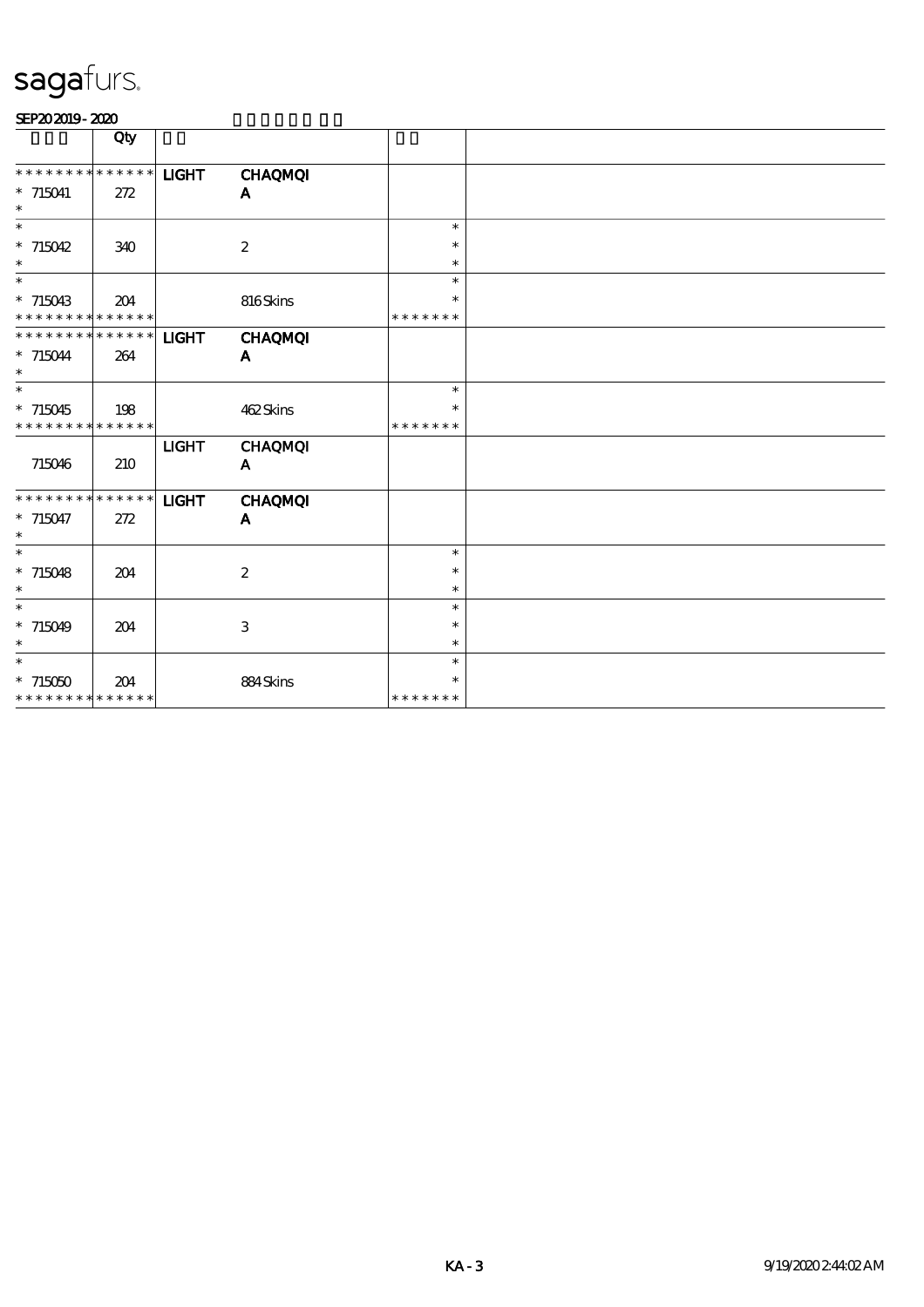|                                          | Qty |              |                  |                         |  |
|------------------------------------------|-----|--------------|------------------|-------------------------|--|
|                                          |     |              |                  |                         |  |
| * * * * * * * * * * * * * *              |     | <b>LIGHT</b> | <b>CHAQMQI</b>   |                         |  |
| $*715041$                                | 272 |              | A                |                         |  |
| $\ast$                                   |     |              |                  |                         |  |
| $\ast$                                   |     |              |                  | $\ast$                  |  |
| $* 715042$                               | 340 |              | $\boldsymbol{2}$ | $\ast$                  |  |
| $\ast$                                   |     |              |                  | $\ast$                  |  |
| $\ast$                                   |     |              |                  | $\ast$                  |  |
| $*715043$<br>* * * * * * * * * * * * * * | 204 |              | 816Skins         | $\ast$<br>* * * * * * * |  |
| * * * * * * * * * * * * * *              |     |              |                  |                         |  |
|                                          | 264 | <b>LIGHT</b> | <b>CHAQMQI</b>   |                         |  |
| $* 715044$<br>$\ast$                     |     |              | $\mathbf{A}$     |                         |  |
| $\overline{\phantom{1}}$                 |     |              |                  | $\ast$                  |  |
| $*715045$                                | 198 |              | 462Skins         | $\ast$                  |  |
| * * * * * * * * * * * * * *              |     |              |                  | * * * * * * *           |  |
|                                          |     | <b>LIGHT</b> | <b>CHAQMQI</b>   |                         |  |
| 715046                                   | 210 |              | $\mathbf{A}$     |                         |  |
|                                          |     |              |                  |                         |  |
| * * * * * * * * * * * * * *              |     | <b>LIGHT</b> | <b>CHAQMQI</b>   |                         |  |
| $*715047$                                | 272 |              | A                |                         |  |
| $\ast$                                   |     |              |                  |                         |  |
| $\ast$                                   |     |              |                  | $\ast$                  |  |
| $* 715048$                               | 204 |              | $\boldsymbol{2}$ | $\ast$                  |  |
| $\ast$                                   |     |              |                  | $\ast$                  |  |
| $\ast$                                   |     |              |                  | $\ast$                  |  |
| $*715049$<br>$\ast$                      | 204 |              | 3                | $\ast$                  |  |
| $\ast$                                   |     |              |                  | $\ast$<br>$\ast$        |  |
|                                          |     |              |                  | $\ast$                  |  |
| $*715050$<br>* * * * * * * * * * * * * * | 204 |              | 884Skins         | * * * * * * *           |  |
|                                          |     |              |                  |                         |  |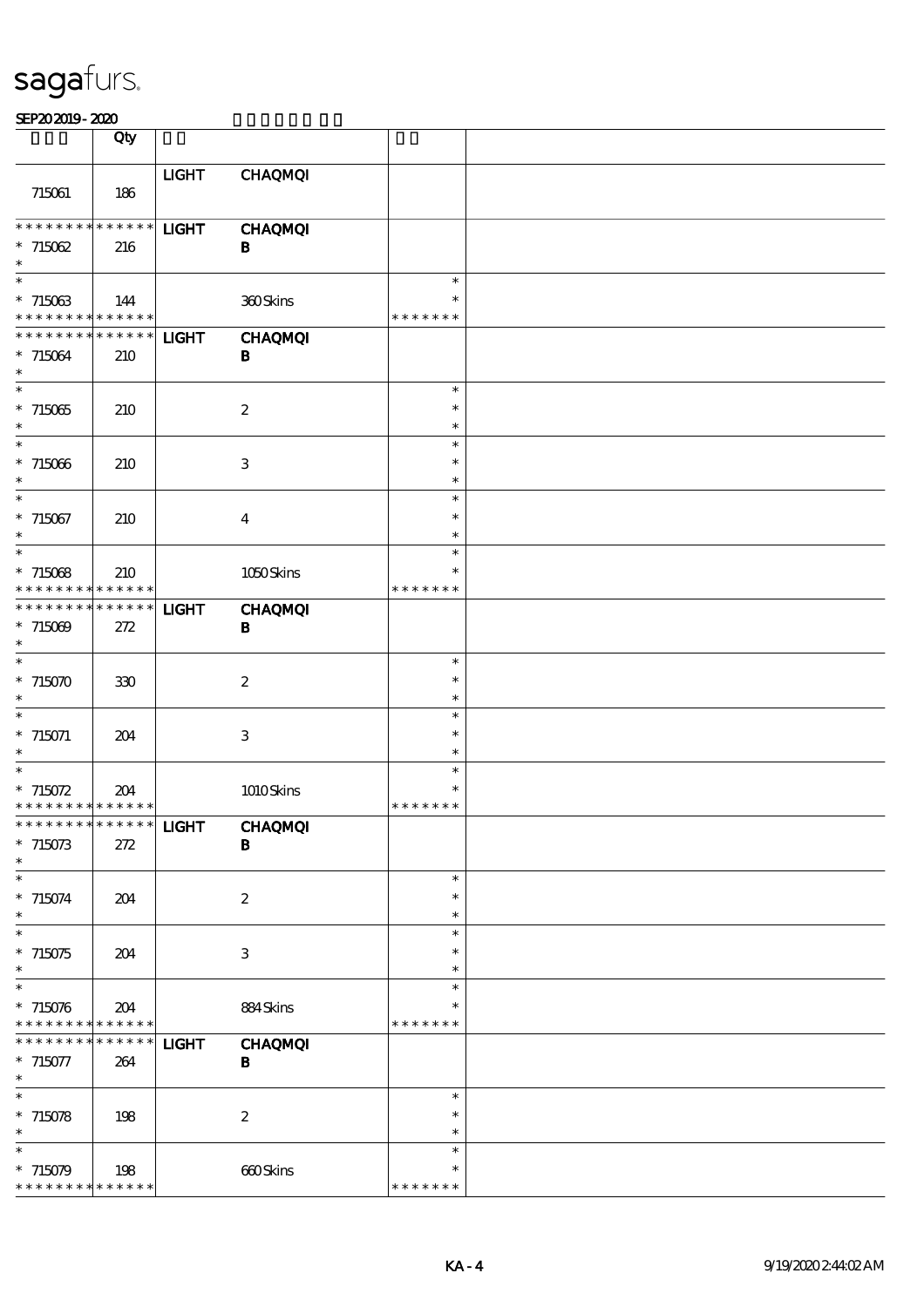|                                                     | Qty                |              |                            |                                   |  |
|-----------------------------------------------------|--------------------|--------------|----------------------------|-----------------------------------|--|
| 715061                                              | 186                | <b>LIGHT</b> | <b>CHAQMQI</b>             |                                   |  |
| * * * * * * * *<br>$*715062$<br>$\ast$              | * * * * * *<br>216 | <b>LIGHT</b> | <b>CHAQMQI</b><br>B        |                                   |  |
| $\ast$<br>$*715063$<br>* * * * * * * * * * * * * *  | 144                |              | 360Skins                   | $\ast$<br>$\ast$<br>* * * * * * * |  |
| * * * * * * * *<br>$*715064$<br>$\ast$              | * * * * * *<br>210 | <b>LIGHT</b> | <b>CHAQMQI</b><br>В        |                                   |  |
| $\overline{\phantom{0}}$<br>$*715065$<br>$\ast$     | 210                |              | $\boldsymbol{2}$           | $\ast$<br>$\ast$<br>$\ast$        |  |
| $\overline{\phantom{a}}$<br>$*715066$<br>$\ast$     | 210                |              | 3                          | $\ast$<br>$\ast$<br>$\ast$        |  |
| $\ast$<br>$*715067$<br>$\ast$                       | 210                |              | $\boldsymbol{4}$           | $\ast$<br>$\ast$<br>$\ast$        |  |
| $\overline{\ast}$<br>$*71508$<br>* * * * * * * *    | 210<br>* * * * * * |              | 1050Skins                  | $\ast$<br>$\ast$<br>* * * * * * * |  |
| * * * * * * *<br>$* 715009$<br>$\ast$               | * * * * * *<br>272 | <b>LIGHT</b> | <b>CHAQMQI</b><br>$\bf{B}$ |                                   |  |
| $\ast$<br>$*715070$<br>$\ast$                       | 330                |              | $\boldsymbol{z}$           | $\ast$<br>$\ast$<br>$\ast$        |  |
| $\ast$<br>$* 715071$<br>$\ast$                      | 204                |              | $\ensuremath{\mathsf{3}}$  | $\ast$<br>$\ast$<br>$\ast$        |  |
| $* 715072$<br>* * * * * * * * * * * * * *           | 204                |              | 1010Skins                  | $\ast$<br>$\ast$<br>* * * * * * * |  |
| *************** <b>IIGHT</b><br>$*715073$<br>$\ast$ | 272                |              | <b>CHAQMQI</b><br>B        |                                   |  |
| $\ast$<br>$* 715074$<br>$\ast$                      | 204                |              | $\boldsymbol{2}$           | $\ast$<br>$\ast$<br>$\ast$        |  |
| $\ast$<br>$*715075$<br>$\ast$                       | 204                |              | 3                          | $\ast$<br>$\ast$<br>$\ast$        |  |
| $\ast$<br>$* 715076$<br>* * * * * * * *             | 204<br>* * * * * * |              | 884Skins                   | $\ast$<br>$\ast$<br>* * * * * * * |  |
| * * * * * * *<br>$*715077$<br>$\ast$                | * * * * * *<br>264 | <b>LIGHT</b> | <b>CHAQMQI</b><br>B        |                                   |  |
| $\ast$<br>$* 715078$<br>$\ast$                      | 198                |              | $\boldsymbol{z}$           | $\ast$<br>$\ast$<br>$\ast$        |  |
| $\ast$<br>$* 715079$<br>* * * * * * * *             | 198<br>* * * * * * |              | 660Skins                   | $\ast$<br>$\ast$<br>* * * * * * * |  |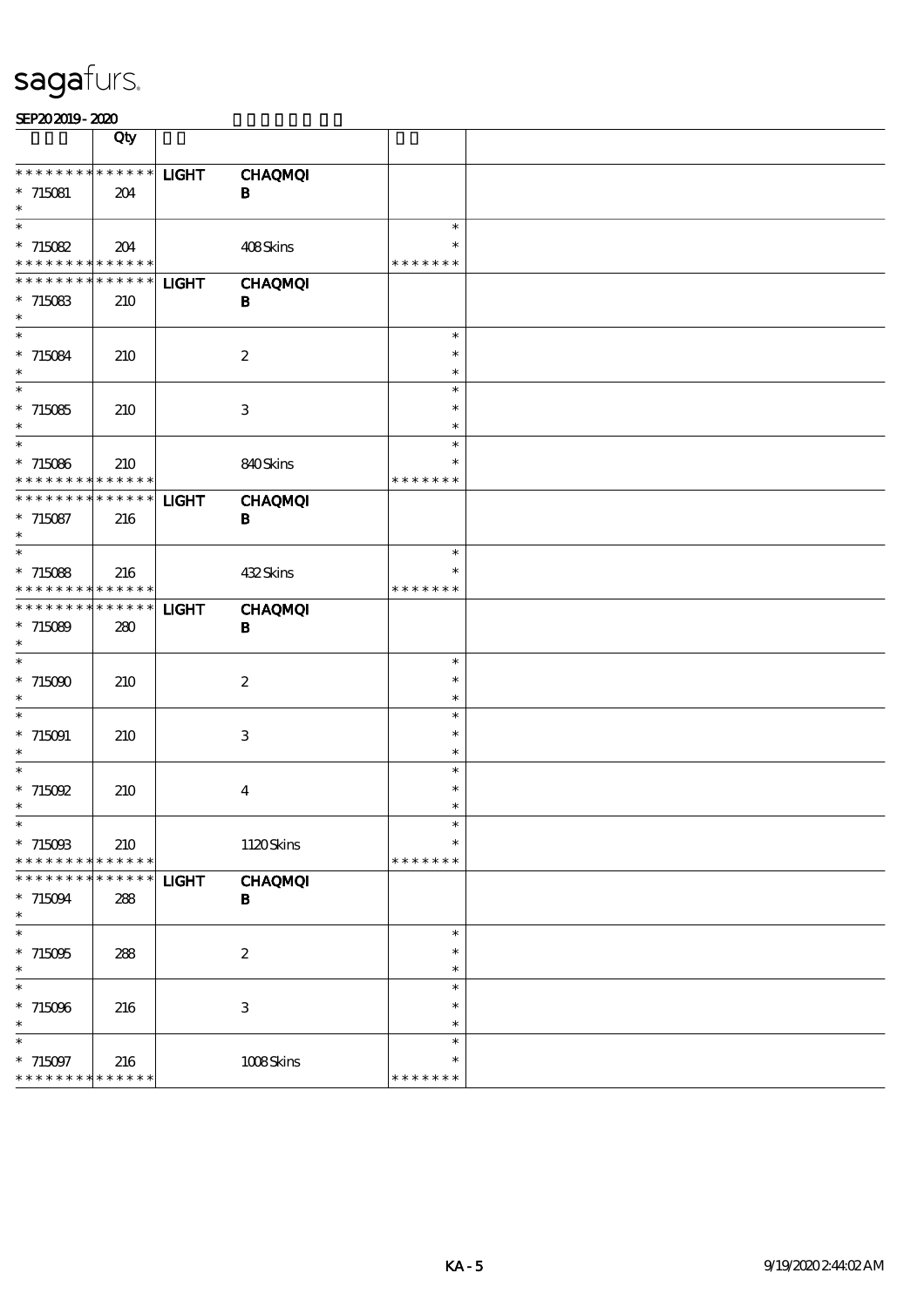|                                                           | Qty                               |              |                            |                                   |  |
|-----------------------------------------------------------|-----------------------------------|--------------|----------------------------|-----------------------------------|--|
| $* * *$<br>$* *$<br>$* 715081$<br>$\ast$                  | ******<br>204                     | <b>LIGHT</b> | <b>CHAQMQI</b><br>$\bf{B}$ |                                   |  |
| $\overline{\ast}$<br>$*715082$<br>* * * * * * * *         | 204<br>* * * * * *                |              | 408Skins                   | $\ast$<br>$\ast$<br>* * * * * * * |  |
| * * * * * * * *<br>$*715083$<br>$\ast$                    | * * * * * *<br>210                | <b>LIGHT</b> | <b>CHAQMQI</b><br>B        |                                   |  |
| $\ast$<br>$*715084$<br>$\ast$                             | 210                               |              | $\boldsymbol{2}$           | $\ast$<br>$\ast$<br>$\ast$        |  |
| $\ast$<br>$*715085$<br>$\ast$                             | 210                               |              | $\ensuremath{\mathbf{3}}$  | $\ast$<br>$\ast$<br>$\ast$        |  |
| $\ast$<br>$*715086$<br>* * * * * * * *                    | 210<br>* * * * * *                |              | 840Skins                   | $\ast$<br>$\ast$<br>* * * * * * * |  |
| * * * * * * *<br>$*715087$<br>$\ast$<br>$\overline{\ast}$ | * * * * * *<br>216                | <b>LIGHT</b> | <b>CHAQMQI</b><br>$\bf{B}$ |                                   |  |
| $*715088$<br>* * * *<br>* *                               | 216<br>* * * * * *                |              | 432Skins                   | $\ast$<br>$\ast$<br>* * * * * * * |  |
| * * * * * * * *<br>$*715089$<br>$\ast$<br>$\ast$          | * * * * * *<br>280                | <b>LIGHT</b> | <b>CHAQMQI</b><br>$\bf{B}$ |                                   |  |
| $*715000$<br>$\ast$                                       | 210                               |              | $\boldsymbol{z}$           | $\ast$<br>$\ast$<br>$\ast$        |  |
| $\ast$<br>$*715091$<br>$\ast$<br>$\ast$                   | 210                               |              | $\ensuremath{\mathsf{3}}$  | $\ast$<br>$\ast$<br>$\ast$        |  |
| $*$ 715092<br>$\ast$                                      | 210                               |              | $\boldsymbol{4}$           | $\ast$<br>$\ast$<br>$\ast$        |  |
| ⋇<br>$*715003$<br>* * * * * * * *                         | 210<br>* * * * * *<br>* * * * * * |              | 1120Skins                  | $\ast$<br>* * * * * * *           |  |
| * * * * * * * *<br>$*715094$<br>$\ast$<br>$\ast$          | 288                               | <b>LIGHT</b> | <b>CHAQMQI</b><br>B        | $\ast$                            |  |
| $*715005$<br>$\ast$<br>$\ast$                             | 288                               |              | $\boldsymbol{2}$           | $\ast$<br>$\ast$<br>$\ast$        |  |
| $*715096$<br>$\ast$<br>$\ast$                             | 216                               |              | $\ensuremath{\mathsf{3}}$  | $\ast$<br>$\ast$<br>$\ast$        |  |
| $* 715097$<br>* * * * * * * * * * * * * *                 | 216                               |              | 1008Skins                  | $\ast$<br>* * * * * * *           |  |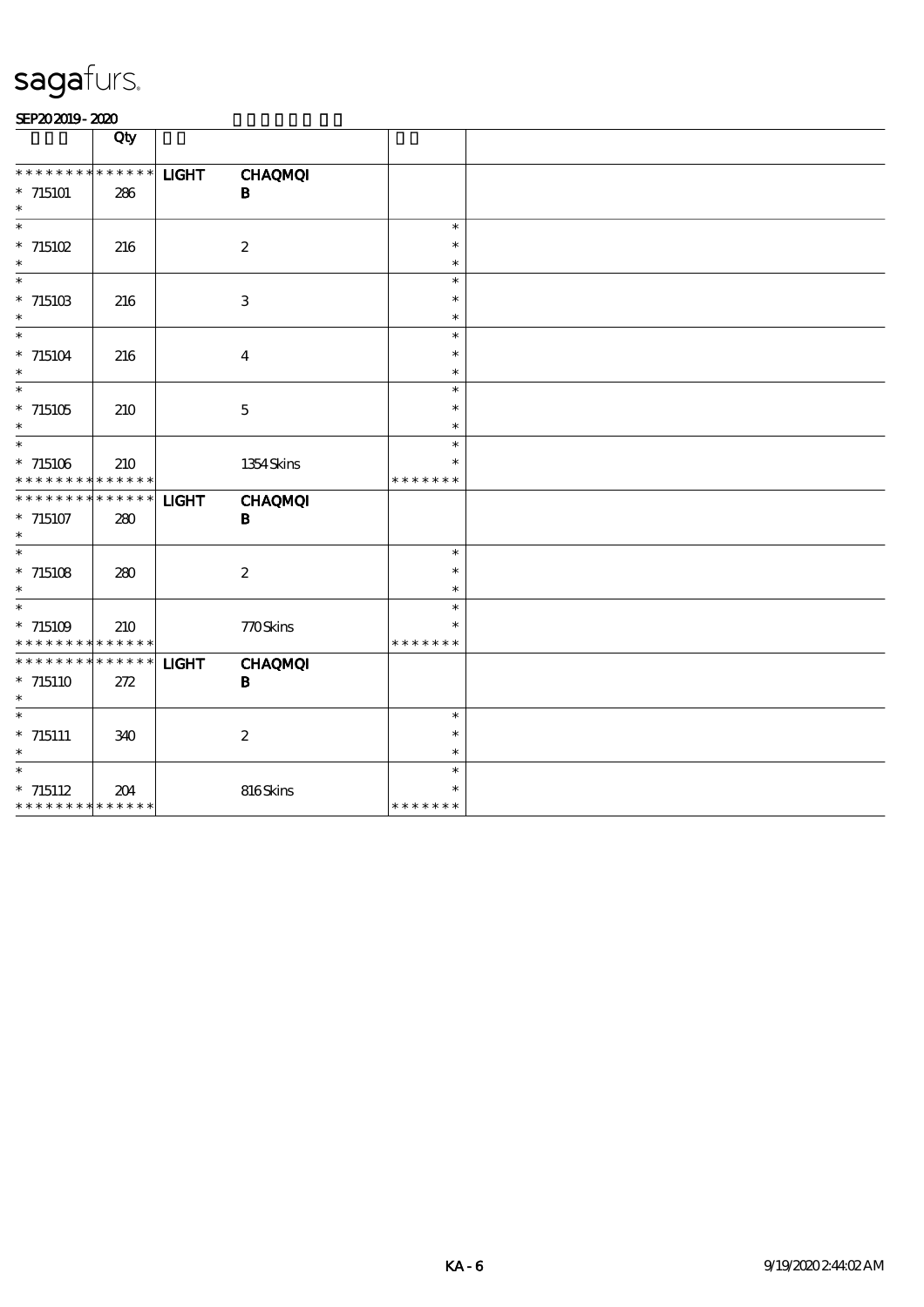|                                                                       | Qty                |              |                            |                                   |  |
|-----------------------------------------------------------------------|--------------------|--------------|----------------------------|-----------------------------------|--|
| * * * * * * * *<br>* 715101<br>$\ast$                                 | ******<br>286      | <b>LIGHT</b> | <b>CHAQMQI</b><br>B        |                                   |  |
| $*$ 715102<br>$\ast$                                                  | 216                |              | $\boldsymbol{2}$           | $\ast$<br>$\ast$<br>$\ast$        |  |
| $\ast$<br>$^*$ 715103 $\,$<br>$\ast$                                  | 216                |              | $\ensuremath{\mathbf{3}}$  | $\ast$<br>$\ast$<br>$\ast$        |  |
| $\ast$<br>$*$ 715104<br>$\ast$                                        | 216                |              | $\boldsymbol{4}$           | $\ast$<br>$\ast$<br>$\ast$        |  |
| $\ast$<br>$*$ 715105<br>$\ast$                                        | 210                |              | $\bf 5$                    | $\ast$<br>$\ast$<br>$\ast$        |  |
| $\ast$<br>$*715106$<br>* * * * * * * * * * * * * *                    | 210                |              | 1354 Skins                 | $\ast$<br>$\ast$<br>* * * * * * * |  |
| * * * * * * * *<br>$*715107$<br>$\ast$                                | * * * * * *<br>280 | <b>LIGHT</b> | <b>CHAQMQI</b><br>$\bf{B}$ |                                   |  |
| $\overline{\phantom{0}}$<br>$* 715108$<br>$\ast$                      | 280                |              | $\boldsymbol{2}$           | $\ast$<br>$\ast$<br>$\ast$        |  |
| $\ast$<br>$* 715109$<br>* * * * * * * * * * * * * *                   | 210                |              | 770Skins                   | $\ast$<br>$\ast$<br>* * * * * * * |  |
| * * * * * * * * * * * * * *<br>$*715110$<br>$\ast$                    | 272                | <b>LIGHT</b> | <b>CHAQMQI</b><br>B        |                                   |  |
| $_{\ast}^{-}$<br>$*$ 715111<br>$\ast$                                 | 340                |              | $\boldsymbol{z}$           | $\ast$<br>$\ast$<br>$\ast$        |  |
| $\overline{\phantom{1}}$<br>$* 715112$<br>* * * * * * * * * * * * * * | 204                |              | 816Skins                   | $\ast$<br>$\ast$<br>* * * * * * * |  |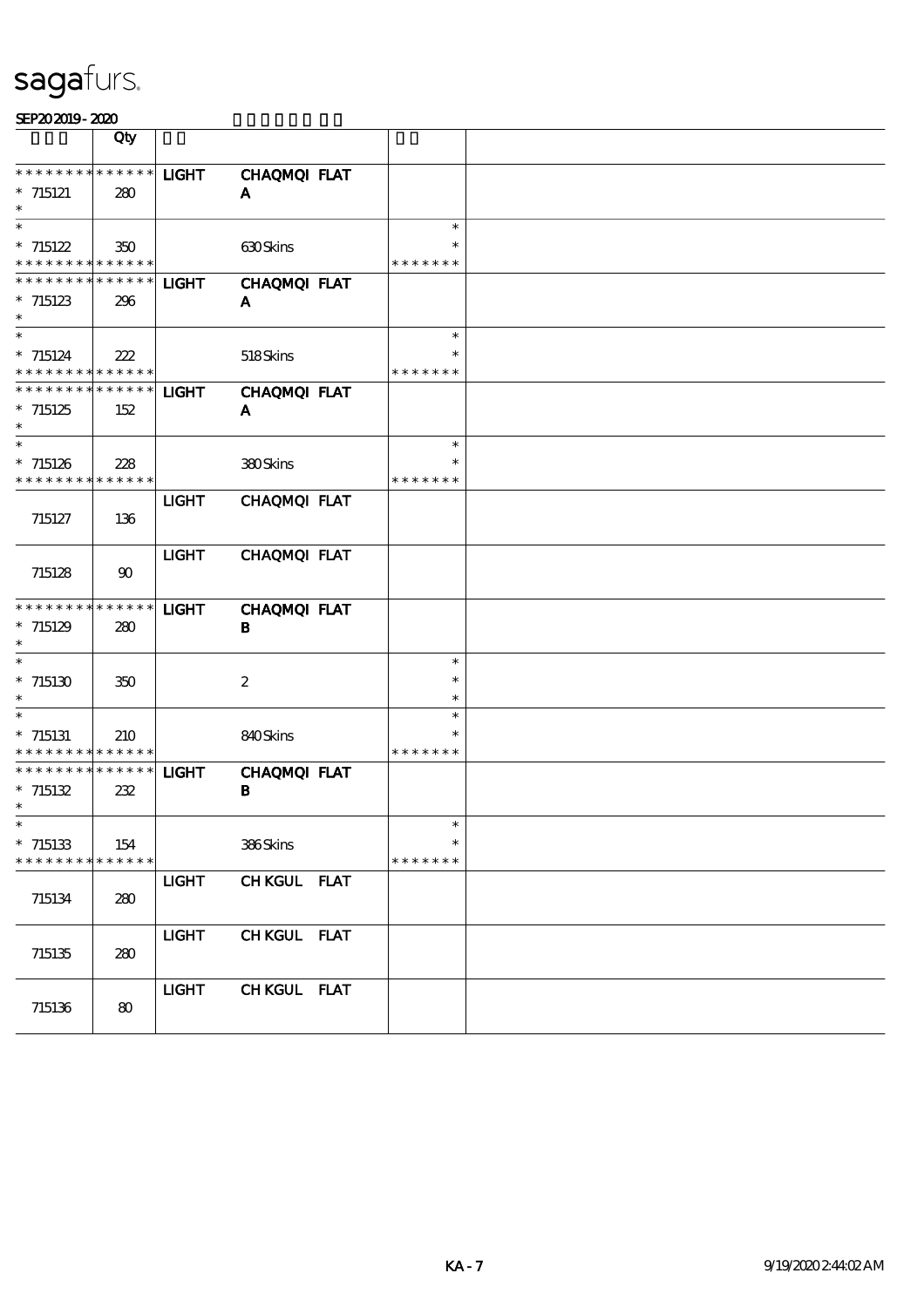|                                                         | Qty         |              |                     |                  |  |
|---------------------------------------------------------|-------------|--------------|---------------------|------------------|--|
|                                                         |             |              |                     |                  |  |
| * * * * * * * * * * * * * *                             |             | <b>LIGHT</b> | CHAQMQI FLAT        |                  |  |
| $* 715121$<br>$\ast$                                    | 280         |              | A                   |                  |  |
| $\ast$                                                  |             |              |                     | $\ast$           |  |
| $* 715122$                                              | 350         |              | 630Skins            | $\ast$           |  |
| * * * * * * * * <mark>* * * * * *</mark> *              |             |              |                     | * * * * * * *    |  |
| **************                                          |             | <b>LIGHT</b> | CHAQMQI FLAT        |                  |  |
| $*715123$                                               | 296         |              | A                   |                  |  |
| $\ast$                                                  |             |              |                     |                  |  |
| $\ast$                                                  |             |              |                     | $\ast$           |  |
| $* 715124$                                              | 222         |              | 518Skins            |                  |  |
| * * * * * * * * * * * * * *                             |             |              |                     | * * * * * * *    |  |
| * * * * * * * * * * * * * *                             |             | <b>LIGHT</b> | CHAQMQI FLAT        |                  |  |
| $*715125$                                               | 152         |              | A                   |                  |  |
| $\ast$<br>$\ast$                                        |             |              |                     |                  |  |
|                                                         |             |              |                     | $\ast$<br>$\ast$ |  |
| $*715126$<br>* * * * * * * * <mark>* * * * * *</mark> * | 228         |              | 380Skins            | * * * * * * *    |  |
|                                                         |             | <b>LIGHT</b> | CHAQMQI FLAT        |                  |  |
| 715127                                                  | 136         |              |                     |                  |  |
|                                                         |             |              |                     |                  |  |
|                                                         |             | <b>LIGHT</b> | CHAQMQI FLAT        |                  |  |
| 715128                                                  | 90          |              |                     |                  |  |
|                                                         |             |              |                     |                  |  |
| **************                                          |             | <b>LIGHT</b> | <b>CHAQMQI FLAT</b> |                  |  |
| $*715129$                                               | 280         |              | В                   |                  |  |
| $\ast$                                                  |             |              |                     |                  |  |
| $\ast$                                                  |             |              |                     | $\ast$           |  |
| $*715130$                                               | 350         |              | $\boldsymbol{2}$    | $\ast$           |  |
| $\ast$<br>$\ast$                                        |             |              |                     | $\ast$<br>$\ast$ |  |
|                                                         |             |              |                     | $\ast$           |  |
| $*715131$<br>* * * * * * * * * * * * * *                | 210         |              | 840Skins            | * * * * * * *    |  |
| * * * * * * * * * * * * * *                             |             | <b>LIGHT</b> | CHAQMQI FLAT        |                  |  |
| $* 715132$                                              | 232         |              | В                   |                  |  |
| $\ast$                                                  |             |              |                     |                  |  |
| ∗                                                       |             |              |                     | ∗                |  |
| $*715133$                                               | 154         |              | 386Skins            | $\ast$           |  |
| * * * * * * * *                                         | * * * * * * |              |                     | * * * * * * *    |  |
|                                                         |             | <b>LIGHT</b> | CHKGUL FLAT         |                  |  |
| 715134                                                  | 280         |              |                     |                  |  |
|                                                         |             |              |                     |                  |  |
|                                                         |             | <b>LIGHT</b> | CHKGUL FLAT         |                  |  |
| 715135                                                  | 280         |              |                     |                  |  |
|                                                         |             |              |                     |                  |  |
|                                                         |             | <b>LIGHT</b> | CHKGUL FLAT         |                  |  |
| 715136                                                  | $\bf{80}$   |              |                     |                  |  |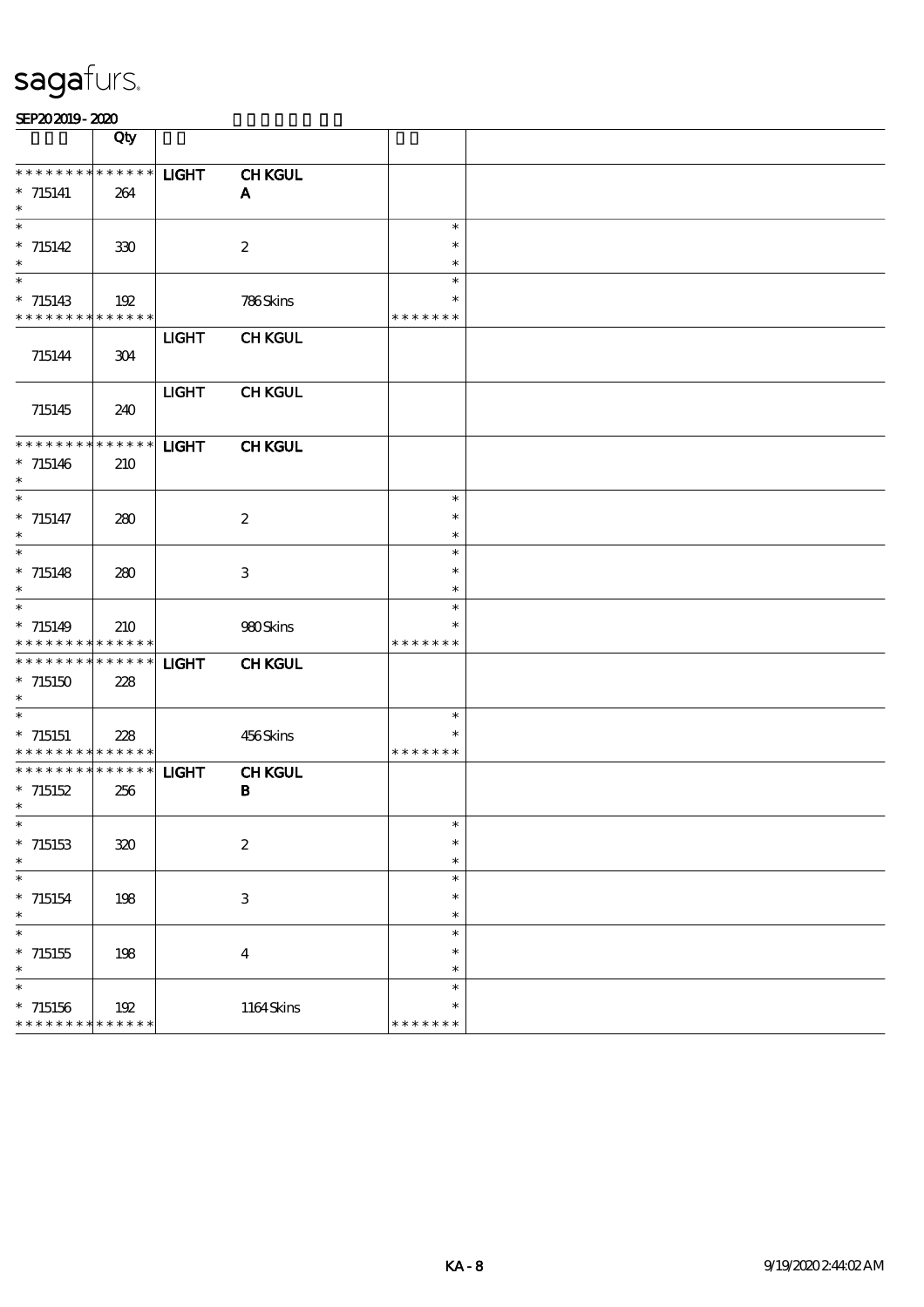|                                            | Qty |              |                           |               |  |
|--------------------------------------------|-----|--------------|---------------------------|---------------|--|
| * * * * * * * * * * * * * *                |     | <b>LIGHT</b> | <b>CHKGUL</b>             |               |  |
|                                            |     |              |                           |               |  |
| $*$ 715141                                 | 264 |              | $\mathbf{A}$              |               |  |
| $\ast$                                     |     |              |                           |               |  |
| $\overline{\phantom{1}}$                   |     |              |                           | $\ast$        |  |
| $* 715142$                                 | 330 |              | $\boldsymbol{2}$          | $\ast$        |  |
| $\ast$                                     |     |              |                           | $\ast$        |  |
| $\ast$                                     |     |              |                           | $\ast$        |  |
|                                            |     |              |                           |               |  |
| $*715143$                                  | 192 |              | 786Skins                  | $\ast$        |  |
| * * * * * * * * <mark>* * * * * * *</mark> |     |              |                           | * * * * * * * |  |
|                                            |     | <b>LIGHT</b> | <b>CHKGUL</b>             |               |  |
| 715144                                     | 304 |              |                           |               |  |
|                                            |     |              |                           |               |  |
|                                            |     |              |                           |               |  |
|                                            |     | <b>LIGHT</b> | <b>CHKGUL</b>             |               |  |
| 715145                                     | 240 |              |                           |               |  |
|                                            |     |              |                           |               |  |
| * * * * * * * * * * * * * *                |     | <b>LIGHT</b> | <b>CHKGUL</b>             |               |  |
|                                            |     |              |                           |               |  |
| $*715146$                                  | 210 |              |                           |               |  |
| $\ast$                                     |     |              |                           |               |  |
| $\overline{\phantom{a}^*}$                 |     |              |                           | $\ast$        |  |
| $* 715147$                                 | 280 |              | $\boldsymbol{z}$          | $\ast$        |  |
| $\ast$                                     |     |              |                           | $\ast$        |  |
| $\overline{\phantom{0}}$                   |     |              |                           | $\ast$        |  |
|                                            |     |              |                           |               |  |
| $* 715148$                                 | 280 |              | $\ensuremath{\mathbf{3}}$ | $\ast$        |  |
| $\ast$                                     |     |              |                           | $\ast$        |  |
| $\overline{\ast}$                          |     |              |                           | $\ast$        |  |
| $*715149$                                  | 210 |              | 980Skins                  | $\ast$        |  |
| * * * * * * * * * * * * * *                |     |              |                           | * * * * * * * |  |
|                                            |     |              |                           |               |  |
| * * * * * * * * * * * * * *                |     | <b>LIGHT</b> | <b>CHKGUL</b>             |               |  |
| $*715150$                                  | 228 |              |                           |               |  |
| $\ast$                                     |     |              |                           |               |  |
| $\ast$                                     |     |              |                           | $\ast$        |  |
|                                            |     |              |                           |               |  |
| $*$ 715151                                 | 228 |              | 456Skins                  |               |  |
| * * * * * * * * * * * * * *                |     |              |                           | * * * * * * * |  |
| * * * * * * * * * * * * * *                |     | <b>LIGHT</b> | <b>CHKGUL</b>             |               |  |
| $*715152$                                  | 256 |              | $\, {\bf B}$              |               |  |
| $\ast$                                     |     |              |                           |               |  |
|                                            |     |              |                           | $\ast$        |  |
|                                            |     |              |                           |               |  |
| $*$ 715153                                 | 320 |              | $\boldsymbol{2}$          | $\ast$        |  |
| $\ast$                                     |     |              |                           | $\ast$        |  |
| $\overline{\phantom{a}}$                   |     |              |                           | $\ast$        |  |
| $*715154$                                  | 198 |              | $\,3$                     | $\ast$        |  |
| $\ast$                                     |     |              |                           | $\ast$        |  |
| $\overline{\ast}$                          |     |              |                           |               |  |
|                                            |     |              |                           | $\ast$        |  |
| $*715155$                                  | 198 |              | $\boldsymbol{4}$          | $\ast$        |  |
| $\ast$                                     |     |              |                           | $\ast$        |  |
| $\ast$                                     |     |              |                           | $\ast$        |  |
|                                            |     |              |                           |               |  |
| $*$ 715156                                 | 192 |              | 1164Skins                 | $\ast$        |  |
| * * * * * * * * * * * * * *                |     |              |                           | * * * * * * * |  |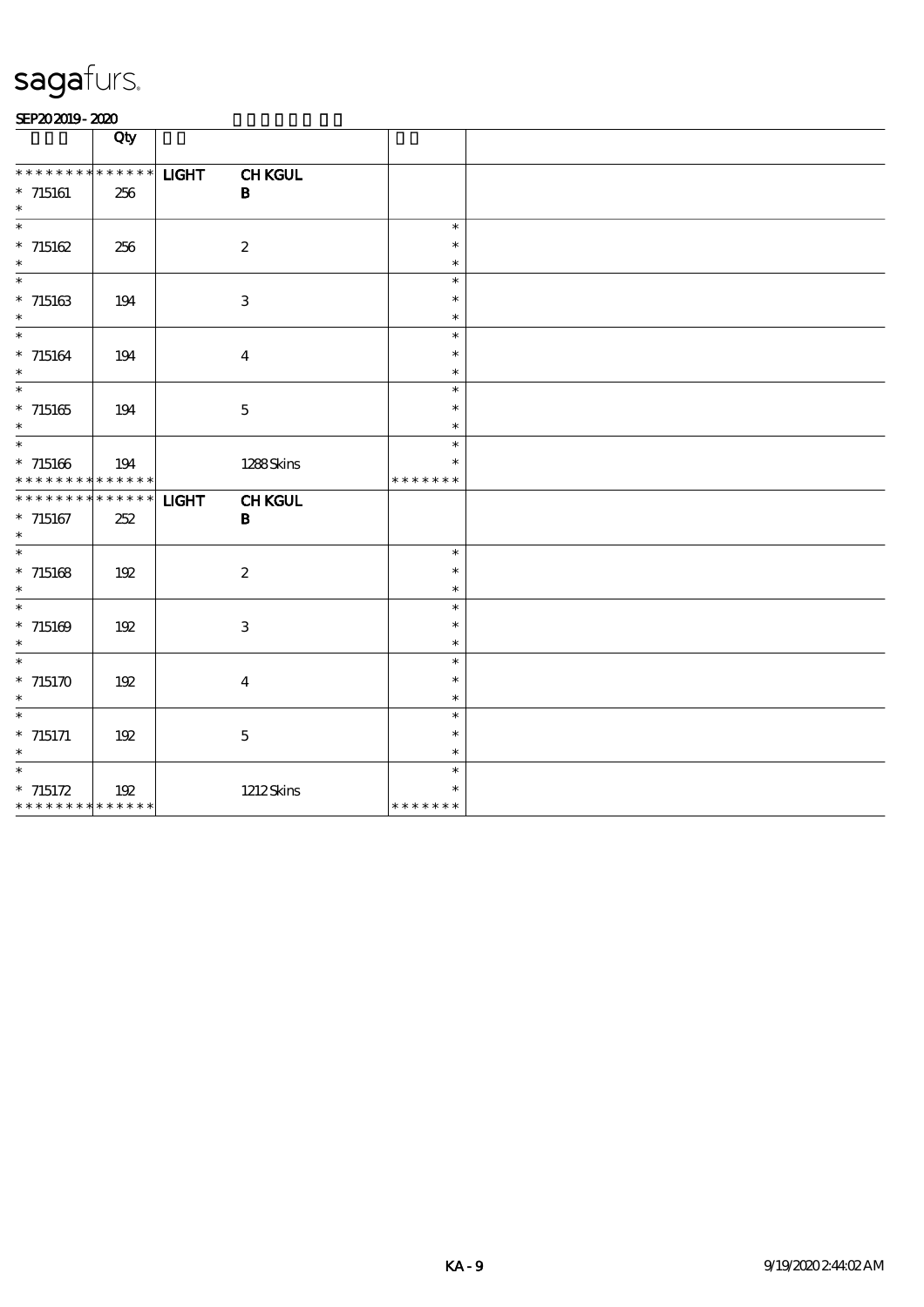|                                                                       | Qty |              |                               |                                   |  |
|-----------------------------------------------------------------------|-----|--------------|-------------------------------|-----------------------------------|--|
| * * * * * * * * * * * * * *<br>$*$ 715161<br>$\ast$                   | 256 | <b>LIGHT</b> | <b>CHKGUL</b><br>$\, {\bf B}$ |                                   |  |
| $\overline{\ast}$<br>$* 715162$<br>$\ast$                             | 256 |              | $\boldsymbol{2}$              | $\ast$<br>$\ast$<br>$\ast$        |  |
| $\ast$<br>$*$ 715163<br>$\ast$                                        | 194 |              | $\mathbf{3}$                  | $\ast$<br>$\ast$<br>$\ast$        |  |
| $\overline{\ast}$<br>$*$ 715164<br>$\ast$                             | 194 |              | $\bf{4}$                      | $\ast$<br>$\ast$<br>$\ast$        |  |
| $\ast$<br>$*715165$<br>$\ast$                                         | 194 |              | $\mathbf 5$                   | $\ast$<br>$\ast$<br>$\ast$        |  |
| $\ast$<br>$*715166$<br>* * * * * * * * * * * * * *                    | 194 |              | 1288Skins                     | $\ast$<br>$\ast$<br>* * * * * * * |  |
| * * * * * * * * * * * * * *<br>$*$ 715167<br>$\ast$                   | 252 | <b>LIGHT</b> | <b>CHKGUL</b><br>$\mathbf B$  |                                   |  |
| $\ast$<br>$*$ 715168<br>$\ast$                                        | 192 |              | $\boldsymbol{2}$              | $\ast$<br>$\ast$<br>$\ast$        |  |
| $\overline{\phantom{a}^*}$<br>$* 715169$<br>$\ast$                    | 192 |              | 3                             | $\ast$<br>$\ast$<br>$\ast$        |  |
| $\overline{\ast}$<br>$*715170$<br>$\ast$                              | 192 |              | $\overline{\mathbf{4}}$       | $\ast$<br>$\ast$<br>$\ast$        |  |
| $\overline{\phantom{0}}$<br>$*$ 715171<br>$\ast$                      | 192 |              | $\mathbf{5}$                  | $\ast$<br>$\ast$<br>$\ast$        |  |
| $\overline{\phantom{0}}$<br>$* 715172$<br>* * * * * * * * * * * * * * | 192 |              | <b>1212Skins</b>              | $\ast$<br>$\ast$<br>* * * * * * * |  |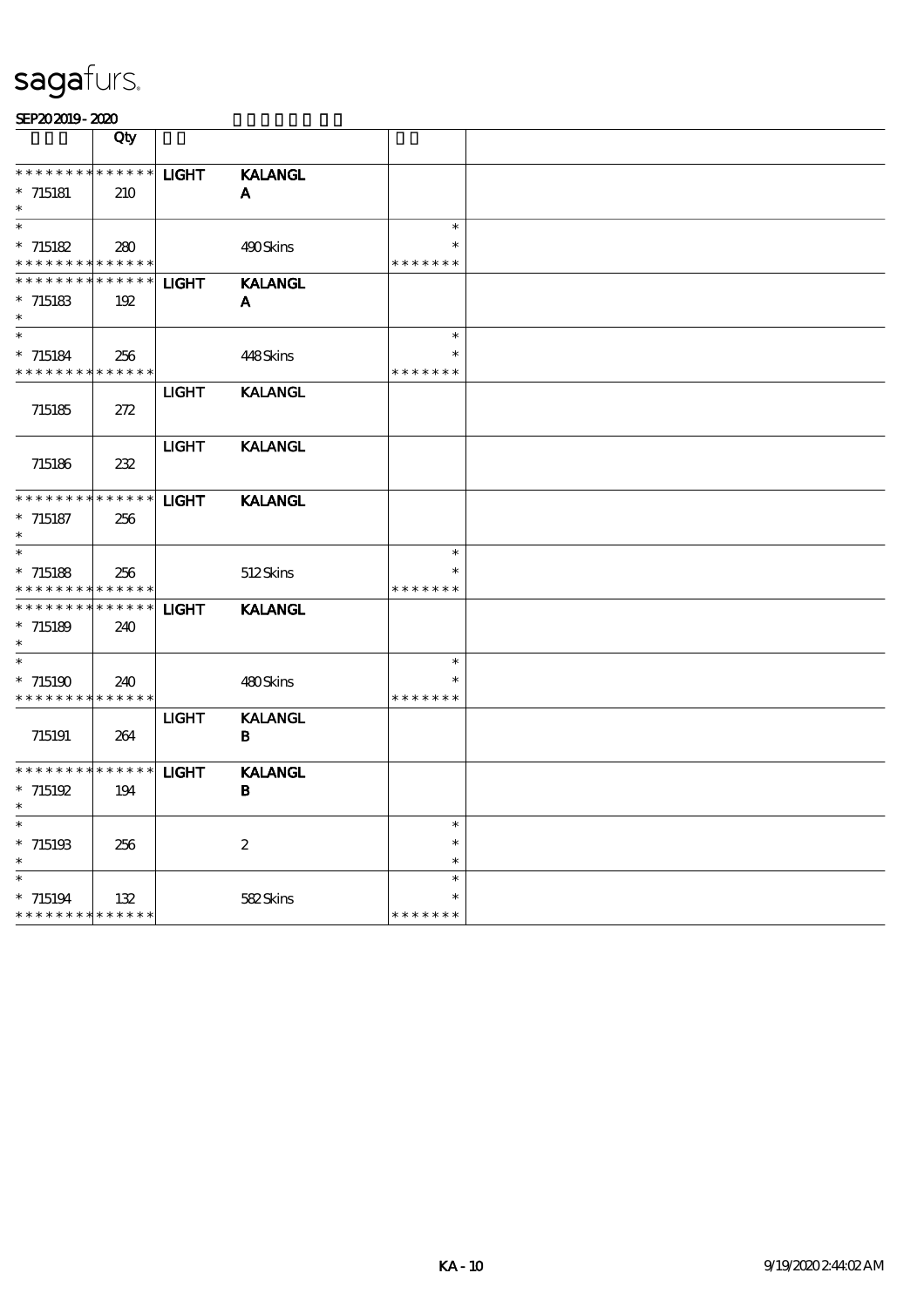|                             | Qty         |              |                  |               |  |
|-----------------------------|-------------|--------------|------------------|---------------|--|
| * * * * * * * * * * * * * * |             | <b>LIGHT</b> | <b>KALANGL</b>   |               |  |
| $*715181$                   | 210         |              | A                |               |  |
|                             |             |              |                  |               |  |
|                             |             |              |                  | $\ast$        |  |
| $*715182$                   | 280         |              | 490Skins         |               |  |
| * * * * * * * * * * * * * * |             |              |                  | * * * * * * * |  |
| $* * * * * * * * *$         | * * * * * * | <b>LIGHT</b> | <b>KALANGL</b>   |               |  |
| $* 715183$                  | 192         |              | ${\bf A}$        |               |  |
|                             |             |              |                  |               |  |
| $\ast$                      |             |              |                  | $\ast$        |  |
| $* 715184$                  | 256         |              | 448Skins         | *             |  |
| * * * * * * * * * * * * * * |             |              |                  | * * * * * * * |  |
|                             |             | <b>LIGHT</b> | <b>KALANGL</b>   |               |  |
| 715185                      | 272         |              |                  |               |  |
|                             |             |              |                  |               |  |
|                             |             | <b>LIGHT</b> | <b>KALANGL</b>   |               |  |
| 715186                      | 232         |              |                  |               |  |
|                             |             |              |                  |               |  |
| * * * * * * * *             | $******$    | <b>LIGHT</b> | <b>KALANGL</b>   |               |  |
| $*$ 715187                  | 256         |              |                  |               |  |
|                             |             |              |                  |               |  |
| $\overline{\phantom{1}}$    |             |              |                  | $\ast$        |  |
| $* 715188$                  | 256         |              | 512Skins         |               |  |
| * * * * * * * *             | * * * * * * |              |                  | * * * * * * * |  |
| * * * * * * * *             | * * * * * * | <b>LIGHT</b> | <b>KALANGL</b>   |               |  |
| $* 715189$                  | 240         |              |                  |               |  |
|                             |             |              |                  |               |  |
|                             |             |              |                  | $\ast$        |  |
| $*715190$                   | 240         |              | 480Skins         | $\ast$        |  |
| * * * * * * * * * * * * * * |             |              |                  | * * * * * * * |  |
|                             |             | <b>LIGHT</b> | <b>KALANGL</b>   |               |  |
| 715191                      | 264         |              | B                |               |  |
|                             |             |              |                  |               |  |
| * * * * * * * * * * * * * * |             | <b>LIGHT</b> | <b>KALANGL</b>   |               |  |
| $* 715192$                  | 194         |              | В                |               |  |
|                             |             |              |                  |               |  |
| $\ast$                      |             |              |                  | $\ast$        |  |
| $*715193$                   | 256         |              | $\boldsymbol{2}$ | $\ast$        |  |
|                             |             |              |                  | $\ast$        |  |
| $\ast$                      |             |              |                  | $\ast$        |  |
| $*715194$                   | 132         |              | 582Skins         |               |  |
| * * * * * * * * * * * * * * |             |              |                  | * * * *       |  |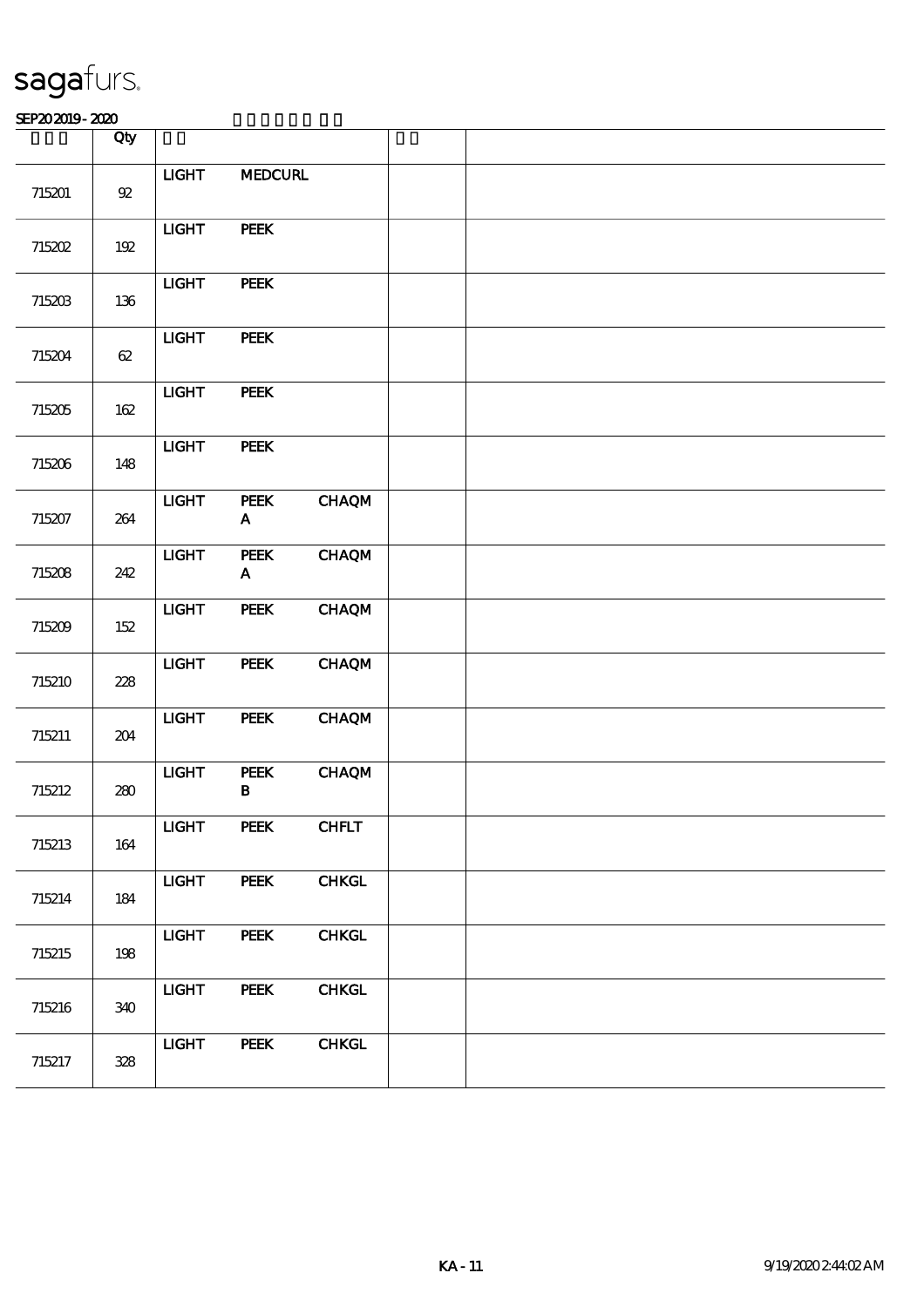|        | Qty             |                |                                          |              |  |  |
|--------|-----------------|----------------|------------------------------------------|--------------|--|--|
| 715201 | ${\mathfrak A}$ | $LIGHT$        | <b>MEDCURL</b>                           |              |  |  |
| 715202 | $192$           | $LIGHT$        | <b>PEEK</b>                              |              |  |  |
| 715203 | 136             | $LIGHT$        | <b>PEEK</b>                              |              |  |  |
| 715204 | 62              | $LIGHT$        | PEEK                                     |              |  |  |
| 715205 | $162\,$         | $LIGHT$        | <b>PEEK</b>                              |              |  |  |
| 715206 | 148             | $_{\rm IIGHT}$ | PEEK                                     |              |  |  |
| 715207 | 264             | $_{\rm LIGHT}$ | PEEK<br>$\mathbf A$                      | <b>CHAQM</b> |  |  |
| 715208 | 242             | <b>LIGHT</b>   | <b>PEEK</b><br>$\boldsymbol{\mathsf{A}}$ | <b>CHAQM</b> |  |  |
| 715209 | 152             | <b>LIGHT</b>   | PEEK                                     | <b>CHAQM</b> |  |  |
| 715210 | 228             | $LIGHT$        | <b>PEEK</b>                              | <b>CHAQM</b> |  |  |
| 715211 | 204             | $LIGHT$        | <b>PEEK</b>                              | <b>CHAQM</b> |  |  |
| 715212 | 280             | $_{\rm IIGHT}$ | ${\bf PEEK}$<br>$\, {\bf B}$             | <b>CHAQM</b> |  |  |
| 715213 | 164             | $_{\rm IIGHT}$ | ${\bf PEEK}$                             | CHFLT        |  |  |
| 715214 | 184             | <b>LIGHT</b>   | <b>PEEK</b>                              | <b>CHKGL</b> |  |  |
| 715215 | 198             | <b>LIGHT</b>   | PEEK                                     | <b>CHKGL</b> |  |  |
| 715216 | 340             | <b>LIGHT</b>   | <b>PEEK</b>                              | <b>CHKGL</b> |  |  |
| 715217 | 328             | <b>LIGHT</b>   | <b>PEEK</b>                              | <b>CHKGL</b> |  |  |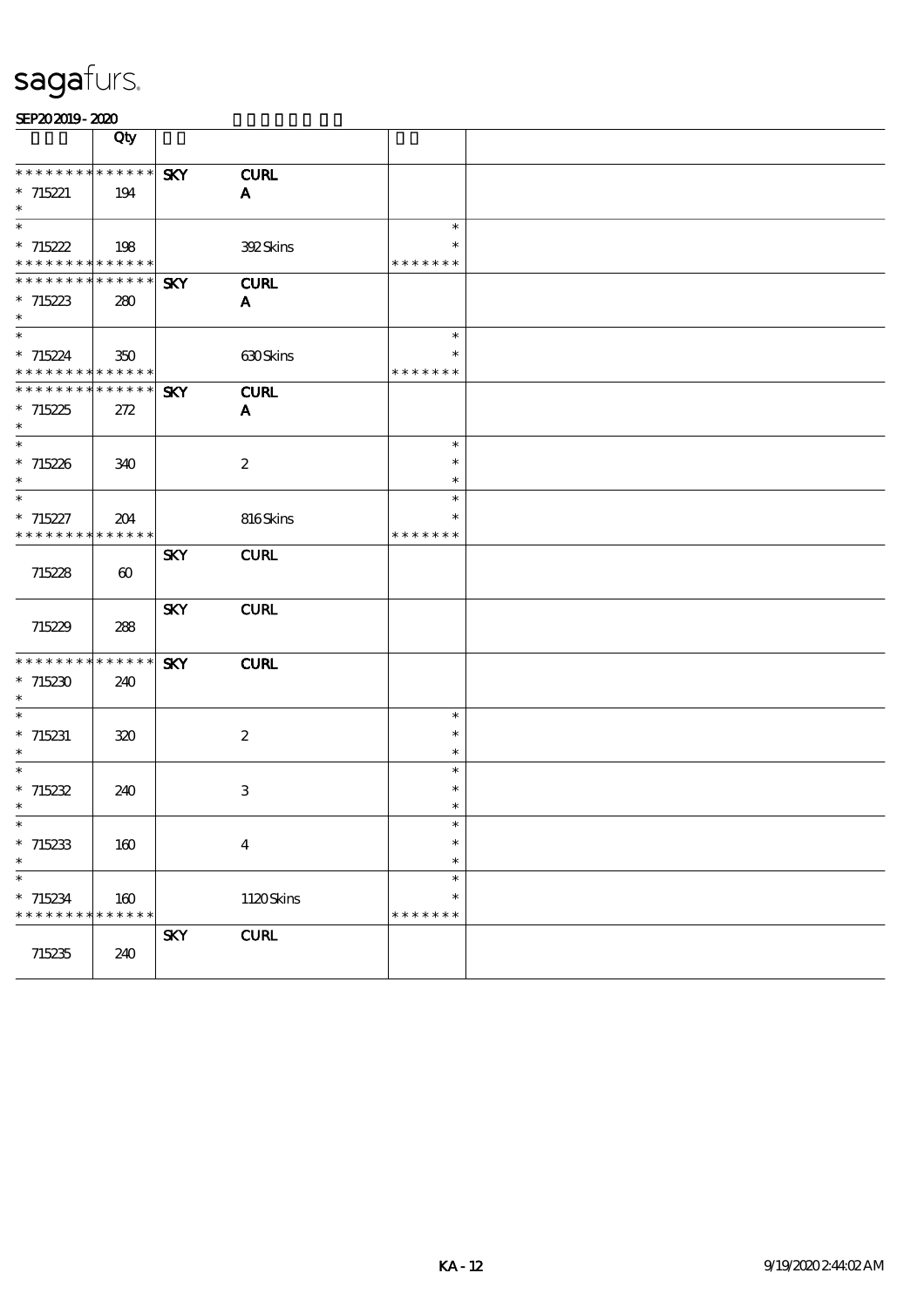|                                            | Qty                   |            |                  |                  |  |
|--------------------------------------------|-----------------------|------------|------------------|------------------|--|
| **************                             |                       | <b>SKY</b> | <b>CURL</b>      |                  |  |
| $* 715221$                                 | 194                   |            | A                |                  |  |
| $\ast$                                     |                       |            |                  |                  |  |
| $\ast$                                     |                       |            |                  | $\ast$           |  |
| $*715222$                                  | 198                   |            | 392Skins         | $\ast$           |  |
| * * * * * * * * * * * * * *                |                       |            |                  | * * * * * * *    |  |
| ******** <mark>******</mark>               |                       | <b>SKY</b> | <b>CURL</b>      |                  |  |
| $*715223$                                  | 280                   |            | A                |                  |  |
| $\ast$                                     |                       |            |                  |                  |  |
| $\ast$                                     |                       |            |                  | $\ast$           |  |
| $*715224$                                  | 350                   |            | 630Skins         | $\ast$           |  |
| * * * * * * * * * * * * * *                |                       |            |                  | * * * * * * *    |  |
| ******** <mark>******</mark>               |                       | <b>SKY</b> | <b>CURL</b>      |                  |  |
| $*715225$                                  | 272                   |            | $\mathbf{A}$     |                  |  |
| $\ast$                                     |                       |            |                  |                  |  |
| $\ast$                                     |                       |            |                  | $\ast$           |  |
| $*715226$                                  | 340                   |            | $\boldsymbol{2}$ | $\ast$           |  |
| $\ast$<br>$\overline{\phantom{0}}$         |                       |            |                  | $\ast$           |  |
|                                            |                       |            |                  | $\ast$<br>$\ast$ |  |
| $* 715227$                                 | 204                   |            | 816Skins         | * * * * * * *    |  |
| * * * * * * * * <mark>* * * * * * *</mark> |                       |            |                  |                  |  |
|                                            |                       | <b>SKY</b> | <b>CURL</b>      |                  |  |
| 715228                                     | $\boldsymbol{\omega}$ |            |                  |                  |  |
|                                            |                       | <b>SKY</b> | <b>CURL</b>      |                  |  |
| 715229                                     | 288                   |            |                  |                  |  |
|                                            |                       |            |                  |                  |  |
| **************                             |                       | <b>SKY</b> | <b>CURL</b>      |                  |  |
| $*715230$                                  | 240                   |            |                  |                  |  |
| $\ast$                                     |                       |            |                  |                  |  |
| $\ast$                                     |                       |            |                  | $\ast$           |  |
| $*715231$                                  | 320                   |            | $\boldsymbol{z}$ | $\ast$           |  |
| $\ast$                                     |                       |            |                  | $\ast$           |  |
| $\ast$                                     |                       |            |                  | $\ast$           |  |
| $* 715232$                                 | 240                   |            | 3                | $\ast$           |  |
| $\ast$                                     |                       |            |                  |                  |  |
| ∗                                          |                       |            |                  | ∗                |  |
| $*715233$                                  | $160\,$               |            | $\bf{4}$         | $\ast$           |  |
| $\ast$                                     |                       |            |                  | $\ast$           |  |
| $\overline{\phantom{0}}$                   |                       |            |                  | $\ast$           |  |
| $*715234$                                  | 160                   |            | 1120Skins        | $\ast$           |  |
| * * * * * * * * <mark>* * * * * * *</mark> |                       |            |                  | * * * * * * *    |  |
|                                            |                       | <b>SKY</b> | <b>CURL</b>      |                  |  |
| 715235                                     | 240                   |            |                  |                  |  |
|                                            |                       |            |                  |                  |  |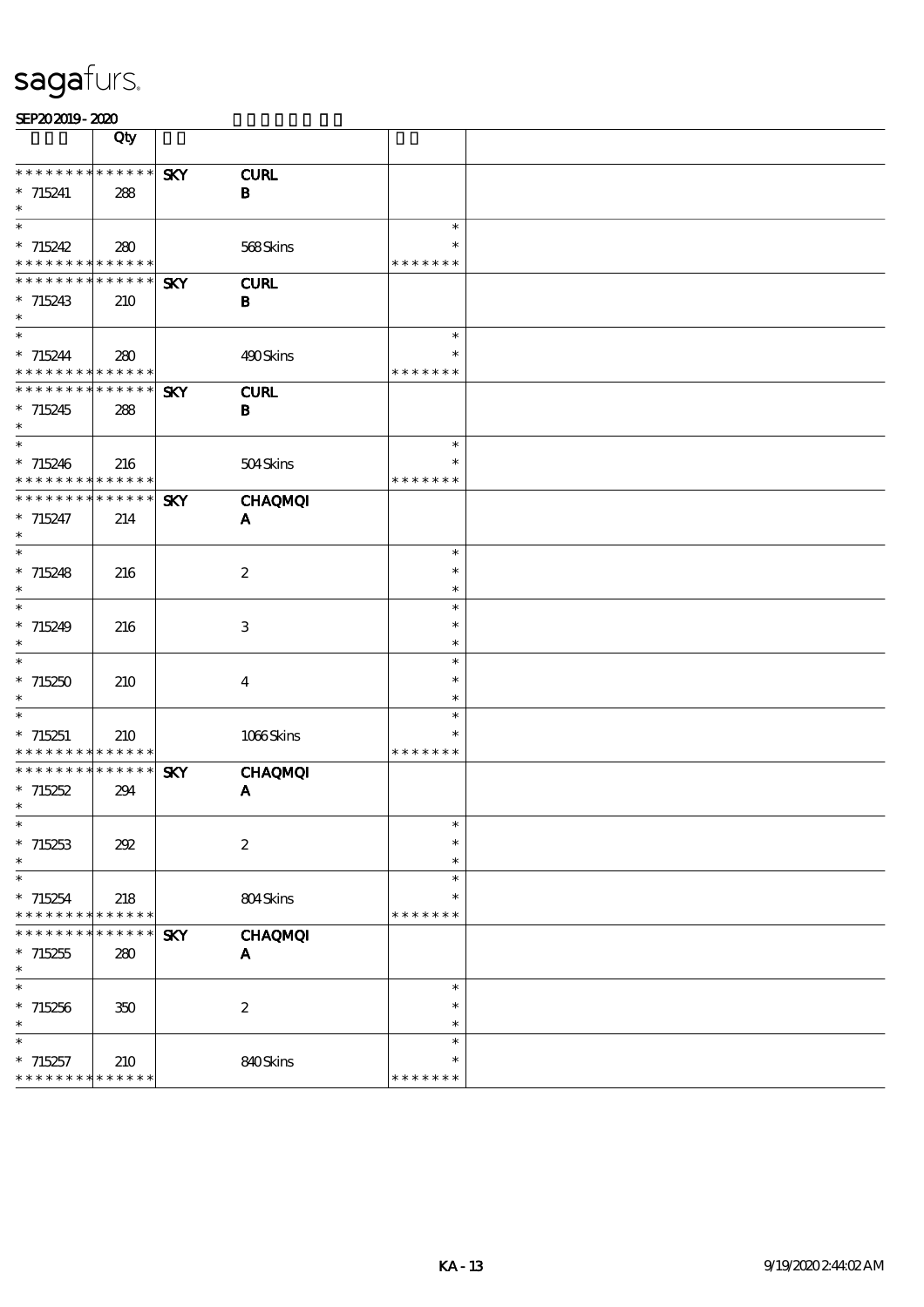|                                          | Qty         |            |                  |                         |  |
|------------------------------------------|-------------|------------|------------------|-------------------------|--|
|                                          |             |            |                  |                         |  |
| * * * * * * * * * * * * * *              |             | <b>SKY</b> | <b>CURL</b>      |                         |  |
| $* 715241$<br>$\ast$                     | 288         |            | $\, {\bf B}$     |                         |  |
| $\overline{\phantom{1}}$                 |             |            |                  | $\ast$                  |  |
| $*715242$                                | 280         |            | 568Skins         | $\ast$                  |  |
| * * * * * * * * * * * * * *              |             |            |                  | * * * * * * *           |  |
| **************                           |             | <b>SKY</b> | <b>CURL</b>      |                         |  |
| $*715243$                                | 210         |            | B                |                         |  |
| $\ast$                                   |             |            |                  |                         |  |
| $\ast$                                   |             |            |                  | $\ast$                  |  |
| $* 715244$                               | 280         |            | 490Skins         | $\ast$                  |  |
| * * * * * * * * * * * * * *              |             |            |                  | * * * * * * *           |  |
| **************                           |             | <b>SKY</b> | <b>CURL</b>      |                         |  |
| $*715245$<br>$\ast$                      | 288         |            | $\bf{B}$         |                         |  |
| $\ast$                                   |             |            |                  | $\ast$                  |  |
| $*715246$                                | 216         |            | 504Skins         | *                       |  |
| * * * * * * * * * * * * * *              |             |            |                  | * * * * * * *           |  |
| * * * * * * * * * * * * * *              |             | <b>SKY</b> | <b>CHAQMQI</b>   |                         |  |
| $*715247$                                | 214         |            | A                |                         |  |
| $\ast$                                   |             |            |                  |                         |  |
| $\overline{\phantom{0}}$                 |             |            |                  | $\ast$                  |  |
| $* 715248$                               | 216         |            | $\boldsymbol{2}$ | $\ast$                  |  |
| $\ast$                                   |             |            |                  | $\ast$                  |  |
| $\overline{\ast}$                        |             |            |                  | $\ast$                  |  |
| $*715249$<br>$\ast$                      | 216         |            | 3                | $\ast$<br>$\ast$        |  |
| $\ast$                                   |             |            |                  | $\ast$                  |  |
| $*715250$                                | 210         |            | $\boldsymbol{4}$ | $\ast$                  |  |
| $\ast$                                   |             |            |                  | $\ast$                  |  |
| $\ast$                                   |             |            |                  | $\ast$                  |  |
| $*715251$                                | 210         |            | 1066Skins        | $\ast$                  |  |
| * * * * * * * * * * * * * *              |             |            |                  | * * * * * * *           |  |
| * * * * * * * *                          | * * * * * * | <b>SKY</b> | <b>CHAQMQI</b>   |                         |  |
| $*715252$                                | 294         |            | A                |                         |  |
| $\ast$                                   |             |            |                  |                         |  |
| ∗                                        |             |            |                  | ∗<br>$\ast$             |  |
| $*715253$<br>$\ast$                      | 202         |            | $\boldsymbol{2}$ | $\ast$                  |  |
| $\overline{\phantom{a}}$                 |             |            |                  | $\ast$                  |  |
| $*715254$                                | 218         |            | 804Skins         | $\ast$                  |  |
| * * * *<br>* * * *                       | * * * * * * |            |                  | * * * * * * *           |  |
| * * * * * * *                            | * * * * * * | <b>SKY</b> | <b>CHAQMQI</b>   |                         |  |
| $*715255$                                | 280         |            | A                |                         |  |
| $\ast$                                   |             |            |                  |                         |  |
| $\ast$                                   |             |            |                  | $\ast$                  |  |
| $*715256$                                | 350         |            | $\boldsymbol{2}$ | $\ast$                  |  |
| $\ast$                                   |             |            |                  | $\ast$                  |  |
| $\ast$                                   |             |            |                  | $\ast$                  |  |
| $*715257$<br>* * * * * * * * * * * * * * | 210         |            | 840Skins         | $\ast$<br>* * * * * * * |  |
|                                          |             |            |                  |                         |  |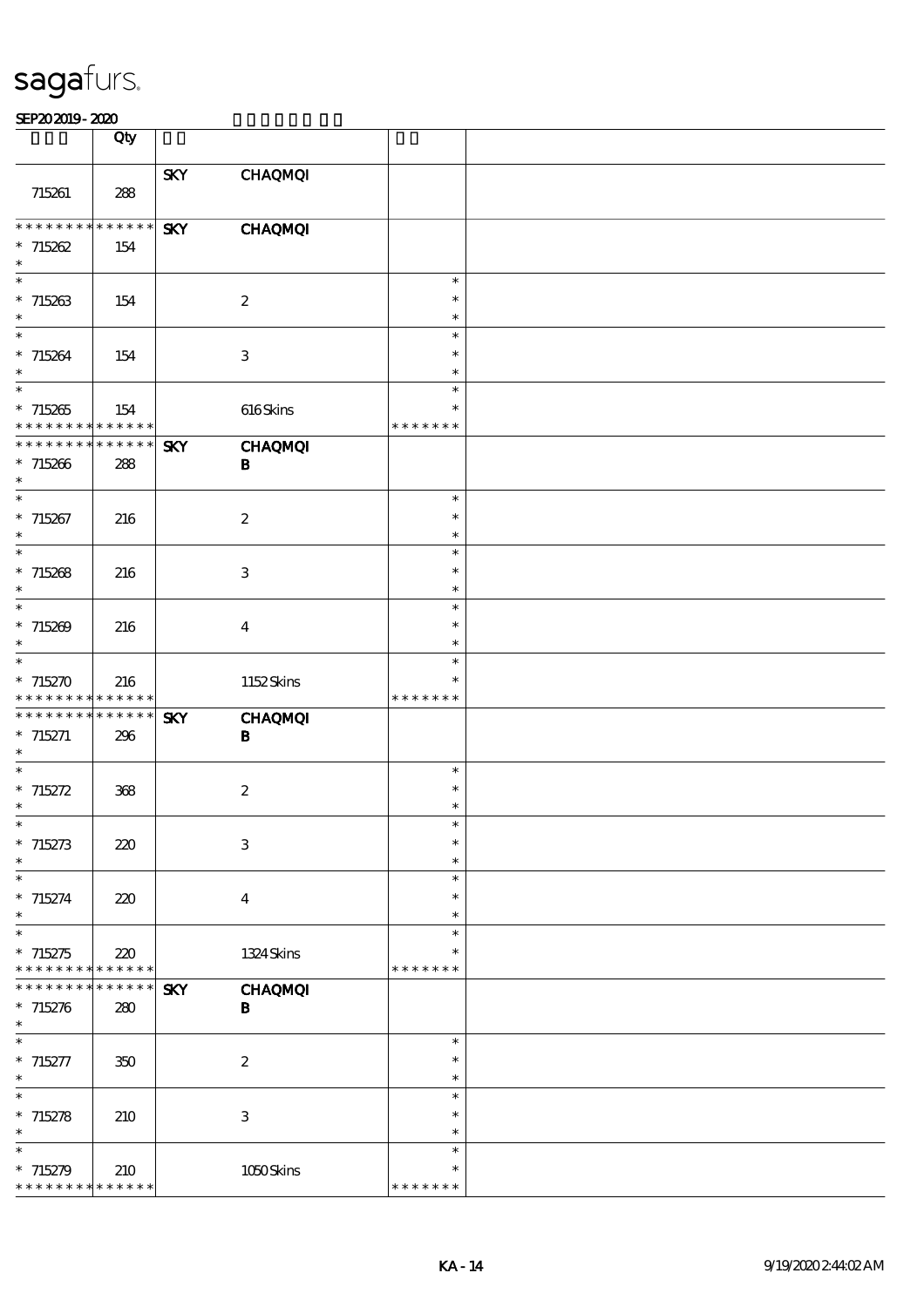|                                            | Qty                               |            |                           |                         |  |
|--------------------------------------------|-----------------------------------|------------|---------------------------|-------------------------|--|
|                                            |                                   |            |                           |                         |  |
| 715261                                     | 288                               | <b>SKY</b> | <b>CHAQMQI</b>            |                         |  |
|                                            |                                   |            |                           |                         |  |
| **************                             |                                   | <b>SKY</b> | <b>CHAQMQI</b>            |                         |  |
| $* 715262$                                 | 154                               |            |                           |                         |  |
| $\ast$<br>$\ast$                           |                                   |            |                           | $\ast$                  |  |
| $*715263$                                  | 154                               |            | $\boldsymbol{2}$          | $\ast$                  |  |
| $\ast$                                     |                                   |            |                           | $\ast$                  |  |
| $\ast$                                     |                                   |            |                           | $\ast$                  |  |
| $*715264$<br>$\ast$                        | 154                               |            | 3                         | $\ast$                  |  |
| $\overline{\phantom{0}}$                   |                                   |            |                           | $\ast$<br>$\ast$        |  |
| $*715265$                                  | 154                               |            | 616Skins                  | $\ast$                  |  |
| * * * * * * * * * * * * * *                |                                   |            |                           | * * * * * * *           |  |
| * * * * * * * * * * * * * *                |                                   | <b>SKY</b> | <b>CHAQMQI</b>            |                         |  |
| $*715266$<br>$\ast$                        | 288                               |            | $\bf{B}$                  |                         |  |
| $\overline{\ast}$                          |                                   |            |                           | $\ast$                  |  |
| $*715267$                                  | 216                               |            | $\boldsymbol{2}$          | $\ast$                  |  |
| $\ast$                                     |                                   |            |                           | $\ast$                  |  |
| $\overline{\ast}$                          |                                   |            |                           | $\ast$                  |  |
| $* 715268$<br>$\ast$                       | 216                               |            | $\mathbf{3}$              | $\ast$<br>$\ast$        |  |
| $\ast$                                     |                                   |            |                           | $\ast$                  |  |
| $* 715209$                                 | 216                               |            | $\bf{4}$                  | $\ast$                  |  |
| $\ast$                                     |                                   |            |                           | $\ast$                  |  |
| $\ast$                                     |                                   |            |                           | $\ast$                  |  |
| $*715270$<br>* * * * * * * *               | 216<br>* * * * * *                |            | 1152Skins                 | $\ast$<br>* * * * * * * |  |
| * * * * * * * *                            | $******$                          | <b>SKY</b> | <b>CHAQMQI</b>            |                         |  |
| $*715271$                                  | 296                               |            | B                         |                         |  |
| $\ast$<br>$\ast$                           |                                   |            |                           |                         |  |
| $* 715272$                                 | 368                               |            | $\boldsymbol{z}$          | $\ast$<br>$\ast$        |  |
| $\ast$                                     |                                   |            |                           | $\ast$                  |  |
| $*$                                        |                                   |            |                           |                         |  |
| $* 715273$                                 | 220                               |            | $\ensuremath{\mathbf{3}}$ | $\ast$                  |  |
| $\ast$<br>$\ast$                           |                                   |            |                           | $\ast$<br>$\ast$        |  |
| $* 715274$                                 | 220                               |            | $\bf{4}$                  | $\ast$                  |  |
| $\ast$                                     |                                   |            |                           | $\ast$                  |  |
| $\ast$                                     |                                   |            |                           | $\ast$                  |  |
| $*715275$<br>* * * * * * * *               | 220<br>$\ast\ast\ast\ast\ast\ast$ |            | 1324 Skins                | $\ast$<br>* * * * * * * |  |
| * * * * * * *                              | * * * * * *                       | <b>SKY</b> | <b>CHAQMQI</b>            |                         |  |
| $* 715276$                                 | 280                               |            | $\bf{B}$                  |                         |  |
| $\ast$                                     |                                   |            |                           |                         |  |
| $\ast$                                     |                                   |            |                           | $\ast$                  |  |
| $* 715277$<br>$\ast$                       | 350                               |            | $\boldsymbol{2}$          | $\ast$<br>$\ast$        |  |
| $\ast$                                     |                                   |            |                           | $\ast$                  |  |
| $* 715278$                                 | 210                               |            | 3                         | $\ast$                  |  |
| $\ast$                                     |                                   |            |                           | $\ast$                  |  |
| $\ast$<br>$* 715279$                       |                                   |            | $1050$ Skins              | $\ast$<br>$\ast$        |  |
| * * * * * * * * <mark>* * * * * *</mark> * | 210                               |            |                           | * * * * * * *           |  |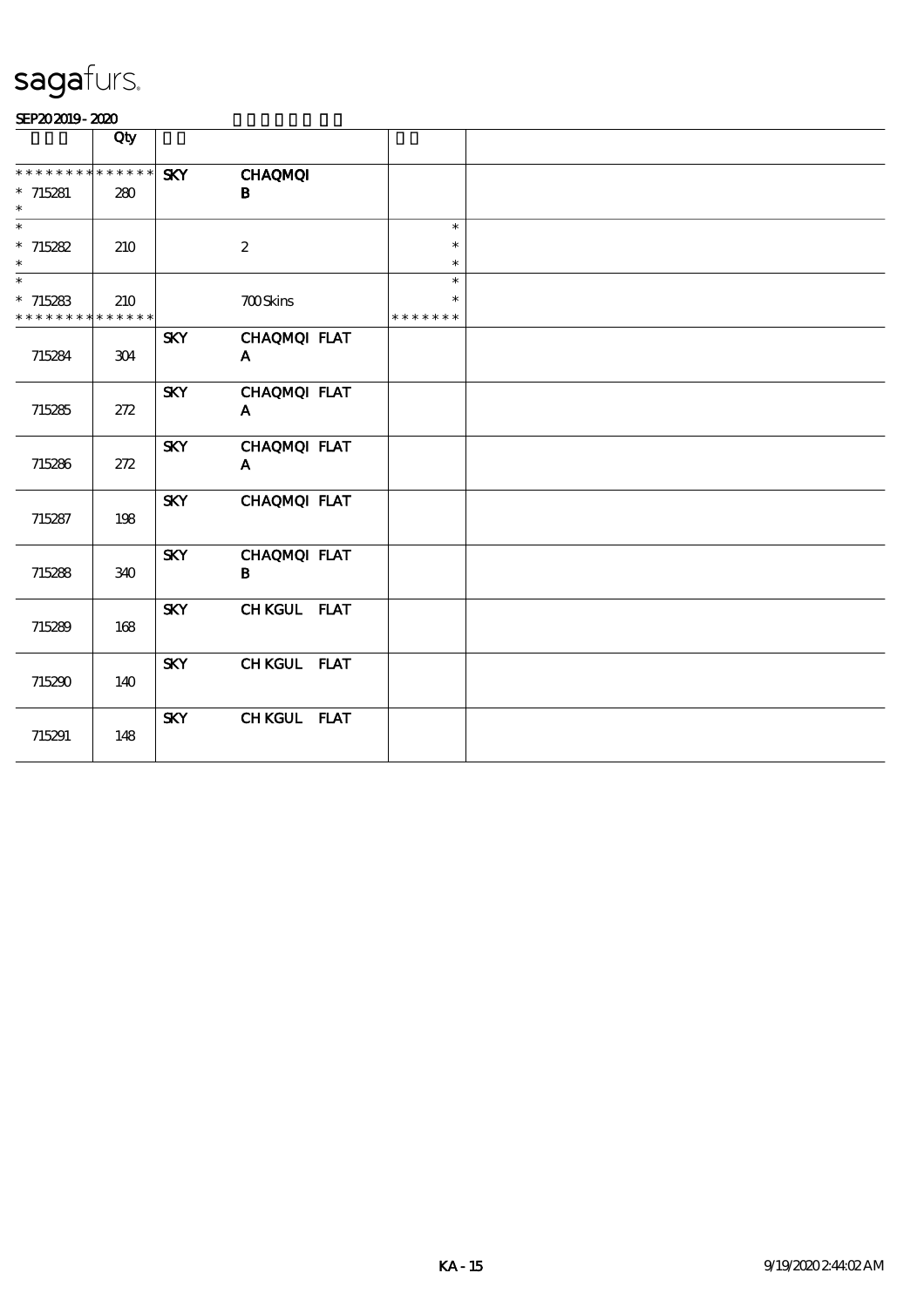|                             | Qty |            |                  |               |        |
|-----------------------------|-----|------------|------------------|---------------|--------|
| * * * * * * * * * * * * * * |     | <b>SKY</b> | <b>CHAQMQI</b>   |               |        |
| $*715281$                   | 280 |            | В                |               |        |
| $\ast$                      |     |            |                  |               |        |
| $\ast$                      |     |            |                  |               | $\ast$ |
| $* 715282$                  | 210 |            | $\boldsymbol{2}$ |               | $\ast$ |
| $\ast$                      |     |            |                  |               | $\ast$ |
| $\ast$                      |     |            |                  |               | $\ast$ |
| $*715283$                   | 210 |            | <b>700Skins</b>  |               | $\ast$ |
| * * * * * * * * * * * * * * |     |            |                  | * * * * * * * |        |
|                             |     | <b>SKY</b> | CHAQMQI FLAT     |               |        |
| 715284                      | 304 |            | $\mathbf{A}$     |               |        |
|                             |     |            |                  |               |        |
|                             |     | <b>SKY</b> | CHAQMQI FLAT     |               |        |
| 715285                      | 272 |            | $\mathbf{A}$     |               |        |
|                             |     |            |                  |               |        |
|                             |     | <b>SKY</b> | CHAQMQI FLAT     |               |        |
| 715286                      | 272 |            | A                |               |        |
|                             |     |            |                  |               |        |
|                             |     | <b>SKY</b> | CHAQMQI FLAT     |               |        |
| 715287                      | 198 |            |                  |               |        |
|                             |     |            |                  |               |        |
|                             |     | <b>SKY</b> | CHAQMQI FLAT     |               |        |
| 715288                      | 340 |            | B                |               |        |
|                             |     |            |                  |               |        |
|                             |     | <b>SKY</b> | CHKGUL FLAT      |               |        |
| 715289                      | 168 |            |                  |               |        |
|                             |     |            |                  |               |        |
|                             |     | <b>SKY</b> | CHKGUL FLAT      |               |        |
| 715290                      | 140 |            |                  |               |        |
|                             |     |            |                  |               |        |
|                             |     | <b>SKY</b> | CHKGUL FLAT      |               |        |
| 715291                      | 148 |            |                  |               |        |
|                             |     |            |                  |               |        |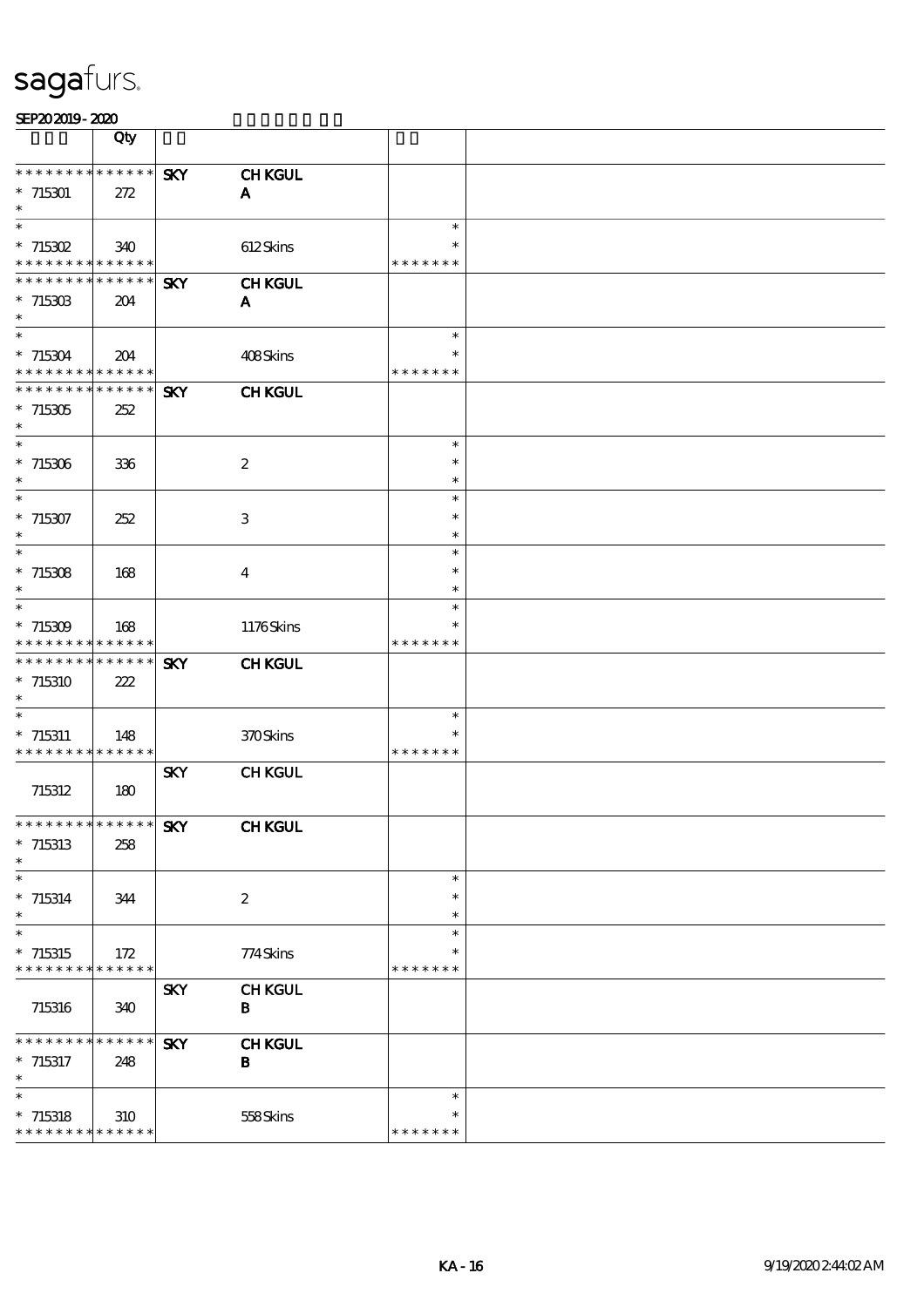|                                           | Qty                     |            |                           |                         |  |
|-------------------------------------------|-------------------------|------------|---------------------------|-------------------------|--|
| * * * * * * * *                           | * * * * * *             | <b>SKY</b> | <b>CHKGUL</b>             |                         |  |
| $*715301$                                 | 272                     |            | A                         |                         |  |
| $\ast$<br>$\overline{\phantom{0}}$        |                         |            |                           | $\ast$                  |  |
| $*715302$                                 | 340                     |            | 612Skins                  | $\ast$                  |  |
| * * * * * * * * * * * * * *               |                         |            |                           | * * * * * * *           |  |
| * * * * * * * *                           | $* * * * * * *$         | <b>SKY</b> | <b>CHKGUL</b>             |                         |  |
| $*71530B$<br>$\ast$                       | 204                     |            | A                         |                         |  |
| $\ast$                                    |                         |            |                           | $\ast$                  |  |
| $*715304$                                 | 204                     |            | 408Skins                  | *                       |  |
| * * * * * * * * * * * * * *               |                         |            |                           | * * * * * * *           |  |
| ********                                  | $* * * * * * *$         | <b>SKY</b> | <b>CHKGUL</b>             |                         |  |
| $*715305$<br>$\ast$                       | 252                     |            |                           |                         |  |
| $\ast$                                    |                         |            |                           | $\ast$                  |  |
| $*715306$                                 | 336                     |            | $\boldsymbol{2}$          | $\ast$                  |  |
| $\ast$<br>$\ast$                          |                         |            |                           | $\ast$<br>$\ast$        |  |
| $*715307$                                 | 252                     |            | 3                         | $\ast$                  |  |
| $\ast$                                    |                         |            |                           | $\ast$                  |  |
| $\overline{\phantom{1}}$                  |                         |            |                           | $\ast$                  |  |
| $* 715308$<br>$\ast$                      | 168                     |            | $\overline{4}$            | $\ast$<br>$\ast$        |  |
| $\ast$                                    |                         |            |                           | $\ast$                  |  |
| $*715309$                                 | 168                     |            | 1176Skins                 | $\ast$                  |  |
| * * * * * * * *<br>* * * * * * * *        | * * * * * *<br>$******$ |            |                           | * * * * * * *           |  |
| $*715310$                                 | 222                     | <b>SKY</b> | <b>CHKGUL</b>             |                         |  |
| $\ast$                                    |                         |            |                           |                         |  |
| $\ast$                                    |                         |            |                           | $\ast$                  |  |
| $* 715311$<br>* * * * * * * * * * * * * * | 148                     |            | 370Skins                  | $\ast$<br>* * * * * * * |  |
|                                           |                         | <b>SKY</b> | <b>CHKGUL</b>             |                         |  |
| 715312                                    | 180                     |            |                           |                         |  |
| **************                            |                         |            |                           |                         |  |
| $*$ 715313                                | 258                     | SKY        | <b>CHKGUL</b>             |                         |  |
| $\ast$                                    |                         |            |                           |                         |  |
| $\overline{\phantom{0}}$                  |                         |            |                           | $\ast$                  |  |
| $* 715314$<br>$\ast$                      | 344                     |            | $\boldsymbol{2}$          | $\ast$<br>$\ast$        |  |
| $\ast$                                    |                         |            |                           | $\ast$                  |  |
| $*715315$                                 | 172                     |            | 774Skins                  | $\ast$                  |  |
| * * * * * * * *                           | * * * * * *             |            |                           | * * * * * * *           |  |
| 715316                                    | 340                     | <b>SKY</b> | <b>CHKGUL</b><br>$\bf{B}$ |                         |  |
|                                           |                         |            |                           |                         |  |
| * * * * * * * *                           | * * * * * *             | <b>SKY</b> | <b>CHKGUL</b>             |                         |  |
| $*$ 715317<br>$\ast$                      | 248                     |            | B                         |                         |  |
| $\ast$                                    |                         |            |                           | $\ast$                  |  |
| $*$ 715318                                | 310                     |            | 558Skins                  | *                       |  |
| * * * * * * * * * * * * * *               |                         |            |                           | * * * * * * *           |  |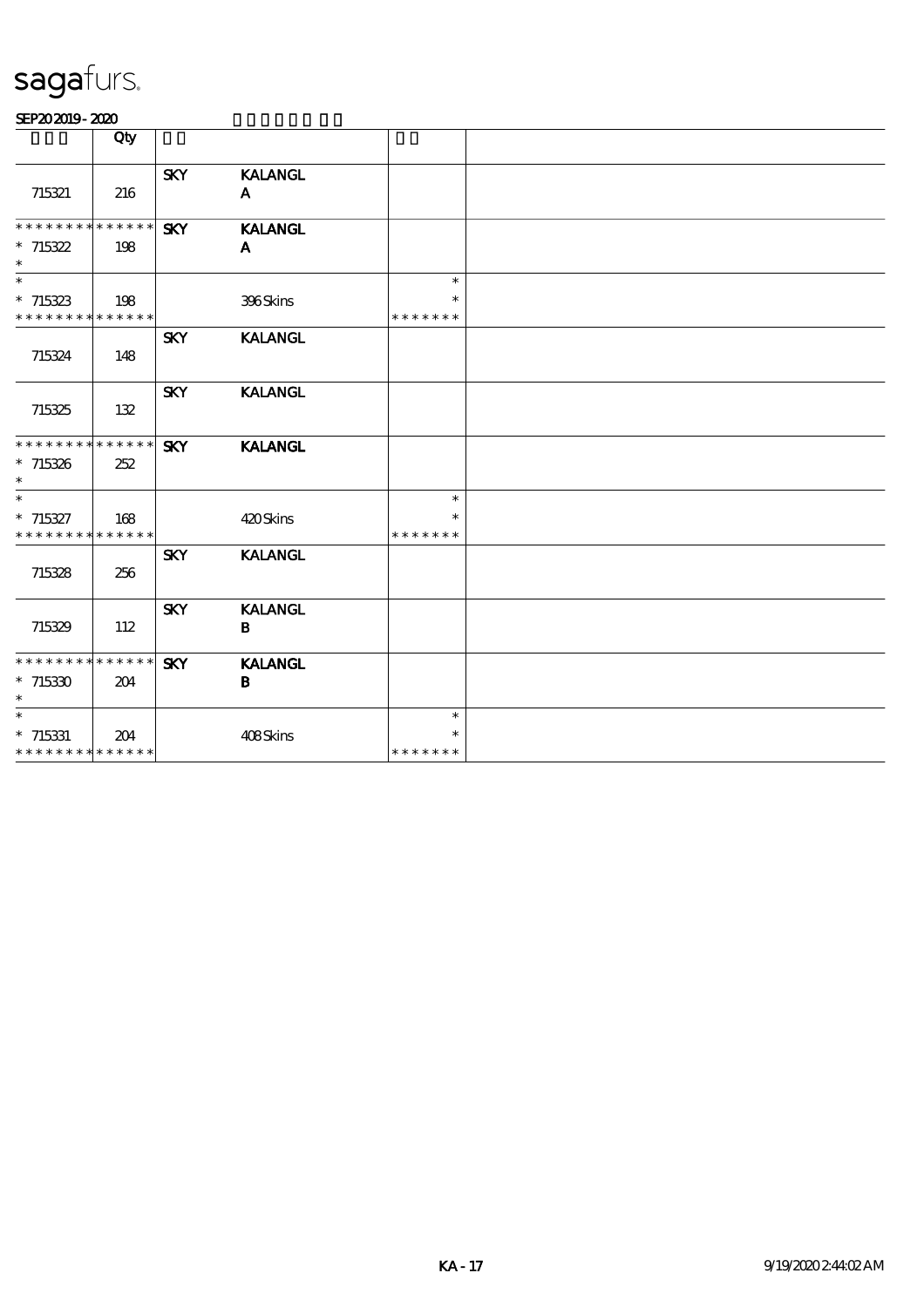|                             | Qty |            |                |               |  |
|-----------------------------|-----|------------|----------------|---------------|--|
|                             |     | <b>SKY</b> | <b>KALANGL</b> |               |  |
| 715321                      | 216 |            | A              |               |  |
|                             |     |            |                |               |  |
| * * * * * * * * * * * * * * |     | <b>SKY</b> | <b>KALANGL</b> |               |  |
| $*715322$                   | 198 |            | A              |               |  |
| $\ast$                      |     |            |                |               |  |
| $\ast$                      |     |            |                | $\ast$        |  |
| $*715323$                   | 198 |            | 396Skins       | $\ast$        |  |
| * * * * * * * * * * * * * * |     |            |                | * * * * * * * |  |
|                             |     | <b>SKY</b> | <b>KALANGL</b> |               |  |
| 715324                      | 148 |            |                |               |  |
|                             |     |            |                |               |  |
|                             |     | <b>SKY</b> | <b>KALANGL</b> |               |  |
| 715325                      | 132 |            |                |               |  |
|                             |     |            |                |               |  |
| * * * * * * * * * * * * * * |     | <b>SKY</b> | <b>KALANGL</b> |               |  |
| $*715326$                   | 252 |            |                |               |  |
| $\ast$                      |     |            |                |               |  |
| $\overline{\ast}$           |     |            |                | $\ast$        |  |
| $* 715327$                  | 168 |            | 420Skins       | $\ast$        |  |
| * * * * * * * * * * * * * * |     |            |                | * * * * * * * |  |
|                             |     | <b>SKY</b> | <b>KALANGL</b> |               |  |
| 715328                      | 256 |            |                |               |  |
|                             |     |            |                |               |  |
|                             |     | <b>SKY</b> | <b>KALANGL</b> |               |  |
| 715329                      | 112 |            | $\bf{B}$       |               |  |
|                             |     |            |                |               |  |
| * * * * * * * * * * * * * * |     | <b>SKY</b> | <b>KALANGL</b> |               |  |
| $*715330$                   | 204 |            | В              |               |  |
| $\ast$                      |     |            |                |               |  |
| $\ast$                      |     |            |                | $\ast$        |  |
| $*$ 715331                  | 204 |            | 408Skins       | $\ast$        |  |
| * * * * * * * * * * * * * * |     |            |                | * * * * * * * |  |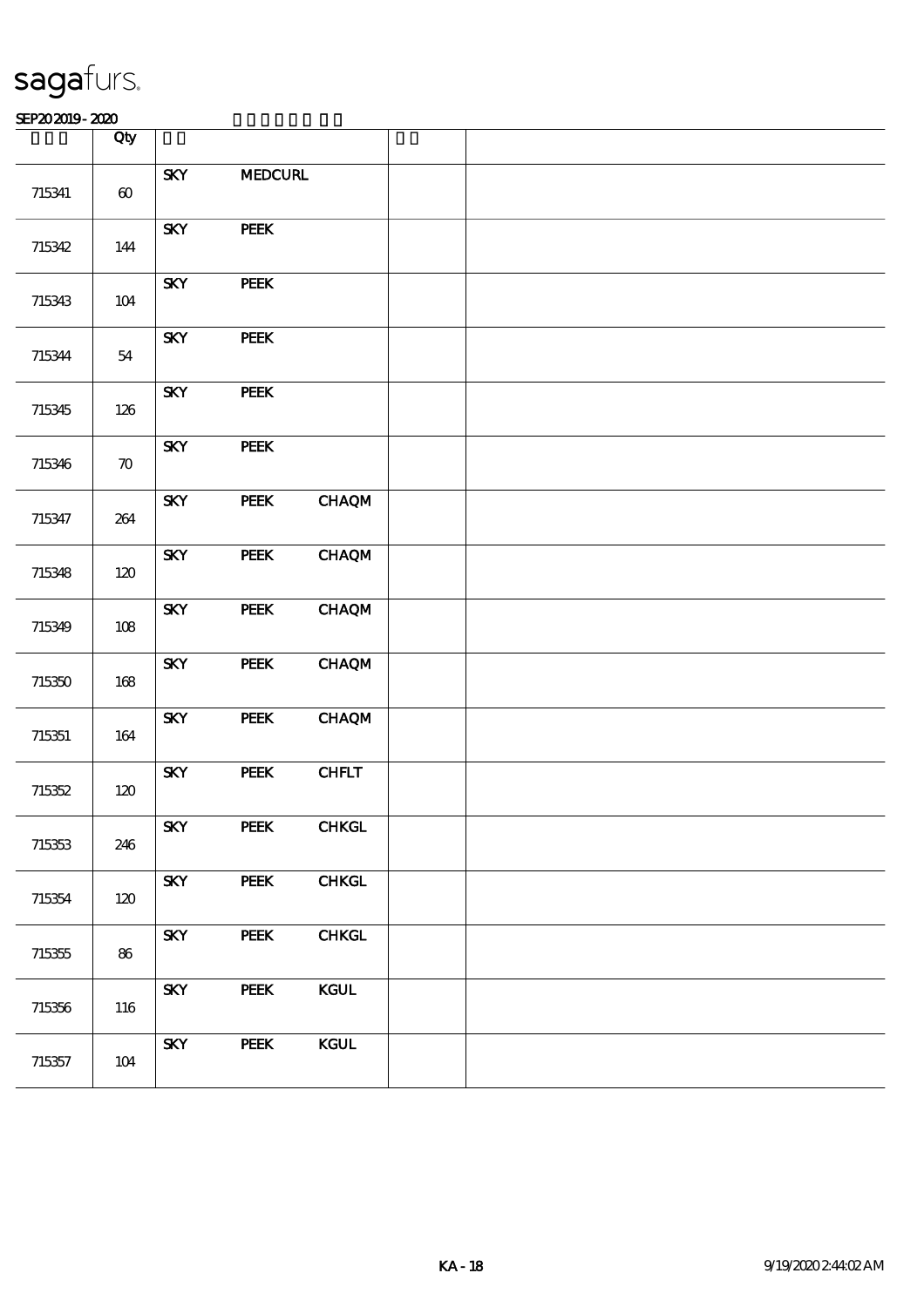|        | Qty                |                                        |                |               |  |
|--------|--------------------|----------------------------------------|----------------|---------------|--|
| 715341 | $\pmb{\infty}$     | <b>SKY</b>                             | <b>MEDCURL</b> |               |  |
| 715342 | $144$              | <b>SKY</b>                             | PEEK           |               |  |
| 715343 | $104$              | <b>SKY</b>                             | PEEK           |               |  |
| 715344 | ${\bf 54}$         | <b>SKY</b>                             | <b>PEEK</b>    |               |  |
| 715345 | 126                | <b>SKY</b>                             | PEEK           |               |  |
| 715346 | $\boldsymbol{\pi}$ | <b>SKY</b>                             | PEEK           |               |  |
| 715347 | 264                | <b>SKY</b>                             | PEEK           | <b>CHAQM</b>  |  |
| 715348 | 120                | <b>SKY</b>                             | <b>PEEK</b>    | <b>CHAQM</b>  |  |
| 715349 | $108$              | <b>SKY</b>                             | PEEK           | <b>CHAQM</b>  |  |
| 715350 | $168$              | <b>SKY</b>                             | PEEK           | <b>CHAQM</b>  |  |
| 715351 | $164\,$            | <b>SKY</b>                             | <b>PEEK</b>    | <b>CHAQM</b>  |  |
| 715352 | $120$              | $\ensuremath{\textbf{S\!K\!Y}}\xspace$ | PEEK           | CHFLT         |  |
| 715353 | 246                | <b>SKY</b>                             | <b>PEEK</b>    | ${\bf CHKGL}$ |  |
| 715354 | 120                | <b>SKY</b>                             | <b>PEEK</b>    | CHKGL         |  |
| 715355 | 86                 | <b>SKY</b>                             | <b>PEEK</b>    | <b>CHKGL</b>  |  |
| 715356 | 116                | <b>SKY</b>                             | <b>PEEK</b>    | <b>KGUL</b>   |  |
| 715357 | 104                | <b>SKY</b>                             | PEEK           | <b>KGUL</b>   |  |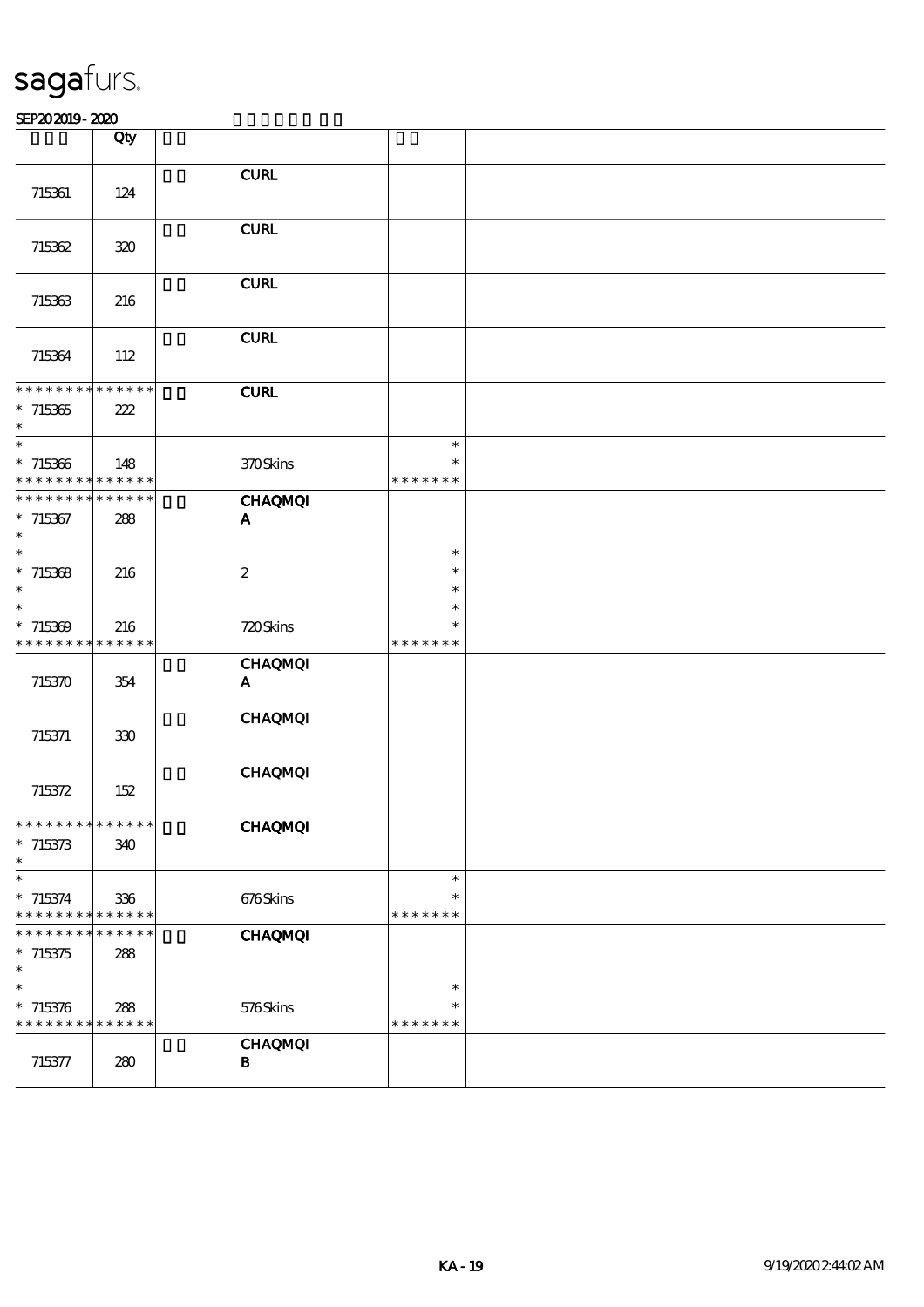|                                                                                    | Qty |                                         |                                   |  |
|------------------------------------------------------------------------------------|-----|-----------------------------------------|-----------------------------------|--|
| 715361                                                                             | 124 | ${\bf C}\mathbf{U}\mathbf{R}\mathbf{L}$ |                                   |  |
| 715362                                                                             | 320 | ${\bf C}\mathbf{U}\mathbf{R}\mathbf{L}$ |                                   |  |
| 715363                                                                             | 216 | <b>CURL</b>                             |                                   |  |
| 715364                                                                             | 112 | <b>CURL</b>                             |                                   |  |
| **************<br>$*715365$<br>$\ast$                                              | 222 | <b>CURL</b>                             |                                   |  |
| $\ast$<br>$*715366$<br>* * * * * * * * <mark>* * * * * *</mark>                    | 148 | 370Skins                                | $\ast$<br>*<br>* * * * * * *      |  |
| * * * * * * * * * * * * * *<br>$*715367$<br>$\ast$                                 | 288 | <b>CHAQMQI</b><br>$\mathbf A$           |                                   |  |
| $\ast$<br>$*715368$<br>$\ast$                                                      | 216 | $\boldsymbol{z}$                        | $\ast$<br>$\ast$<br>$\ast$        |  |
| $\ast$<br>$*715369$<br>* * * * * * * * * * * * *                                   | 216 | 720Skins                                | $\ast$<br>$\ast$<br>* * * * * * * |  |
| 715370                                                                             | 354 | <b>CHAQMQI</b><br>A                     |                                   |  |
| 715371                                                                             | 330 | <b>CHAQMQI</b>                          |                                   |  |
| 715372                                                                             | 152 | <b>CHAQMQI</b>                          |                                   |  |
| * * * * * * * * * * * * * * *<br>$*715373$<br>$\ast$                               | 340 | <b>CHAQMQI</b>                          |                                   |  |
| $\overline{\phantom{a}}$<br>$*715374$<br>* * * * * * * * <mark>* * * * * *</mark>  | 336 | 676Skins                                | $\ast$<br>$\ast$<br>* * * * * * * |  |
| * * * * * * * * <mark>* * * * * * *</mark><br>$*715375$<br>$\ast$                  | 288 | <b>CHAQMQI</b>                          |                                   |  |
| $\overline{\phantom{a}}$<br>$* 715376$<br>* * * * * * * * <mark>* * * * * *</mark> | 288 | 576Skins                                | $\ast$<br>$\ast$<br>* * * * * * * |  |
| 715377                                                                             | 280 | <b>CHAQMQI</b><br>$\bf{B}$              |                                   |  |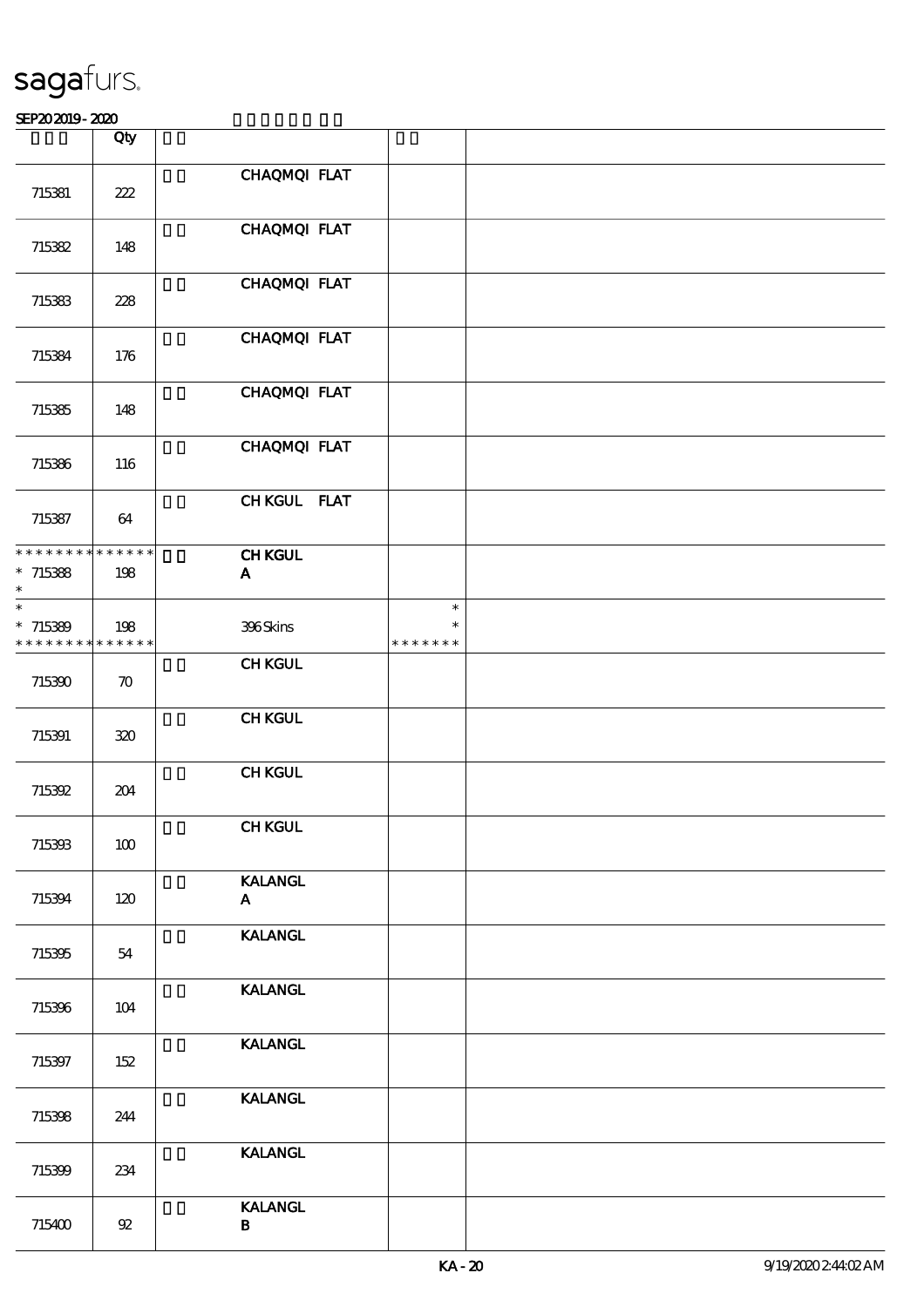|                                                    | Qty                |                                |                                   |  |
|----------------------------------------------------|--------------------|--------------------------------|-----------------------------------|--|
| 715381                                             | 222                | CHAQMQI FLAT                   |                                   |  |
| 715382                                             | 148                | CHAQMQI FLAT                   |                                   |  |
| 715383                                             | 228                | CHAQMQI FLAT                   |                                   |  |
| 715384                                             | 176                | CHAQMQI FLAT                   |                                   |  |
| 715385                                             | 148                | CHAQMQI FLAT                   |                                   |  |
| 715386                                             | 116                | CHAQMQI FLAT                   |                                   |  |
| 715387                                             | 64                 | CHKGUL FLAT                    |                                   |  |
| **************<br>$*715388$<br>$\ast$              | 198                | <b>CHKGUL</b><br>$\mathbf{A}$  |                                   |  |
| $\ast$<br>$*715389$<br>* * * * * * * * * * * * * * | 198                | 396Skins                       | $\ast$<br>$\ast$<br>* * * * * * * |  |
| 715390                                             | $\boldsymbol{\pi}$ | <b>CHKGUL</b>                  |                                   |  |
| 715391                                             | 320                | <b>CHKGUL</b>                  |                                   |  |
| 715392                                             | 204                | <b>CHKGUL</b>                  |                                   |  |
| 715393                                             | 100                | <b>CHKGUL</b>                  |                                   |  |
| 715394                                             | 120                | <b>KALANGL</b><br>$\mathbf{A}$ |                                   |  |
| 715395                                             | 54                 | <b>KALANGL</b>                 |                                   |  |
| 715396                                             | 104                | <b>KALANGL</b>                 |                                   |  |
| 715397                                             | 152                | <b>KALANGL</b>                 |                                   |  |
| 715398                                             | 244                | <b>KALANGL</b>                 |                                   |  |
| 715399                                             | 234                | <b>KALANGL</b>                 |                                   |  |
| 715400                                             | $92\,$             | <b>KALANGL</b><br>$\mathbf B$  |                                   |  |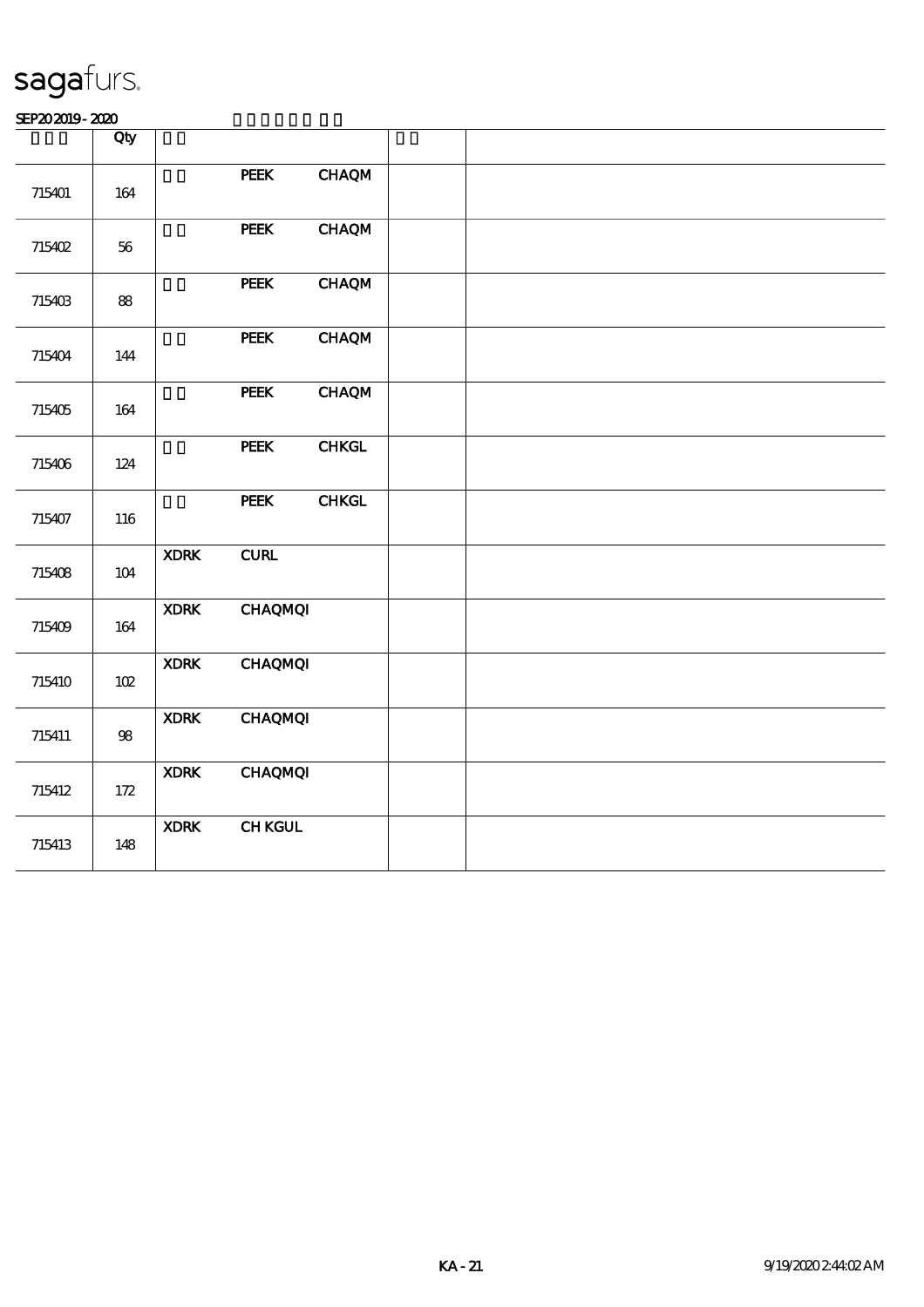|        | Qty        |             |                                         |               |  |  |  |
|--------|------------|-------------|-----------------------------------------|---------------|--|--|--|
| 715401 | 164        |             | <b>PEEK</b>                             | <b>CHAQM</b>  |  |  |  |
| 715402 | $56\,$     |             | <b>PEEK</b>                             | <b>CHAQM</b>  |  |  |  |
| 715403 | ${\bf 88}$ |             | PEEK                                    | <b>CHAQM</b>  |  |  |  |
| 715404 | 144        |             | PEEK                                    | <b>CHAQM</b>  |  |  |  |
| 715405 | 164        |             | PEEK                                    | <b>CHAQM</b>  |  |  |  |
| 715406 | 124        |             | PEEK                                    | ${\bf CHKGL}$ |  |  |  |
| 715407 | 116        |             | PEEK                                    | <b>CHKGL</b>  |  |  |  |
| 715408 | $104$      | <b>XDRK</b> | ${\bf C}\mathbf{U}\mathbf{R}\mathbf{L}$ |               |  |  |  |
| 715409 | 164        | <b>XDRK</b> | <b>CHAQMQI</b>                          |               |  |  |  |
| 715410 | 102        | <b>XDRK</b> | <b>CHAQMQI</b>                          |               |  |  |  |
| 715411 | $98\,$     | <b>XDRK</b> | <b>CHAQMQI</b>                          |               |  |  |  |
| 715412 | $172$      | <b>XDRK</b> | <b>CHAQMQI</b>                          |               |  |  |  |
| 715413 | 148        | <b>XDRK</b> | <b>CHKGUL</b>                           |               |  |  |  |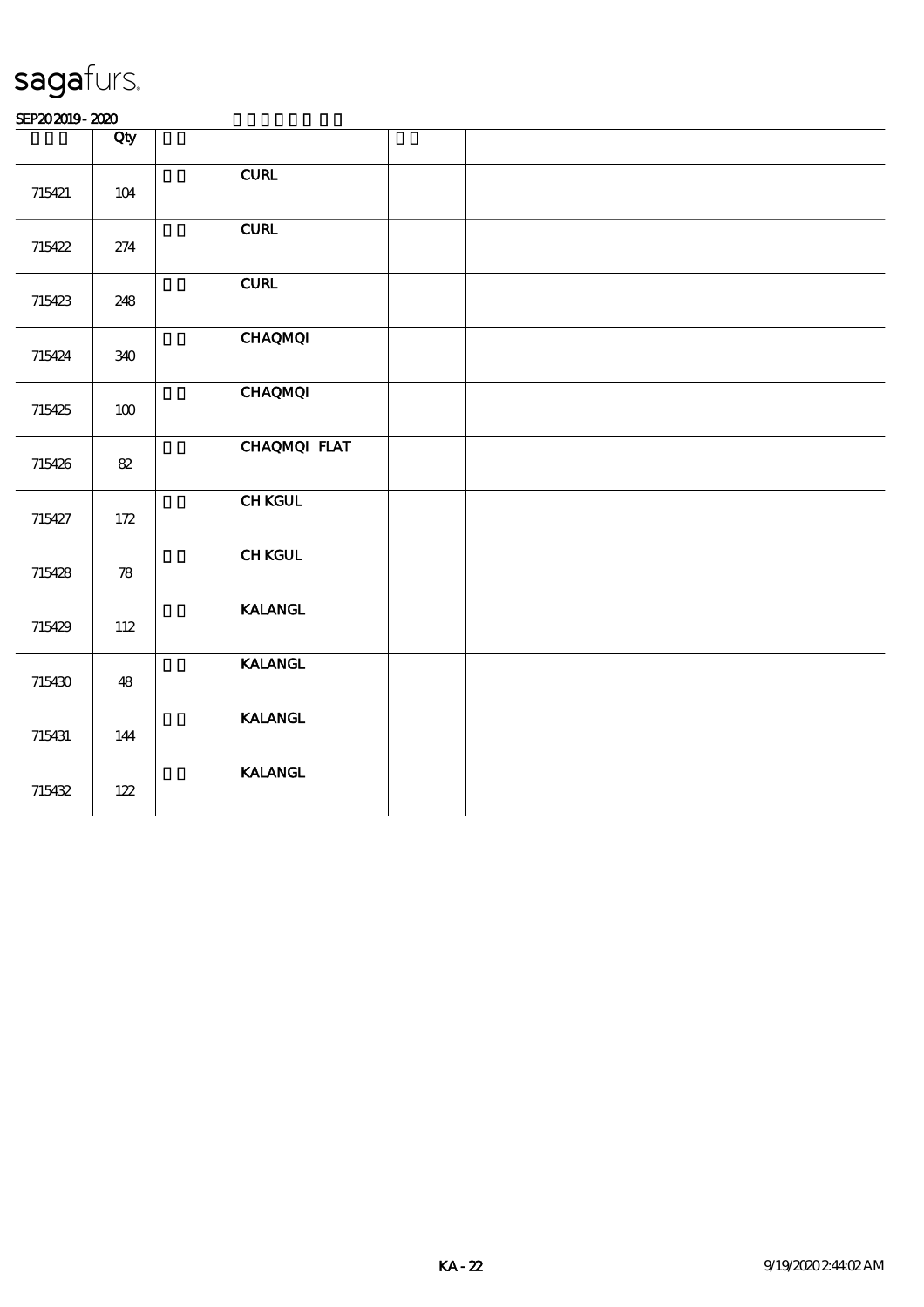|        | Qty                        |                                         |  |
|--------|----------------------------|-----------------------------------------|--|
| 715421 | 104                        | ${\bf C}\mathbf{U}\mathbf{R}\mathbf{L}$ |  |
| 715422 | 274                        | ${\bf C}\mathbf{U}\mathbf{R}\mathbf{L}$ |  |
| 715423 | 248                        | ${\bf C}\mathbf{U}\mathbf{R}\mathbf{L}$ |  |
| 715424 | 340                        | <b>CHAQMQI</b>                          |  |
| 715425 | 100                        | <b>CHAQMQI</b>                          |  |
| 715426 | $8\!2$                     | CHAQMQI FLAT                            |  |
| 715427 | 172                        | <b>CHKGUL</b>                           |  |
| 715428 | $\boldsymbol{\mathcal{R}}$ | <b>CHKGUL</b>                           |  |
| 715429 | 112                        | <b>KALANGL</b>                          |  |
| 715430 | 48                         | <b>KALANGL</b>                          |  |
| 715431 | 144                        | <b>KALANGL</b>                          |  |
| 715432 | $122\,$                    | <b>KALANGL</b>                          |  |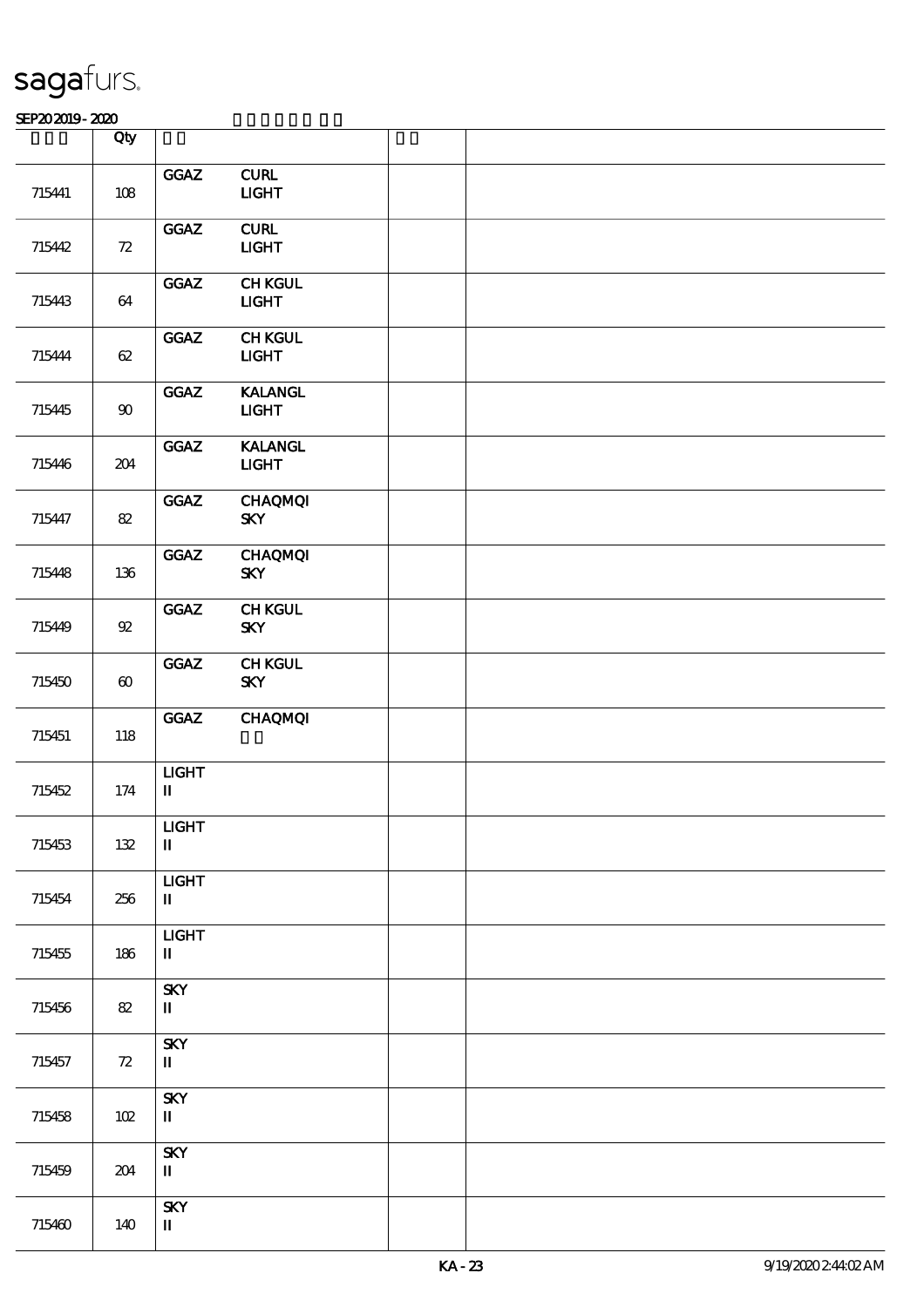|        | Qty                   |                                                         |                                                      |  |
|--------|-----------------------|---------------------------------------------------------|------------------------------------------------------|--|
|        |                       | GGAZ                                                    | ${\bf CURL}$                                         |  |
| 715441 | $108$                 |                                                         | $UCHT$                                               |  |
| 715442 | 72                    | GGAZ                                                    | ${\bf C}\mathbf{U}\mathbf{R}\mathbf{L}$<br>$1 1 1 1$ |  |
| 715443 | 64                    | GGAZ                                                    | <b>CHKGUL</b><br><b>LIGHT</b>                        |  |
| 715444 | 62                    | GGAZ                                                    | <b>CHKGUL</b><br>$1 1 1$                             |  |
| 715445 | $90\,$                | GGAZ                                                    | <b>KALANGL</b><br>$UGHT$                             |  |
| 715446 | 204                   | GGAZ                                                    | <b>KALANGL</b><br><b>LIGHT</b>                       |  |
| 715447 | $8\!2$                | GGAZ                                                    | <b>CHAQMQI</b><br><b>SKY</b>                         |  |
| 715448 | 136                   | GGAZ                                                    | <b>CHAQMQI</b><br><b>SKY</b>                         |  |
| 715449 | ${\mathfrak A}$       | GGAZ                                                    | <b>CHKGUL</b><br><b>SKY</b>                          |  |
| 715450 | $\boldsymbol{\omega}$ | GGAZ                                                    | <b>CHKGUL</b><br><b>SKY</b>                          |  |
| 715451 | 118                   | GGAZ                                                    | <b>CHAQMQI</b>                                       |  |
| 715452 | $174\,$               | $1 1 1 1$<br>$\mathbf I$                                |                                                      |  |
| 715453 | 132                   | $_{\rm IIGHT}$<br>$\rm I\hspace{-.1em}I\hspace{-.1em}I$ |                                                      |  |
| 715454 | 256                   | $1 1 1 1$<br>$\rm I\hspace{-.1em}I\hspace{-.1em}I$      |                                                      |  |
| 715455 | 186                   | $_{\rm IIGHT}$<br>$\mathbf I$                           |                                                      |  |
| 715456 | 82                    | <b>SKY</b><br>$\mathbf{I}$                              |                                                      |  |
| 715457 | ${\bf Z}$             | <b>SKY</b><br>$\mathbf{I}$                              |                                                      |  |
| 715458 | 102                   | <b>SKY</b><br>$\rm I\hspace{-.1em}I\hspace{-.1em}I$     |                                                      |  |
| 715459 | 204                   | <b>SKY</b><br>$\mathbf I$                               |                                                      |  |
| 715460 | 140                   | <b>SKY</b><br>$\mathbf I$                               |                                                      |  |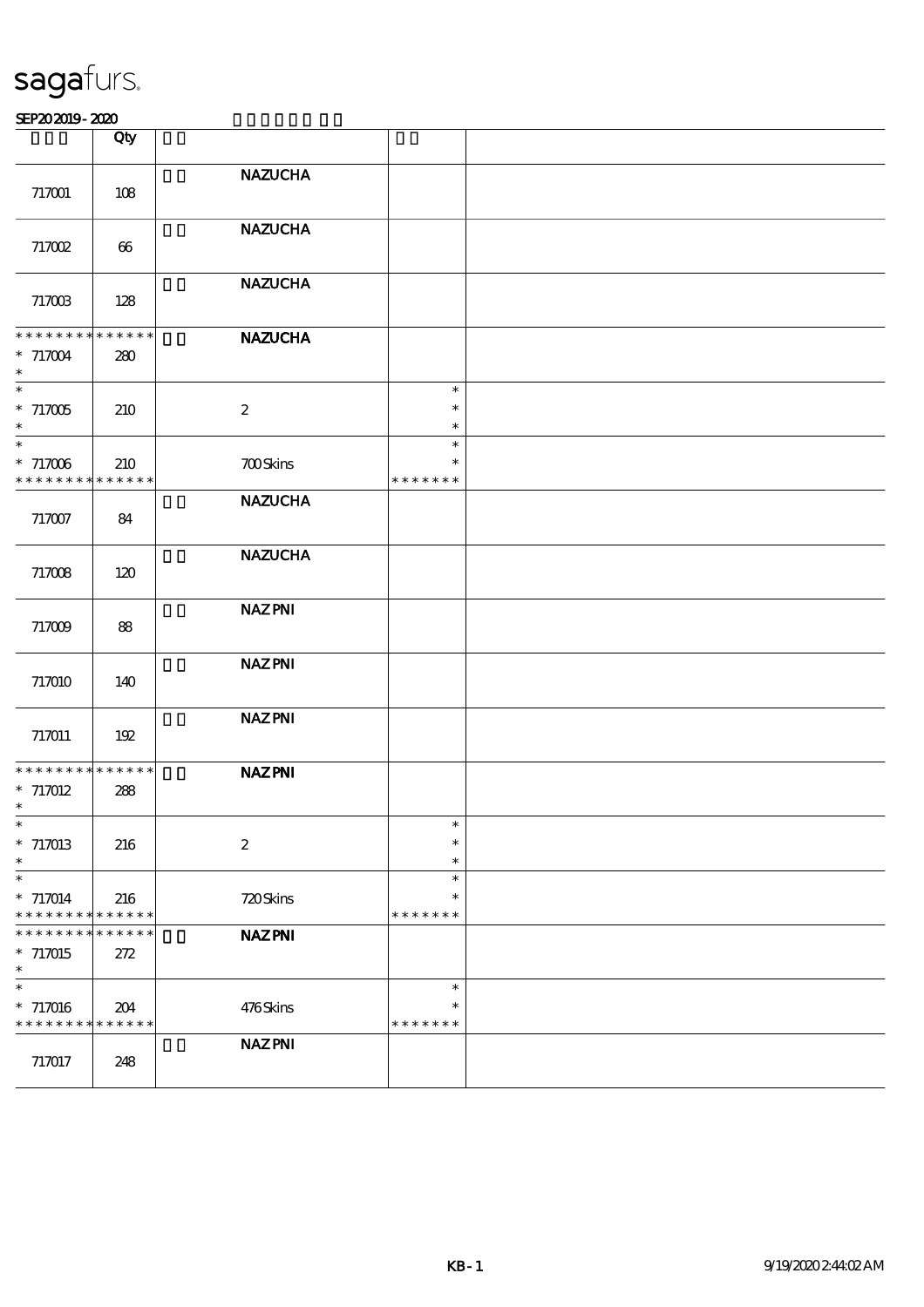|                                                                                    | Qty                |                  |                                   |  |
|------------------------------------------------------------------------------------|--------------------|------------------|-----------------------------------|--|
| 717001                                                                             | 108                | <b>NAZUCHA</b>   |                                   |  |
| 717002                                                                             | 66                 | <b>NAZUCHA</b>   |                                   |  |
| 717003                                                                             | 128                | <b>NAZUCHA</b>   |                                   |  |
| * * * * * * * * * * * * * *<br>$* 717004$<br>$\ast$                                | 280                | <b>NAZUCHA</b>   |                                   |  |
| $\ast$<br>$*717005$<br>$\ast$                                                      | 210                | $\boldsymbol{2}$ | $\ast$<br>$\ast$<br>$\ast$        |  |
| $\ast$<br>$*717006$<br>* * * * * * * * <mark>* * * * * * *</mark>                  | 210                | <b>700Skins</b>  | $\ast$<br>$\ast$<br>* * * * * * * |  |
| 717007                                                                             | 84                 | <b>NAZUCHA</b>   |                                   |  |
| 717008                                                                             | 120                | <b>NAZUCHA</b>   |                                   |  |
| 717009                                                                             | 88                 | <b>NAZPNI</b>    |                                   |  |
| 717010                                                                             | 140                | <b>NAZPNI</b>    |                                   |  |
| 717011                                                                             | 192                | <b>NAZPNI</b>    |                                   |  |
| * * * * * * * * * * * * * *<br>$* 717012$<br>$\ast$                                | 288                | <b>NAZPNI</b>    |                                   |  |
| $\ast$<br>$*717013$<br>$\ast$                                                      | 216                | $\boldsymbol{2}$ | $\ast$<br>$\ast$<br>$\ast$        |  |
| $\overline{\phantom{a}}$<br>$* 717014$<br>* * * * * * * * <mark>* * * * * *</mark> | 216                | 720Skins         | $\ast$<br>$\ast$<br>* * * * * * * |  |
| * * *<br>* * * * *<br>$*717015$<br>$\ast$                                          | * * * * * *<br>272 | <b>NAZPNI</b>    |                                   |  |
| $\ast$<br>* 717016<br>* * * * * * * * <mark>* * * * * *</mark>                     | 204                | 476Skins         | $\ast$<br>$\ast$<br>* * * * * * * |  |
| 717017                                                                             | 248                | <b>NAZPNI</b>    |                                   |  |
|                                                                                    |                    |                  |                                   |  |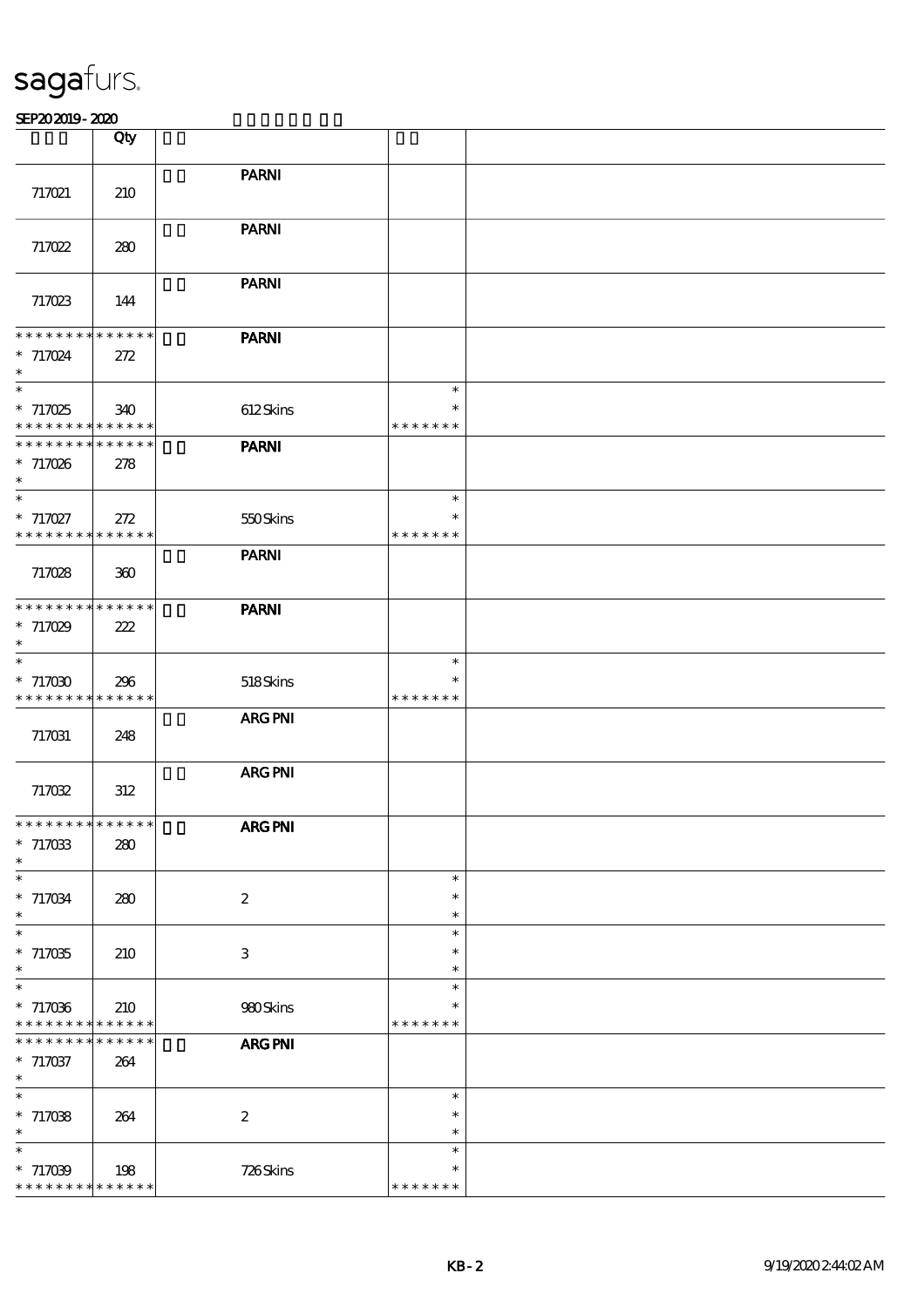|                                                                         | Qty                |                  |                         |  |
|-------------------------------------------------------------------------|--------------------|------------------|-------------------------|--|
|                                                                         |                    | <b>PARNI</b>     |                         |  |
| 717021                                                                  | 210                |                  |                         |  |
|                                                                         |                    |                  |                         |  |
|                                                                         |                    | <b>PARNI</b>     |                         |  |
| 717022                                                                  | 280                |                  |                         |  |
|                                                                         |                    |                  |                         |  |
|                                                                         |                    | <b>PARNI</b>     |                         |  |
| 717023                                                                  | 144                |                  |                         |  |
| **************                                                          |                    | <b>PARNI</b>     |                         |  |
| $* 717024$                                                              | 272                |                  |                         |  |
| $\ast$                                                                  |                    |                  |                         |  |
| $\ast$                                                                  |                    |                  | $\ast$                  |  |
| $*717025$                                                               | 340                | 612Skins         | $\ast$                  |  |
| * * * * * * * * <mark>* * * * * *</mark><br>* * * * * * * * * * * * * * |                    |                  | * * * * * * *           |  |
| $*717026$                                                               | 278                | <b>PARNI</b>     |                         |  |
| $\ast$                                                                  |                    |                  |                         |  |
| $\overline{\phantom{a}^*}$                                              |                    |                  | $\ast$                  |  |
| $*717027$                                                               | 272                | 550Skins         | $\ast$                  |  |
| * * * * * * * * * * * * * *                                             |                    |                  | * * * * * * *           |  |
|                                                                         |                    | <b>PARNI</b>     |                         |  |
| 717028                                                                  | 300                |                  |                         |  |
| * * * * * * * * * * * * * *                                             |                    | <b>PARNI</b>     |                         |  |
| $* 717029$                                                              | 222                |                  |                         |  |
| $\ast$                                                                  |                    |                  |                         |  |
| $\ast$                                                                  |                    |                  | $\ast$                  |  |
| $*717030$                                                               | 296                | 518Skins         | $\ast$                  |  |
| * * * * * * * * * * * * * *                                             |                    |                  | * * * * * * *           |  |
|                                                                         |                    | <b>ARG PNI</b>   |                         |  |
| 717031                                                                  | 248                |                  |                         |  |
|                                                                         |                    | ARG PNI          |                         |  |
| 717032                                                                  | 312                |                  |                         |  |
|                                                                         |                    |                  |                         |  |
| **************                                                          |                    | ARG PNI          |                         |  |
| $*717033$                                                               | 280                |                  |                         |  |
| $\ast$<br>$\overline{\phantom{a}}$                                      |                    |                  | $\ast$                  |  |
| $*717034$                                                               | 280                | $\boldsymbol{2}$ | $\ast$                  |  |
| $\ast$                                                                  |                    |                  | $\ast$                  |  |
| $\overline{\ast}$                                                       |                    |                  | $\ast$                  |  |
| $*717035$                                                               | 210                | 3                | $\ast$                  |  |
| $\ast$                                                                  |                    |                  | $\ast$                  |  |
| $\ast$                                                                  |                    |                  | $\ast$                  |  |
| $*717036$<br>* * * * * * * *                                            | 210<br>* * * * * * | 980Skins         | $\ast$<br>* * * * * * * |  |
| * * * * * * * *                                                         | * * * * * *        | ARG PNI          |                         |  |
| $*717037$                                                               | 264                |                  |                         |  |
| $\ast$                                                                  |                    |                  |                         |  |
| $\ast$                                                                  |                    |                  | $\ast$                  |  |
| $*717038$                                                               | 264                | $\boldsymbol{z}$ | $\ast$                  |  |
| $\ast$                                                                  |                    |                  | $\ast$                  |  |
| $\ast$                                                                  |                    |                  | $\ast$                  |  |
| $*717039$<br>* * * * * * * * * * * * * *                                | 198                | 726Skins         | $\ast$<br>* * * * * * * |  |
|                                                                         |                    |                  |                         |  |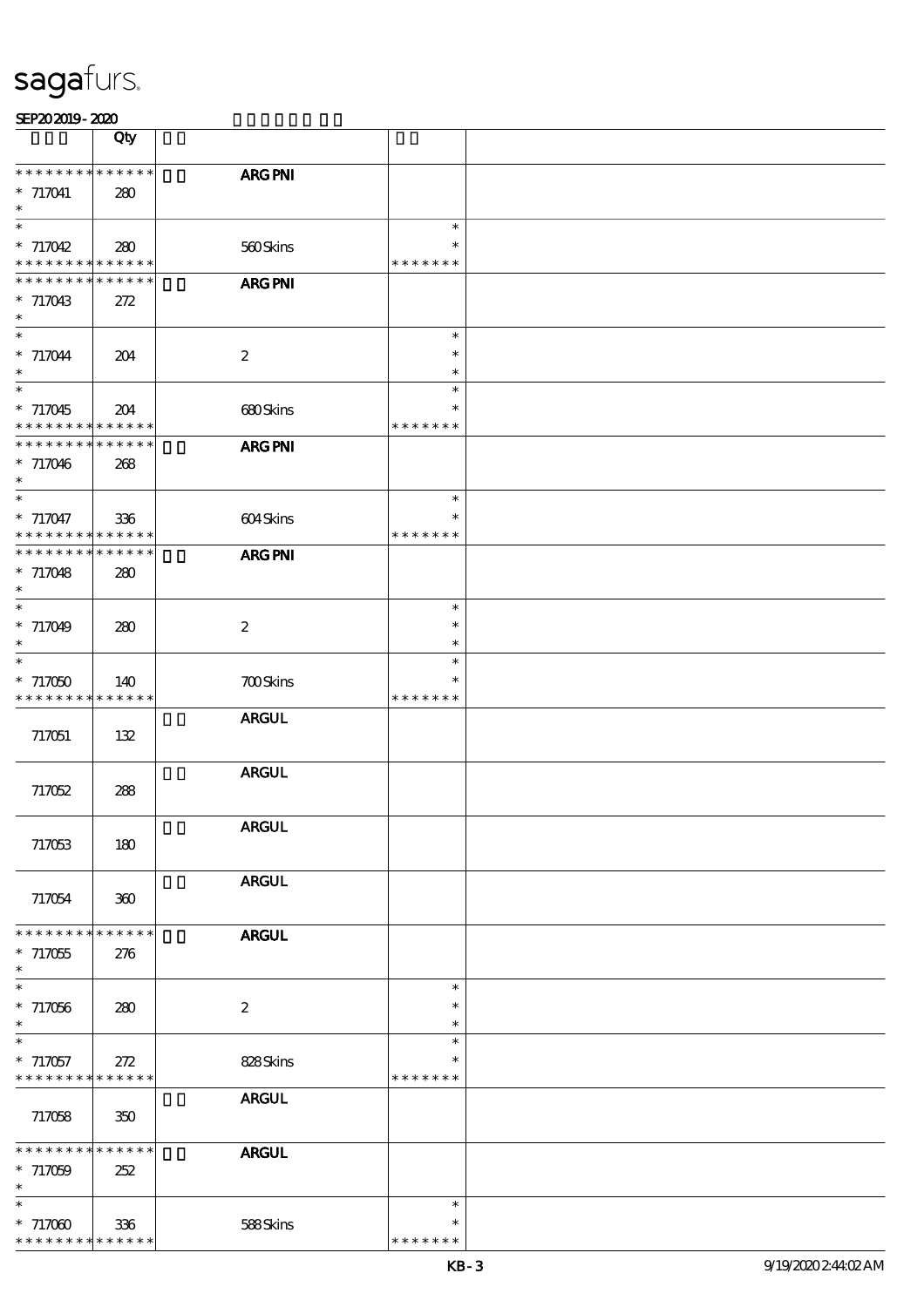| SEP202019-2020 |
|----------------|
|----------------|

|                                          | Qty         |                  |               |  |
|------------------------------------------|-------------|------------------|---------------|--|
|                                          |             |                  |               |  |
| * * * * * * * *                          | * * * * * * | <b>ARG PNI</b>   |               |  |
| $* 717041$                               | 280         |                  |               |  |
| $\ast$                                   |             |                  |               |  |
| $\ast$                                   |             |                  | $\ast$        |  |
| $* 717042$                               |             |                  | $\ast$        |  |
|                                          | 280         | 560Skins         |               |  |
| * * * * * * * * * * * * * *              |             |                  | * * * * * * * |  |
| * * * * * * *                            | * * * * * * | ARG PNI          |               |  |
| $* 717043$                               | 272         |                  |               |  |
| $\ast$                                   |             |                  |               |  |
| $\ast$                                   |             |                  |               |  |
|                                          |             |                  | $\ast$        |  |
| $* 717044$                               | 204         | $\boldsymbol{2}$ | $\ast$        |  |
| $\ast$                                   |             |                  | $\ast$        |  |
| $\ast$                                   |             |                  | $\ast$        |  |
| $* 717045$                               |             |                  | $\ast$        |  |
|                                          | 204         | 680Skins         |               |  |
| * * * * * * * * <mark>* * * * * *</mark> |             |                  | * * * * * * * |  |
| * * * * * * * *                          | * * * * * * | <b>ARG PNI</b>   |               |  |
| $* 717046$                               | 268         |                  |               |  |
| $\ast$                                   |             |                  |               |  |
| $\ast$                                   |             |                  | $\ast$        |  |
|                                          |             |                  |               |  |
| * 717047                                 | 336         | 604Skins         | ∗             |  |
| * * * * * * * * * * * * * *              |             |                  | * * * * * * * |  |
| * * * * * * * *                          | * * * * * * | <b>ARG PNI</b>   |               |  |
| $* 717048$                               |             |                  |               |  |
|                                          | 280         |                  |               |  |
| $\ast$                                   |             |                  |               |  |
| $\ast$                                   |             |                  | $\ast$        |  |
| * 717049                                 | 280         | $\boldsymbol{2}$ | $\ast$        |  |
| $\ast$                                   |             |                  | $\ast$        |  |
| $\ast$                                   |             |                  | $\ast$        |  |
|                                          |             |                  |               |  |
| $*717050$                                | 140         | <b>700Skins</b>  | $\ast$        |  |
| * * * * * * * *                          | * * * * * * |                  | * * * * * * * |  |
|                                          |             | <b>ARGUL</b>     |               |  |
|                                          |             |                  |               |  |
| 717051                                   | 132         |                  |               |  |
|                                          |             |                  |               |  |
|                                          |             | <b>ARGUL</b>     |               |  |
| 717052                                   | 288         |                  |               |  |
|                                          |             |                  |               |  |
|                                          |             |                  |               |  |
|                                          |             | <b>ARGUL</b>     |               |  |
| 717053                                   | 180         |                  |               |  |
|                                          |             |                  |               |  |
|                                          |             | <b>ARGUL</b>     |               |  |
| 717054                                   | 300         |                  |               |  |
|                                          |             |                  |               |  |
|                                          |             |                  |               |  |
| * * * * * * *                            | * * * * * * | <b>ARGUL</b>     |               |  |
| $*717055$                                | 276         |                  |               |  |
| $\ast$                                   |             |                  |               |  |
| $\overline{\ast}$                        |             |                  | $\ast$        |  |
|                                          |             |                  | $\ast$        |  |
| $* 717066$                               | 280         | $\boldsymbol{2}$ |               |  |
| $\ast$                                   |             |                  | $\ast$        |  |
| $\ast$                                   |             |                  | $\ast$        |  |
| $* 717057$                               | 272         | 828Skins         | $\ast$        |  |
| * * * * * * * *                          | * * * * * * |                  | * * * * * * * |  |
|                                          |             |                  |               |  |
|                                          |             | <b>ARGUL</b>     |               |  |
| 717058                                   | 350         |                  |               |  |
|                                          |             |                  |               |  |
| * * * * * * * *                          | * * * * * * | <b>ARGUL</b>     |               |  |
| $* 717059$                               | 252         |                  |               |  |
|                                          |             |                  |               |  |
| $\ast$                                   |             |                  |               |  |
| $\ast$                                   |             |                  | $\ast$        |  |
| $* 71700$                                | 336         | 588Skins         | $\ast$        |  |
| * * * * * * * *                          | * * * * * * |                  | * * * * * * * |  |
|                                          |             |                  |               |  |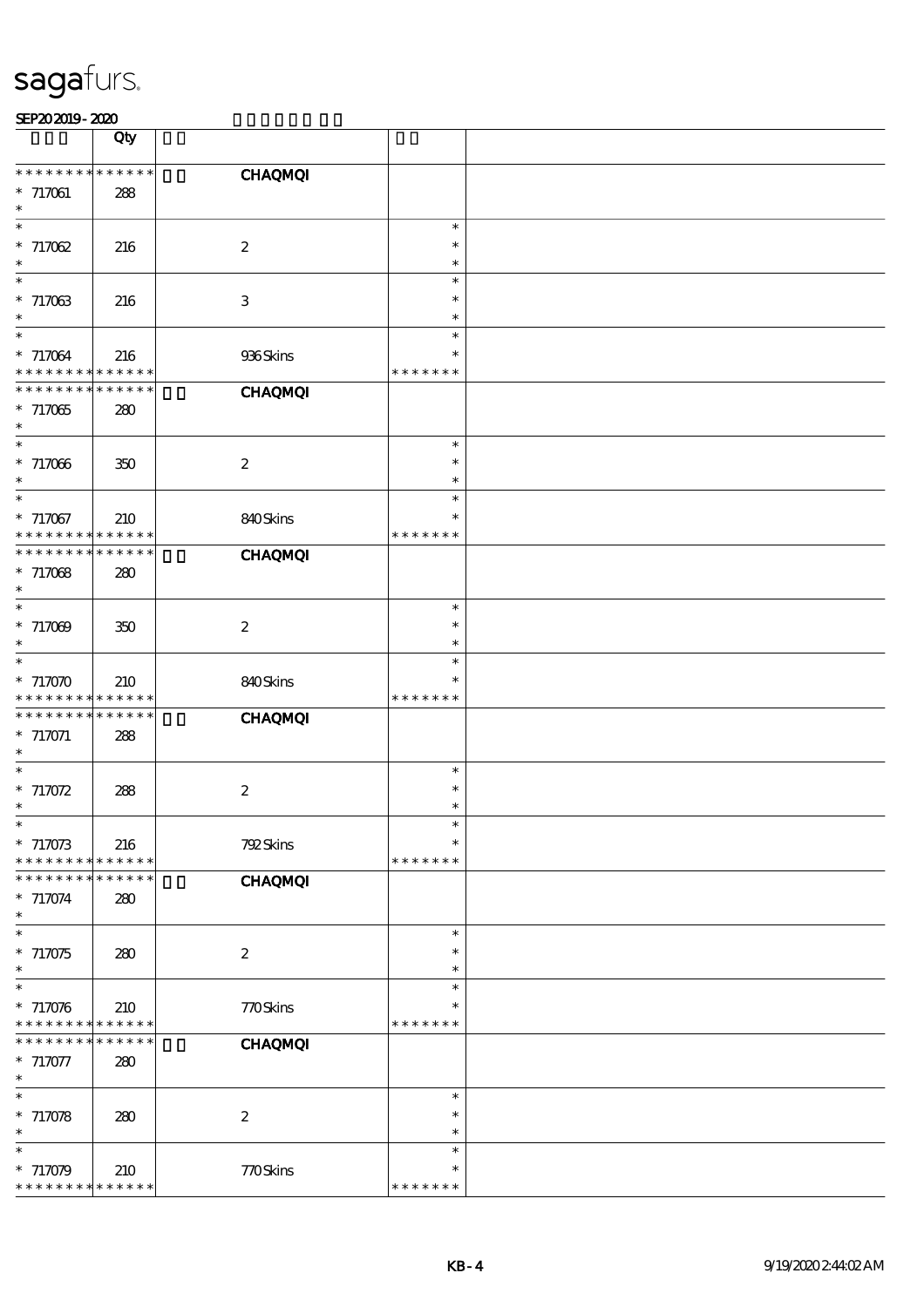|                                    | Qty                        |                  |                         |  |
|------------------------------------|----------------------------|------------------|-------------------------|--|
|                                    |                            |                  |                         |  |
| * * * * * * * *                    | * * * * * *                | <b>CHAQMQI</b>   |                         |  |
| $* 717061$<br>$\ast$               | 288                        |                  |                         |  |
| $\ast$                             |                            |                  | $\ast$                  |  |
| $* 71702$                          | 216                        | $\boldsymbol{2}$ | $\ast$                  |  |
| $\ast$                             |                            |                  | $\ast$                  |  |
| $\ast$<br>$* 717063$               |                            |                  | $\ast$<br>$\ast$        |  |
| $\ast$                             | 216                        | $\,3$            | $\ast$                  |  |
| $\ast$                             |                            |                  | $\ast$                  |  |
| $* 717064$                         | 216                        | 936Skins         | $\ast$                  |  |
| * * * * * * * *                    | * * * * * *                |                  | * * * * * * *           |  |
| * * * * * * * *                    | * * * * * *                | <b>CHAQMQI</b>   |                         |  |
| $*717065$<br>$\ast$                | 280                        |                  |                         |  |
| $\ast$                             |                            |                  | $\ast$                  |  |
| $*717066$                          | 350                        | $\boldsymbol{2}$ | $\ast$                  |  |
| $\ast$<br>$\ast$                   |                            |                  | $\ast$                  |  |
| $* 717067$                         | 210                        | 840Skins         | $\ast$<br>$\ast$        |  |
| * * * * * * * *                    | * * * * * *                |                  | * * * * * * *           |  |
| * * * * * * * *                    | * * * * * *                | <b>CHAQMQI</b>   |                         |  |
| $* 717068$                         | 280                        |                  |                         |  |
| $\ast$<br>$\ast$                   |                            |                  | $\ast$                  |  |
| $* 717009$                         | 350                        | $\boldsymbol{2}$ | $\ast$                  |  |
| $\ast$                             |                            |                  | $\ast$                  |  |
| $\ast$                             |                            |                  | $\ast$                  |  |
| $*717070$                          | 210                        | 840Skins         | $\ast$                  |  |
| * * * * * * * *<br>* * * * * * * * | * * * * * *<br>* * * * * * | <b>CHAQMQI</b>   | * * * * * * *           |  |
| $* 717071$                         | 288                        |                  |                         |  |
| $\ast$                             |                            |                  |                         |  |
| $\ast$                             |                            |                  | $\ast$                  |  |
| $* 717072$<br>$\ast$               | 288                        | $\boldsymbol{2}$ | $\ast$<br>$\ast$        |  |
| -क                                 |                            |                  |                         |  |
| $* 717073$                         | 216                        | 792Skins         | $\ast$                  |  |
| * * * * * * * *                    | * * * * * *                |                  | * * * * * * *           |  |
| * * * * * * *                      | * * * * * *                | <b>CHAQMQI</b>   |                         |  |
| $* 717074$<br>$\ast$               | 280                        |                  |                         |  |
| $\ast$                             |                            |                  | $\ast$                  |  |
| $* 717075$                         | 280                        | $\boldsymbol{2}$ | $\ast$                  |  |
| $\ast$<br>$\ast$                   |                            |                  | $\ast$<br>$\ast$        |  |
| $* 717076$                         | 210                        | 770Skins         | $\ast$                  |  |
| * * * * * * * *                    | * * * * * *                |                  | * * * * * * *           |  |
| * * * * * * *                      | * * * * * *                | <b>CHAQMQI</b>   |                         |  |
| $* 717077$<br>$\ast$               | 280                        |                  |                         |  |
| $\ast$                             |                            |                  | $\ast$                  |  |
| $* 717078$                         | 280                        | $\boldsymbol{2}$ | $\ast$                  |  |
| $\ast$                             |                            |                  | $\ast$                  |  |
|                                    |                            |                  | $\ast$                  |  |
| * 717079<br>* * * * * * * *        | 210<br>* * * * * *         | 770Skins         | $\ast$<br>* * * * * * * |  |
|                                    |                            |                  |                         |  |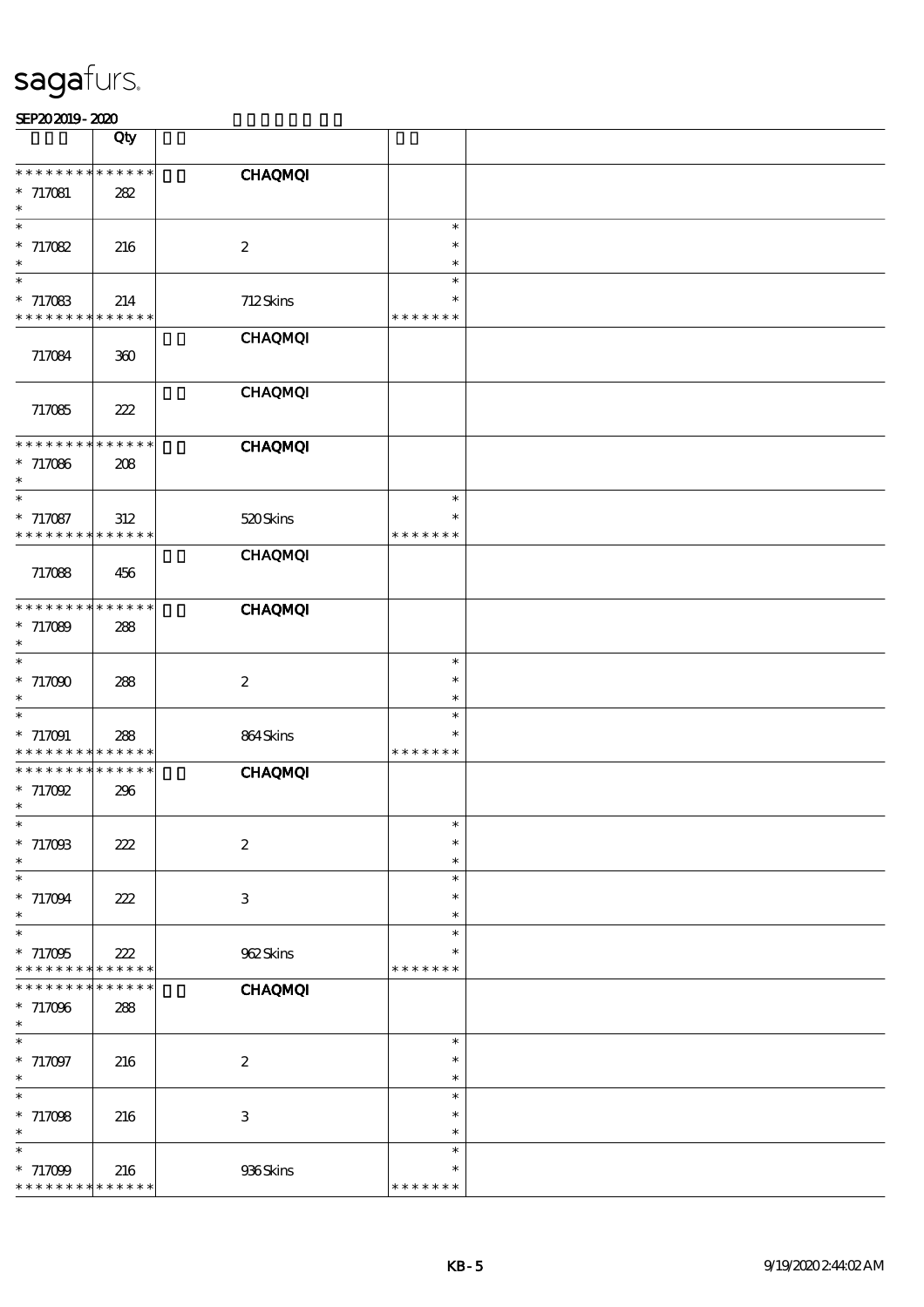| SEP202019-2020 |  |
|----------------|--|
|----------------|--|

|                                    | Qty                        |                           |                         |  |
|------------------------------------|----------------------------|---------------------------|-------------------------|--|
| * * * * * * * *                    | —<br>* * * * * *           | <b>CHAQMQI</b>            |                         |  |
| $* 717081$                         | 282                        |                           |                         |  |
| $\ast$                             |                            |                           |                         |  |
| $\ast$<br>$* 717082$               |                            | $\boldsymbol{2}$          | $\ast$<br>$\ast$        |  |
| $\ast$                             | 216                        |                           | $\ast$                  |  |
| $\ast$                             |                            |                           | $\ast$                  |  |
| $*717083$<br>* * * * * * * *       | 214<br>* * * * * *         | 712Skins                  | $\ast$<br>* * * * * * * |  |
|                                    |                            | <b>CHAQMQI</b>            |                         |  |
| 717084                             | 300                        |                           |                         |  |
|                                    |                            |                           |                         |  |
| 717085                             | 222                        | <b>CHAQMQI</b>            |                         |  |
|                                    |                            |                           |                         |  |
| * * * * * * *                      | * * * * * *                | <b>CHAQMQI</b>            |                         |  |
| $* 717086$<br>$\ast$               | 208                        |                           |                         |  |
| $\overline{\ast}$                  |                            |                           | $\ast$                  |  |
| $* 717087$                         | $312\,$                    | 520Skins                  | $\ast$                  |  |
| * * * * * * * *                    | * * * * * *                | <b>CHAQMQI</b>            | * * * * * * *           |  |
| 717088                             | 456                        |                           |                         |  |
|                                    |                            |                           |                         |  |
| * * * * * * * *<br>$* 717089$      | * * * * * *<br>288         | <b>CHAQMQI</b>            |                         |  |
| $\ast$                             |                            |                           |                         |  |
| $\ast$                             |                            |                           | $\ast$                  |  |
| $*717000$<br>$\ast$                | 288                        | $\boldsymbol{2}$          | $\ast$<br>$\ast$        |  |
| $\ast$                             |                            |                           | $\ast$                  |  |
| $*717091$                          | 288                        | 864Skins                  | $\ast$                  |  |
| * * * * * * * *<br>* * * * * * * * | * * * * * *<br>* * * * * * | <b>CHAQMQI</b>            | * * * * * * *           |  |
| $*717092$                          | 296                        |                           |                         |  |
| $\ast$                             |                            |                           |                         |  |
| ∗<br>$* 717008$                    | 222                        | $\boldsymbol{2}$          | ∗<br>$\ast$             |  |
| $\ast$                             |                            |                           | $\ast$                  |  |
| $\ast$                             |                            |                           | $\ast$                  |  |
| $* 717094$<br>$\ast$               | 222                        | $\ensuremath{\mathbf{3}}$ | $\ast$<br>$\ast$        |  |
| $\ast$                             |                            |                           | $\ast$                  |  |
| $*717095$                          | 222                        | 962Skins                  | $\ast$                  |  |
| * * * * * * * *<br>* * * * * * *   | * * * * * *<br>* * * * * * | <b>CHAQMQI</b>            | * * * * * * *           |  |
| $*717096$                          | 288                        |                           |                         |  |
| $\ast$                             |                            |                           |                         |  |
| $\ast$<br>$* 717097$               | 216                        | $\boldsymbol{2}$          | $\ast$<br>$\ast$        |  |
| $\ast$                             |                            |                           | $\ast$                  |  |
| $\ast$                             |                            |                           | $\ast$                  |  |
| $* 717098$<br>$\ast$               | 216                        | $\ensuremath{\mathsf{3}}$ | $\ast$<br>$\ast$        |  |
| $\ast$                             |                            |                           | $\ast$                  |  |
| $* 717099$                         | 216                        | 936Skins                  | $\ast$                  |  |
| * * * * * * * *                    | * * * * * *                |                           | * * * * * * *           |  |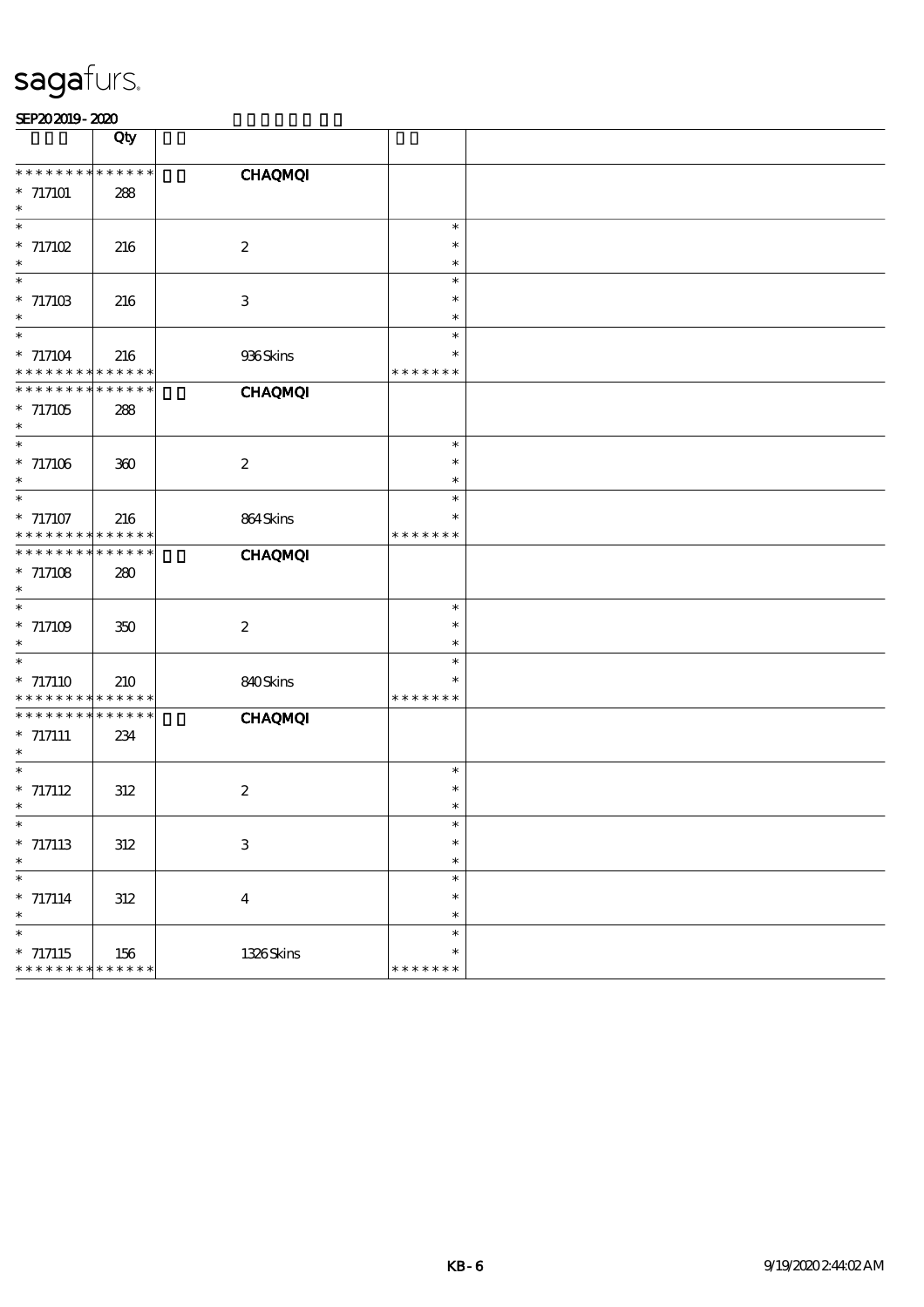|                             | Qty         |                           |               |  |
|-----------------------------|-------------|---------------------------|---------------|--|
|                             |             |                           |               |  |
| * * *<br>$* *$              | * * * * * * | <b>CHAQMQI</b>            |               |  |
| $* 717101$                  | 288         |                           |               |  |
| $\ast$                      |             |                           |               |  |
| $\ast$                      |             |                           | $\ast$        |  |
| $* 717102$                  | 216         | $\boldsymbol{2}$          | $\ast$        |  |
| $\ast$                      |             |                           | $\ast$        |  |
| $\ast$                      |             |                           | $\ast$        |  |
| $* 71710B$                  | 216         | $\ensuremath{\mathbf{3}}$ | $\ast$        |  |
| $\ast$                      |             |                           | $\ast$        |  |
| $\ast$                      |             |                           | $\ast$        |  |
|                             |             |                           | $\ast$        |  |
| $* 717104$                  | 216         | 936Skins                  | * * * * * * * |  |
| * * * * * * * *             | $******$    |                           |               |  |
| * * * * * * * *             | * * * * * * | <b>CHAQMQI</b>            |               |  |
| $* 717105$                  | 288         |                           |               |  |
| $\ast$                      |             |                           |               |  |
| $\ast$                      |             |                           | $\ast$        |  |
| $*717106$                   | 300         | $\boldsymbol{2}$          | $\ast$        |  |
| $\ast$                      |             |                           | $\ast$        |  |
| $\overline{\ast}$           |             |                           | $\ast$        |  |
| $*717107$                   | 216         | 864Skins                  | $\ast$        |  |
| * * * * * * * *             | * * * * * * |                           | * * * * * * * |  |
| * * * * * * * *             | * * * * * * | <b>CHAQMQI</b>            |               |  |
| $* 717108$                  | 280         |                           |               |  |
| $\ast$                      |             |                           |               |  |
| $\ast$                      |             |                           | $\ast$        |  |
| $* 717109$                  | 350         | $\boldsymbol{2}$          | $\ast$        |  |
| $\ast$                      |             |                           | $\ast$        |  |
| $\ast$                      |             |                           | $\ast$        |  |
| $* 717110$                  | 210         | 840Skins                  | $\ast$        |  |
| * * * * * * * *             | * * * * * * |                           | * * * * * * * |  |
| * * * * * * * *             | * * * * * * | <b>CHAQMQI</b>            |               |  |
| $*$ 717111                  | 234         |                           |               |  |
| $\ast$                      |             |                           |               |  |
| $\ast$                      |             |                           | $\ast$        |  |
| $* 717112$                  | 312         | $\boldsymbol{2}$          | $\ast$        |  |
| $\ast$                      |             |                           | $\ast$        |  |
| ∗                           |             |                           | ∗             |  |
| $* 717113$                  | $312\,$     | $\ensuremath{\mathbf{3}}$ | $\ast$        |  |
| $\ast$                      |             |                           | $\ast$        |  |
| $\overline{\phantom{0}}$    |             |                           | $\ast$        |  |
| $* 717114$                  | $312\,$     | $\boldsymbol{4}$          | $\ast$        |  |
| $\ast$                      |             |                           | $\ast$        |  |
| $\ast$                      |             |                           | $\ast$        |  |
| $* 717115$                  | 156         | 1326Skins                 | $\ast$        |  |
| * * * * * * * * * * * * * * |             |                           | * * * * * * * |  |
|                             |             |                           |               |  |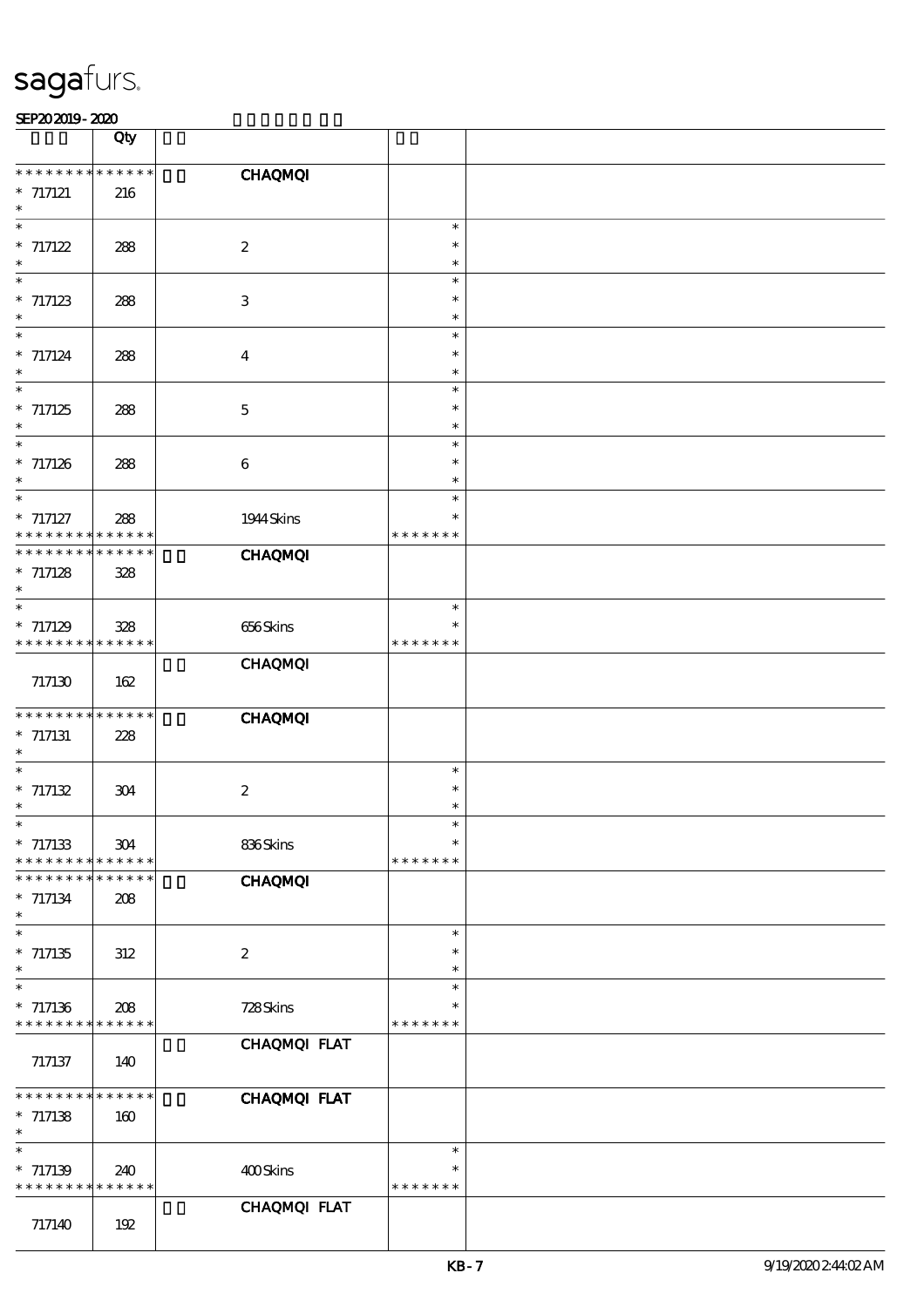|                                                  | Qty                |                           |                                   |  |
|--------------------------------------------------|--------------------|---------------------------|-----------------------------------|--|
| * * * * * * *<br>$* 717121$<br>$\ast$            | ******<br>216      | <b>CHAQMQI</b>            |                                   |  |
| $\ast$<br>$* 717122$<br>$\ast$                   | 288                | $\boldsymbol{2}$          | $\ast$<br>$\ast$<br>$\ast$        |  |
| $\ast$<br>$* 717123$<br>$\ast$                   | 288                | $\ensuremath{\mathbf{3}}$ | $\ast$<br>$\ast$<br>$\ast$        |  |
| $\ast$<br>$* 717124$<br>$\ast$                   | 288                | $\boldsymbol{4}$          | $\ast$<br>$\ast$<br>$\ast$        |  |
| $\ast$<br>$* 717125$<br>$\ast$                   | 288                | $\mathbf 5$               | $\ast$<br>$\ast$<br>$\ast$        |  |
| $\overline{\phantom{0}}$<br>$* 717126$<br>$\ast$ | 288                | $\bf 6$                   | $\ast$<br>$\ast$<br>$\ast$        |  |
| $\ast$<br>$* 717127$<br>* * * * * * * *          | 288<br>* * * * * * | 1944 Skins                | $\ast$<br>$\ast$<br>* * * * * * * |  |
| * * * * * * * *<br>$* 717128$<br>$\ast$          | * * * * * *<br>328 | <b>CHAQMQI</b>            |                                   |  |
| $\ast$<br>$*717129$<br>* * * * * * * *           | 328<br>* * * * * * | 656Skins                  | $\ast$<br>$\ast$<br>* * * * * * * |  |
| 717130                                           | 162                | <b>CHAQMQI</b>            |                                   |  |
| * * * * * * * *<br>$*$ 717131<br>$\ast$          | * * * * * *<br>228 | <b>CHAQMQI</b>            |                                   |  |
| $\ast$<br>$* 717132$<br>$\ast$                   | 304                | $\boldsymbol{2}$          | $\ast$<br>$\ast$<br>$\ast$        |  |
| $*$<br>$* 717133$<br>* * * * * * *               | 304<br>* * * * * * | 836Skins                  | $\ast$<br>$\ast$<br>* * * * * * * |  |
| * * * * * * *<br>$* 717134$<br>$\ast$            | * * * * * *<br>208 | <b>CHAQMQI</b>            |                                   |  |
| $\ast$<br>$*717135$<br>$\ast$                    | 312                | $\boldsymbol{2}$          | $\ast$<br>$\ast$<br>$\ast$        |  |
| $\ast$<br>$*717136$<br>* * * * * * * *           | 208<br>* * * * * * | 728Skins                  | $\ast$<br>$\ast$<br>* * * * * * * |  |
| 717137                                           | 140                | CHAQMQI FLAT              |                                   |  |
| * * * * * * *<br>$* 717138$<br>$\ast$            | * * * * * *<br>160 | CHAQMQI FLAT              |                                   |  |
| $\ast$<br>$* 717139$<br>* * * * * * * *          | 240<br>* * * * * * | 400Skins                  | $\ast$<br>$\ast$<br>* * * * * * * |  |
| 717140                                           | 192                | CHAQMQI FLAT              |                                   |  |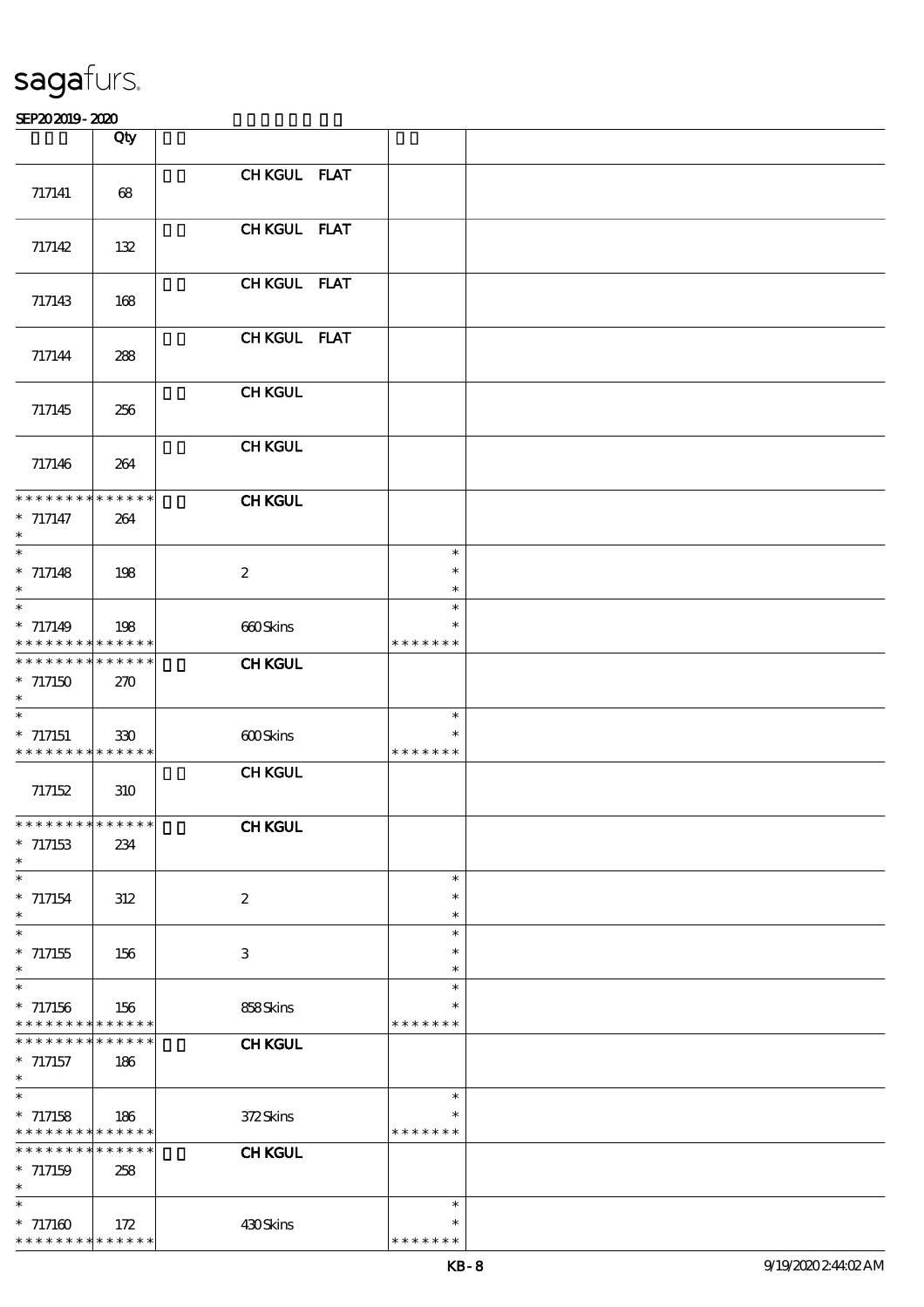|                                                        | Qty         |                  |                         |  |
|--------------------------------------------------------|-------------|------------------|-------------------------|--|
|                                                        |             | CHKGUL FLAT      |                         |  |
| 717141                                                 | 68          |                  |                         |  |
|                                                        |             | CHKGUL FLAT      |                         |  |
| 717142                                                 | 132         |                  |                         |  |
|                                                        |             | CHKGUL FLAT      |                         |  |
| 717143                                                 | 168         |                  |                         |  |
|                                                        |             | CHKGUL FLAT      |                         |  |
| 717144                                                 | 288         |                  |                         |  |
| 717145                                                 | 256         | <b>CHKGUL</b>    |                         |  |
|                                                        |             |                  |                         |  |
| 717146                                                 | 264         | <b>CHKGUL</b>    |                         |  |
| * * * * * * * * * * * * * *                            |             |                  |                         |  |
| $* 717147$                                             | 264         | <b>CHKGUL</b>    |                         |  |
| $\ast$<br>$\ast$                                       |             |                  | $\ast$                  |  |
| $* 717148$                                             | 198         | $\boldsymbol{2}$ | $\ast$                  |  |
| $\ast$                                                 |             |                  | $\ast$                  |  |
| $\ast$                                                 |             |                  | $\ast$<br>$\ast$        |  |
| $* 717149$<br>* * * * * * * * <mark>* * * * * *</mark> | 198         | 660Skins         | * * * * * * *           |  |
| * * * * * * * * * * * * * *                            |             | <b>CHKGUL</b>    |                         |  |
| $*717150$<br>$\ast$                                    | 270         |                  |                         |  |
| $\ast$                                                 |             |                  | $\ast$                  |  |
| $* 717151$<br>* * * * * * * * * * * * * *              | 330         | 600Skins         | $\ast$<br>* * * * * * * |  |
|                                                        |             | <b>CHKGUL</b>    |                         |  |
| 717152                                                 | 310         |                  |                         |  |
| ******** <mark>******</mark>                           |             | <b>CHKGUL</b>    |                         |  |
| $*717153$                                              | 234         |                  |                         |  |
| $\ast$<br>$\ast$                                       |             |                  | $\ast$                  |  |
| $* 717154$                                             | 312         | $\boldsymbol{2}$ | $\ast$                  |  |
| $\ast$                                                 |             |                  | $\ast$                  |  |
| $\ast$<br>$^\ast$ 717155                               | 156         | 3                | $\ast$<br>$\ast$        |  |
| $\ast$                                                 |             |                  | $\ast$                  |  |
| $\ast$                                                 |             |                  | $\ast$<br>$\ast$        |  |
| $*717156$<br>* * * * * * * * * * * * * *               | 156         | 858Skins         | * * * * * * *           |  |
| * * * * * * * *                                        | * * * * * * | <b>CHKGUL</b>    |                         |  |
| $*717157$<br>$\ast$                                    | 186         |                  |                         |  |
| $\ast$                                                 |             |                  | $\ast$                  |  |
| $*717158$<br>* * * * * * * * * * * * * *               | 186         | 372Skins         | $\ast$<br>* * * * * * * |  |
| * * * * * * * * * * * * * *                            |             | <b>CHKGUL</b>    |                         |  |
| $* 717159$                                             | 258         |                  |                         |  |
| $\ast$<br>$\ast$                                       |             |                  | $\ast$                  |  |
| $* 717160$                                             | 172         | 430Skins         | $\ast$                  |  |
| * * * * * * * * * * * * * *                            |             |                  | * * * * * * *           |  |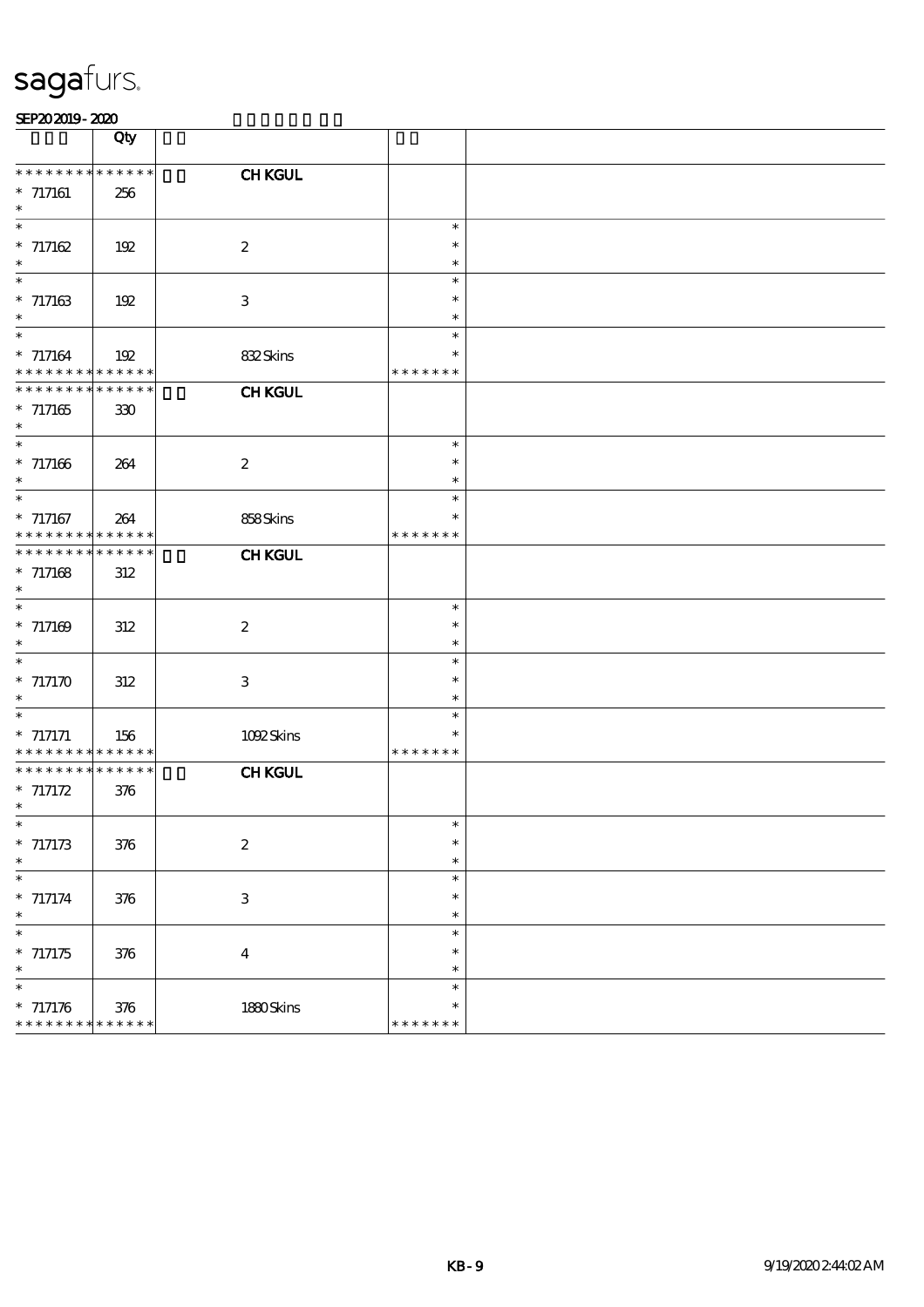|                                           | Qty                        |                           |                         |  |
|-------------------------------------------|----------------------------|---------------------------|-------------------------|--|
| * * * *<br>$***$<br>$* 717161$            | * * * * * *<br>256         | <b>CHKGUL</b>             |                         |  |
| $\ast$                                    |                            |                           |                         |  |
| $\ast$<br>$* 717162$                      | 192                        | $\boldsymbol{2}$          | $\ast$<br>$\ast$        |  |
| $\ast$<br>$\ast$                          |                            |                           | $\ast$<br>$\ast$        |  |
| $* 717163$                                | 192                        | $\ensuremath{\mathbf{3}}$ | $\ast$                  |  |
| $\ast$<br>$\ast$                          |                            |                           | $\ast$<br>$\ast$        |  |
| $* 717164$<br>* * * * * * * * * * * * * * | 192                        | 832Skins                  | $\ast$<br>* * * * * * * |  |
| * * * * * * * * * * * * * *               |                            | <b>CHKGUL</b>             |                         |  |
| $* 717165$<br>$\ast$                      | 330                        |                           |                         |  |
| $\ast$<br>$* 717166$                      | 264                        | $\boldsymbol{2}$          | $\ast$<br>$\ast$        |  |
| $\ast$<br>$\overline{\ast}$               |                            |                           | $\ast$                  |  |
| $* 717167$                                | 264                        | 858Skins                  | $\ast$<br>$\ast$        |  |
| * * * * * * * *<br>* * * * * * * *        | * * * * * *<br>* * * * * * | <b>CHKGUL</b>             | * * * * * * *           |  |
| $* 717168$                                | $312\,$                    |                           |                         |  |
| $\ast$<br>$\ast$                          |                            |                           | $\ast$                  |  |
| $* 717169$<br>$\ast$                      | 312                        | $\boldsymbol{z}$          | $\ast$<br>$\ast$        |  |
| $\overline{\ast}$                         |                            |                           | $\ast$                  |  |
| $*$ 717170<br>$\ast$                      | 312                        | 3                         | $\ast$<br>$\ast$        |  |
| $\ast$<br>$*$ 717171                      |                            |                           | $\ast$<br>$\ast$        |  |
| * * * * * * * *                           | 156<br>* * * * * *         | 1092Skins                 | * * * * * * *           |  |
| * * * * * * * *<br>$* 717172$             | * * * * * *<br>376         | <b>CHKGUL</b>             |                         |  |
| $\ast$                                    |                            |                           |                         |  |
| ∗<br>$* 717173$                           | 376                        | $\boldsymbol{2}$          | ∗<br>$\ast$             |  |
| $\ast$<br>$\overline{\ast}$               |                            |                           | $\ast$<br>$\ast$        |  |
| $* 717174$                                | 376                        | $\ensuremath{\mathbf{3}}$ | $\ast$                  |  |
| $\ast$<br>$\ast$                          |                            |                           | $\ast$<br>$\ast$        |  |
| $* 717175$<br>$\ast$                      | 376                        | $\boldsymbol{4}$          | $\ast$<br>$\ast$        |  |
| $\ast$                                    |                            |                           | $\ast$                  |  |
| $* 717176$<br>* * * * * * * *             | 376<br>* * * * * *         | 1880Skins                 | $\ast$<br>* * * * * * * |  |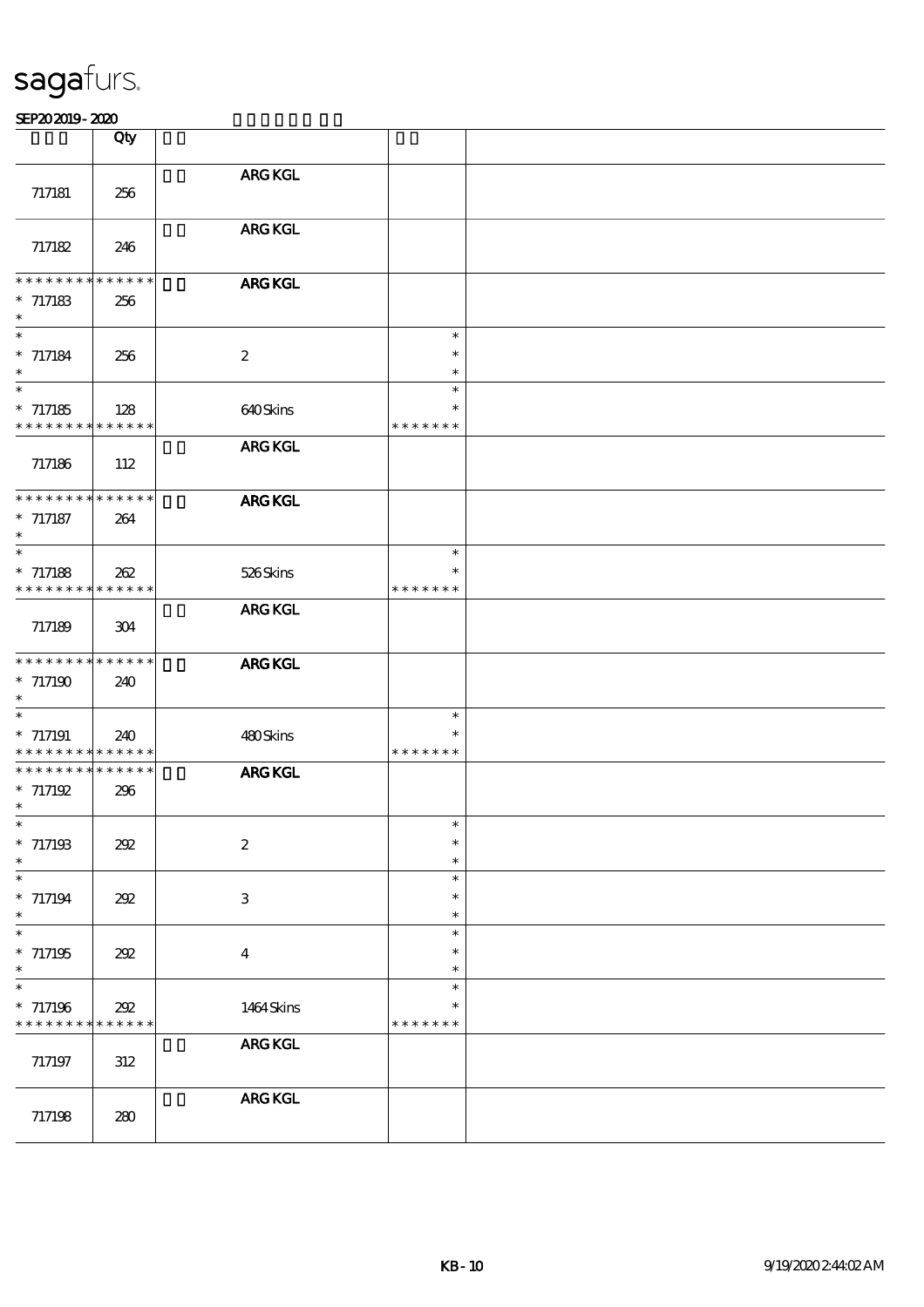|                                                                    | $\overline{Q}$ ty |                           |                                   |  |
|--------------------------------------------------------------------|-------------------|---------------------------|-----------------------------------|--|
| 717181                                                             | 256               | <b>ARG KGL</b>            |                                   |  |
| 717182                                                             | 246               | <b>ARG KGL</b>            |                                   |  |
| * * * * * * * * * * * * * *<br>$*717183$<br>$\ast$                 | 256               | <b>ARG KGL</b>            |                                   |  |
| $\ast$<br>$*717184$<br>$\ast$                                      | 256               | $\boldsymbol{z}$          | $\ast$<br>$\ast$<br>$\ast$        |  |
| $\ast$<br>$*717185$<br>* * * * * * * * * * * * * *                 | 128               | 640Skins                  | $\ast$<br>$\ast$<br>* * * * * * * |  |
| 717186                                                             | 112               | <b>ARG KGL</b>            |                                   |  |
| * * * * * * * * * * * * * *<br>$*717187$<br>$\ast$                 | 264               | <b>ARG KGL</b>            |                                   |  |
| $\ast$<br>$*717188$<br>* * * * * * * * <mark>* * * * * *</mark>    | 262               | 526Skins                  | $\ast$<br>$\ast$<br>* * * * * * * |  |
| 717189                                                             | 304               | <b>ARG KGL</b>            |                                   |  |
| * * * * * * * * * * * * * *<br>$*717190$<br>$\ast$                 | 240               | <b>ARG KGL</b>            |                                   |  |
| $\ast$<br>$*717191$<br>* * * * * * * * * * * * * *                 | 240               | 480Skins                  | $\ast$<br>$\ast$<br>* * * * * * * |  |
| * * * * * * * * * * * * * *<br>$* 717192$<br>$\ast$                | 296               | <b>ARG KGL</b>            |                                   |  |
| ∗<br>$*717193$<br>$\ast$                                           | 202               | $\boldsymbol{2}$          | $\ast$<br>$\ast$                  |  |
| $\ast$<br>$*717194$<br>$\ast$                                      | 202               | $\ensuremath{\mathsf{3}}$ | $\ast$<br>$\ast$<br>$\ast$        |  |
| $\ast$<br>$*717195$<br>$\ast$                                      | 202               | $\bf{4}$                  | $\ast$<br>$\ast$<br>$\ast$        |  |
| $\ast$<br>$* 717196$<br>* * * * * * * * <mark>* * * * * *</mark> * | 202               | 1464 Skins                | $\ast$<br>$\ast$<br>* * * * * * * |  |
| 717197                                                             | $312\,$           | ${\bf ARG}$ KGL           |                                   |  |
| 717198                                                             | 280               | <b>ARG KGL</b>            |                                   |  |